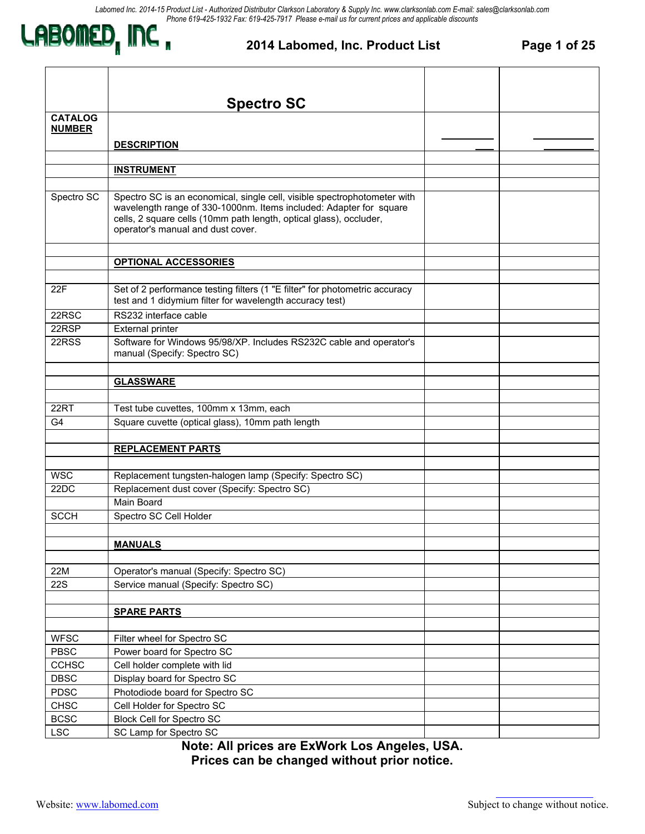

#### **2014 Labomed, Inc. Product List Page 1 of 25**

|                | <b>Spectro SC</b>                                                                                                                                                                                                                                         |  |
|----------------|-----------------------------------------------------------------------------------------------------------------------------------------------------------------------------------------------------------------------------------------------------------|--|
| <b>CATALOG</b> |                                                                                                                                                                                                                                                           |  |
| <b>NUMBER</b>  |                                                                                                                                                                                                                                                           |  |
|                | <b>DESCRIPTION</b>                                                                                                                                                                                                                                        |  |
|                |                                                                                                                                                                                                                                                           |  |
|                | <b>INSTRUMENT</b>                                                                                                                                                                                                                                         |  |
|                |                                                                                                                                                                                                                                                           |  |
| Spectro SC     | Spectro SC is an economical, single cell, visible spectrophotometer with<br>wavelength range of 330-1000nm. Items included: Adapter for square<br>cells, 2 square cells (10mm path length, optical glass), occluder,<br>operator's manual and dust cover. |  |
|                |                                                                                                                                                                                                                                                           |  |
|                | <b>OPTIONAL ACCESSORIES</b>                                                                                                                                                                                                                               |  |
|                |                                                                                                                                                                                                                                                           |  |
| 22F            | Set of 2 performance testing filters (1 "E filter" for photometric accuracy<br>test and 1 didymium filter for wavelength accuracy test)                                                                                                                   |  |
| 22RSC          | RS232 interface cable                                                                                                                                                                                                                                     |  |
| 22RSP          | <b>External printer</b>                                                                                                                                                                                                                                   |  |
| 22RSS          | Software for Windows 95/98/XP. Includes RS232C cable and operator's<br>manual (Specify: Spectro SC)                                                                                                                                                       |  |
|                |                                                                                                                                                                                                                                                           |  |
|                | <b>GLASSWARE</b>                                                                                                                                                                                                                                          |  |
|                |                                                                                                                                                                                                                                                           |  |
| 22RT           | Test tube cuvettes, 100mm x 13mm, each                                                                                                                                                                                                                    |  |
| G <sub>4</sub> | Square cuvette (optical glass), 10mm path length                                                                                                                                                                                                          |  |
|                |                                                                                                                                                                                                                                                           |  |
|                | <b>REPLACEMENT PARTS</b>                                                                                                                                                                                                                                  |  |
|                |                                                                                                                                                                                                                                                           |  |
| <b>WSC</b>     | Replacement tungsten-halogen lamp (Specify: Spectro SC)                                                                                                                                                                                                   |  |
| 22DC           | Replacement dust cover (Specify: Spectro SC)<br><b>Main Board</b>                                                                                                                                                                                         |  |
| <b>SCCH</b>    | Spectro SC Cell Holder                                                                                                                                                                                                                                    |  |
|                |                                                                                                                                                                                                                                                           |  |
|                |                                                                                                                                                                                                                                                           |  |
|                | <b>MANUALS</b>                                                                                                                                                                                                                                            |  |
| 22M            | Operator's manual (Specify: Spectro SC)                                                                                                                                                                                                                   |  |
| <b>22S</b>     | Service manual (Specify: Spectro SC)                                                                                                                                                                                                                      |  |
|                |                                                                                                                                                                                                                                                           |  |
|                | <b>SPARE PARTS</b>                                                                                                                                                                                                                                        |  |
|                |                                                                                                                                                                                                                                                           |  |
| <b>WFSC</b>    | Filter wheel for Spectro SC                                                                                                                                                                                                                               |  |
| PBSC           | Power board for Spectro SC                                                                                                                                                                                                                                |  |
| <b>CCHSC</b>   | Cell holder complete with lid                                                                                                                                                                                                                             |  |
| <b>DBSC</b>    | Display board for Spectro SC                                                                                                                                                                                                                              |  |
| <b>PDSC</b>    | Photodiode board for Spectro SC                                                                                                                                                                                                                           |  |
| <b>CHSC</b>    | Cell Holder for Spectro SC                                                                                                                                                                                                                                |  |
| <b>BCSC</b>    | <b>Block Cell for Spectro SC</b>                                                                                                                                                                                                                          |  |
| <b>LSC</b>     | SC Lamp for Spectro SC                                                                                                                                                                                                                                    |  |

**Note: All prices are ExWork Los Angeles, USA. Prices can be changed without prior notice.**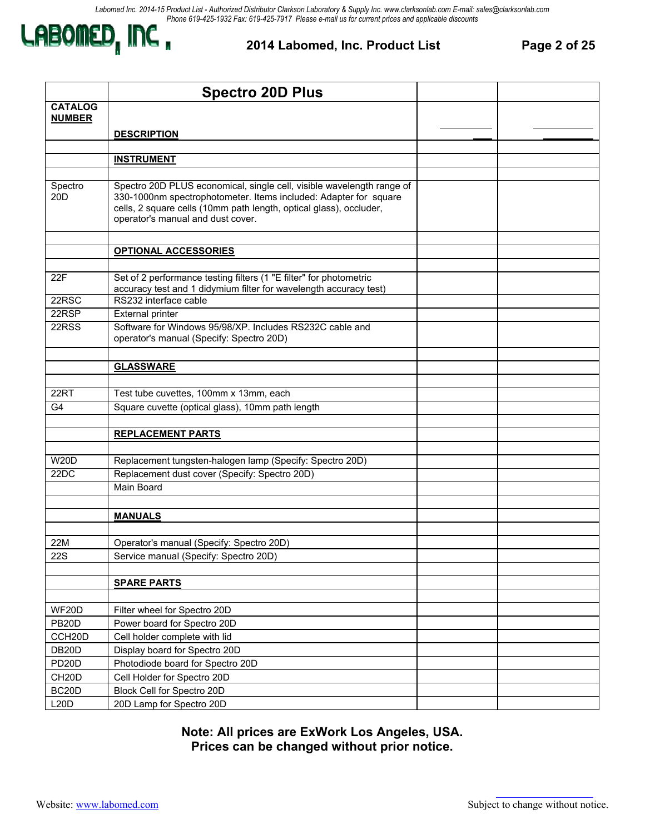

#### **2014 Labomed, Inc. Product List Page 2 of 25**

|                                 | <b>Spectro 20D Plus</b>                                                                                                                                                                                                                              |  |
|---------------------------------|------------------------------------------------------------------------------------------------------------------------------------------------------------------------------------------------------------------------------------------------------|--|
| <b>CATALOG</b><br><b>NUMBER</b> |                                                                                                                                                                                                                                                      |  |
|                                 |                                                                                                                                                                                                                                                      |  |
|                                 | <b>DESCRIPTION</b>                                                                                                                                                                                                                                   |  |
|                                 | <b>INSTRUMENT</b>                                                                                                                                                                                                                                    |  |
|                                 |                                                                                                                                                                                                                                                      |  |
| Spectro<br>20 <sub>D</sub>      | Spectro 20D PLUS economical, single cell, visible wavelength range of<br>330-1000nm spectrophotometer. Items included: Adapter for square<br>cells, 2 square cells (10mm path length, optical glass), occluder,<br>operator's manual and dust cover. |  |
|                                 | <b>OPTIONAL ACCESSORIES</b>                                                                                                                                                                                                                          |  |
|                                 |                                                                                                                                                                                                                                                      |  |
| 22F                             | Set of 2 performance testing filters (1 "E filter" for photometric<br>accuracy test and 1 didymium filter for wavelength accuracy test)                                                                                                              |  |
| 22RSC                           | RS232 interface cable                                                                                                                                                                                                                                |  |
| 22RSP                           | External printer                                                                                                                                                                                                                                     |  |
| 22RSS                           | Software for Windows 95/98/XP. Includes RS232C cable and<br>operator's manual (Specify: Spectro 20D)                                                                                                                                                 |  |
|                                 |                                                                                                                                                                                                                                                      |  |
|                                 | <b>GLASSWARE</b>                                                                                                                                                                                                                                     |  |
| 22RT                            |                                                                                                                                                                                                                                                      |  |
| G <sub>4</sub>                  | Test tube cuvettes, 100mm x 13mm, each<br>Square cuvette (optical glass), 10mm path length                                                                                                                                                           |  |
|                                 |                                                                                                                                                                                                                                                      |  |
|                                 | <b>REPLACEMENT PARTS</b>                                                                                                                                                                                                                             |  |
|                                 |                                                                                                                                                                                                                                                      |  |
| <b>W20D</b>                     | Replacement tungsten-halogen lamp (Specify: Spectro 20D)                                                                                                                                                                                             |  |
| 22DC                            | Replacement dust cover (Specify: Spectro 20D)                                                                                                                                                                                                        |  |
|                                 | Main Board                                                                                                                                                                                                                                           |  |
|                                 |                                                                                                                                                                                                                                                      |  |
|                                 | <b>MANUALS</b>                                                                                                                                                                                                                                       |  |
|                                 |                                                                                                                                                                                                                                                      |  |
| 22M                             | Operator's manual (Specify: Spectro 20D)                                                                                                                                                                                                             |  |
| <b>22S</b>                      | Service manual (Specify: Spectro 20D)                                                                                                                                                                                                                |  |
|                                 |                                                                                                                                                                                                                                                      |  |
|                                 | <b>SPARE PARTS</b>                                                                                                                                                                                                                                   |  |
|                                 |                                                                                                                                                                                                                                                      |  |
| WF20D                           | Filter wheel for Spectro 20D                                                                                                                                                                                                                         |  |
| PB <sub>20</sub> D              | Power board for Spectro 20D                                                                                                                                                                                                                          |  |
| CCH20D<br>DB <sub>20</sub> D    | Cell holder complete with lid<br>Display board for Spectro 20D                                                                                                                                                                                       |  |
| PD <sub>20</sub> D              | Photodiode board for Spectro 20D                                                                                                                                                                                                                     |  |
| CH <sub>20</sub> D              | Cell Holder for Spectro 20D                                                                                                                                                                                                                          |  |
| BC <sub>20</sub> D              | Block Cell for Spectro 20D                                                                                                                                                                                                                           |  |
| L20D                            | 20D Lamp for Spectro 20D                                                                                                                                                                                                                             |  |
|                                 |                                                                                                                                                                                                                                                      |  |

**Note: All prices are ExWork Los Angeles, USA. Prices can be changed without prior notice.**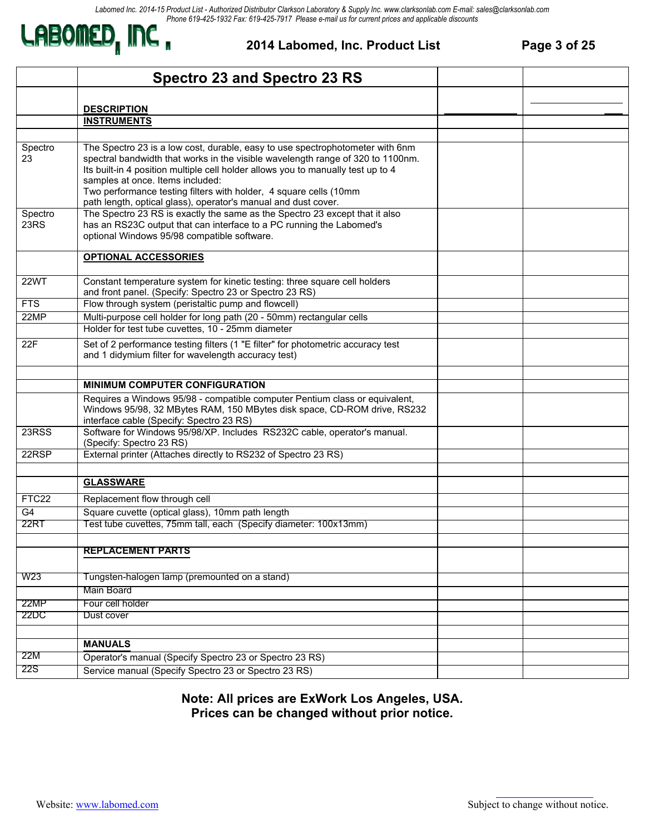

#### **2014 Labomed, Inc. Product List Page 3 of 25**

|                 | Spectro 23 and Spectro 23 RS                                                                                                                                                                                                                                                                                                                                                                                                    |  |
|-----------------|---------------------------------------------------------------------------------------------------------------------------------------------------------------------------------------------------------------------------------------------------------------------------------------------------------------------------------------------------------------------------------------------------------------------------------|--|
|                 |                                                                                                                                                                                                                                                                                                                                                                                                                                 |  |
|                 | <b>DESCRIPTION</b>                                                                                                                                                                                                                                                                                                                                                                                                              |  |
|                 | <b>INSTRUMENTS</b>                                                                                                                                                                                                                                                                                                                                                                                                              |  |
|                 |                                                                                                                                                                                                                                                                                                                                                                                                                                 |  |
| Spectro<br>23   | The Spectro 23 is a low cost, durable, easy to use spectrophotometer with 6nm<br>spectral bandwidth that works in the visible wavelength range of 320 to 1100nm.<br>Its built-in 4 position multiple cell holder allows you to manually test up to 4<br>samples at once. Items included:<br>Two performance testing filters with holder, 4 square cells (10mm<br>path length, optical glass), operator's manual and dust cover. |  |
| Spectro<br>23RS | The Spectro 23 RS is exactly the same as the Spectro 23 except that it also<br>has an RS23C output that can interface to a PC running the Labomed's<br>optional Windows 95/98 compatible software.                                                                                                                                                                                                                              |  |
|                 | <b>OPTIONAL ACCESSORIES</b>                                                                                                                                                                                                                                                                                                                                                                                                     |  |
| <b>22WT</b>     | Constant temperature system for kinetic testing: three square cell holders<br>and front panel. (Specify: Spectro 23 or Spectro 23 RS)                                                                                                                                                                                                                                                                                           |  |
| <b>FTS</b>      | Flow through system (peristaltic pump and flowcell)                                                                                                                                                                                                                                                                                                                                                                             |  |
| 22MP            | Multi-purpose cell holder for long path (20 - 50mm) rectangular cells                                                                                                                                                                                                                                                                                                                                                           |  |
|                 | Holder for test tube cuvettes, 10 - 25mm diameter                                                                                                                                                                                                                                                                                                                                                                               |  |
| 22F             | Set of 2 performance testing filters (1 "E filter" for photometric accuracy test<br>and 1 didymium filter for wavelength accuracy test)                                                                                                                                                                                                                                                                                         |  |
|                 |                                                                                                                                                                                                                                                                                                                                                                                                                                 |  |
|                 | <b>MINIMUM COMPUTER CONFIGURATION</b>                                                                                                                                                                                                                                                                                                                                                                                           |  |
|                 | Requires a Windows 95/98 - compatible computer Pentium class or equivalent,<br>Windows 95/98, 32 MBytes RAM, 150 MBytes disk space, CD-ROM drive, RS232<br>interface cable (Specify: Spectro 23 RS)                                                                                                                                                                                                                             |  |
| 23RSS           | Software for Windows 95/98/XP. Includes RS232C cable, operator's manual.<br>(Specify: Spectro 23 RS)                                                                                                                                                                                                                                                                                                                            |  |
| 22RSP           | External printer (Attaches directly to RS232 of Spectro 23 RS)                                                                                                                                                                                                                                                                                                                                                                  |  |
|                 |                                                                                                                                                                                                                                                                                                                                                                                                                                 |  |
|                 | <b>GLASSWARE</b>                                                                                                                                                                                                                                                                                                                                                                                                                |  |
| FTC22           | Replacement flow through cell                                                                                                                                                                                                                                                                                                                                                                                                   |  |
| G4              | Square cuvette (optical glass), 10mm path length                                                                                                                                                                                                                                                                                                                                                                                |  |
| 22RT            | Test tube cuvettes, 75mm tall, each (Specify diameter: 100x13mm)                                                                                                                                                                                                                                                                                                                                                                |  |
|                 |                                                                                                                                                                                                                                                                                                                                                                                                                                 |  |
|                 | <b>REPLACEMENT PARTS</b>                                                                                                                                                                                                                                                                                                                                                                                                        |  |
| W23             | Tungsten-halogen lamp (premounted on a stand)                                                                                                                                                                                                                                                                                                                                                                                   |  |
|                 | <b>Main Board</b>                                                                                                                                                                                                                                                                                                                                                                                                               |  |
| 22MP            | Four cell holder                                                                                                                                                                                                                                                                                                                                                                                                                |  |
| 22DC            | Dust cover                                                                                                                                                                                                                                                                                                                                                                                                                      |  |
|                 |                                                                                                                                                                                                                                                                                                                                                                                                                                 |  |
|                 | <b>MANUALS</b>                                                                                                                                                                                                                                                                                                                                                                                                                  |  |
| 22M             | Operator's manual (Specify Spectro 23 or Spectro 23 RS)                                                                                                                                                                                                                                                                                                                                                                         |  |
| 22S             | Service manual (Specify Spectro 23 or Spectro 23 RS)                                                                                                                                                                                                                                                                                                                                                                            |  |

#### **Note: All prices are ExWork Los Angeles, USA. Prices can be changed without prior notice.**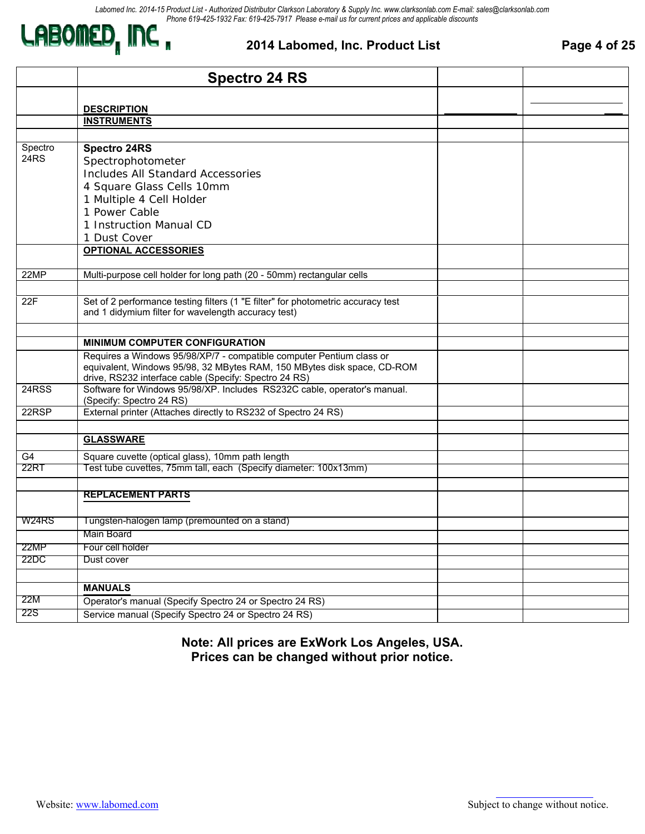

#### **2014 Labomed, Inc. Product List Page 4 of 25**

|         | <b>Spectro 24 RS</b>                                                                                                              |  |
|---------|-----------------------------------------------------------------------------------------------------------------------------------|--|
|         |                                                                                                                                   |  |
|         | <b>DESCRIPTION</b>                                                                                                                |  |
|         | <b>INSTRUMENTS</b>                                                                                                                |  |
|         |                                                                                                                                   |  |
| Spectro | <b>Spectro 24RS</b>                                                                                                               |  |
| 24RS    | Spectrophotometer                                                                                                                 |  |
|         | <b>Includes All Standard Accessories</b>                                                                                          |  |
|         | 4 Square Glass Cells 10mm                                                                                                         |  |
|         | 1 Multiple 4 Cell Holder                                                                                                          |  |
|         | 1 Power Cable                                                                                                                     |  |
|         | 1 Instruction Manual CD                                                                                                           |  |
|         | 1 Dust Cover                                                                                                                      |  |
|         | <b>OPTIONAL ACCESSORIES</b>                                                                                                       |  |
| 22MP    | Multi-purpose cell holder for long path (20 - 50mm) rectangular cells                                                             |  |
|         |                                                                                                                                   |  |
| 22F     | Set of 2 performance testing filters (1 "E filter" for photometric accuracy test                                                  |  |
|         | and 1 didymium filter for wavelength accuracy test)                                                                               |  |
|         |                                                                                                                                   |  |
|         | <b>MINIMUM COMPUTER CONFIGURATION</b>                                                                                             |  |
|         | Requires a Windows 95/98/XP/7 - compatible computer Pentium class or                                                              |  |
|         | equivalent, Windows 95/98, 32 MBytes RAM, 150 MBytes disk space, CD-ROM                                                           |  |
| 24RSS   | drive, RS232 interface cable (Specify: Spectro 24 RS)<br>Software for Windows 95/98/XP. Includes RS232C cable, operator's manual. |  |
|         | (Specify: Spectro 24 RS)                                                                                                          |  |
| 22RSP   | External printer (Attaches directly to RS232 of Spectro 24 RS)                                                                    |  |
|         |                                                                                                                                   |  |
|         | <b>GLASSWARE</b>                                                                                                                  |  |
| G4      | Square cuvette (optical glass), 10mm path length                                                                                  |  |
| 22RT    | Test tube cuvettes, 75mm tall, each (Specify diameter: 100x13mm)                                                                  |  |
|         |                                                                                                                                   |  |
|         | <b>REPLACEMENT PARTS</b>                                                                                                          |  |
|         |                                                                                                                                   |  |
| W24RS   | Tungsten-halogen lamp (premounted on a stand)                                                                                     |  |
|         | Main Board                                                                                                                        |  |
| 22MP    | Four cell holder                                                                                                                  |  |
| 22DC    | Dust cover                                                                                                                        |  |
|         |                                                                                                                                   |  |
|         | <b>MANUALS</b>                                                                                                                    |  |
| 22M     | Operator's manual (Specify Spectro 24 or Spectro 24 RS)                                                                           |  |
| 22S     | Service manual (Specify Spectro 24 or Spectro 24 RS)                                                                              |  |
|         |                                                                                                                                   |  |

**Note: All prices are ExWork Los Angeles, USA. Prices can be changed without prior notice.**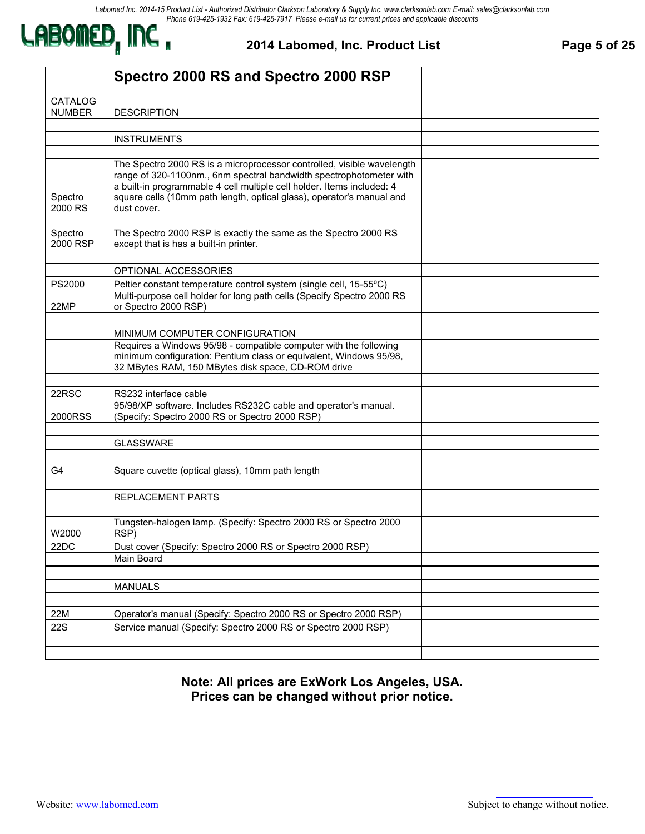

**2014 Labomed, Inc. Product List Page 5 of 25** 

|                                 | Spectro 2000 RS and Spectro 2000 RSP                                                                                                                                                                                                                                                                            |  |
|---------------------------------|-----------------------------------------------------------------------------------------------------------------------------------------------------------------------------------------------------------------------------------------------------------------------------------------------------------------|--|
| <b>CATALOG</b><br><b>NUMBER</b> | <b>DESCRIPTION</b>                                                                                                                                                                                                                                                                                              |  |
|                                 |                                                                                                                                                                                                                                                                                                                 |  |
|                                 | <b>INSTRUMENTS</b>                                                                                                                                                                                                                                                                                              |  |
|                                 |                                                                                                                                                                                                                                                                                                                 |  |
| Spectro<br>2000 RS              | The Spectro 2000 RS is a microprocessor controlled, visible wavelength<br>range of 320-1100nm., 6nm spectral bandwidth spectrophotometer with<br>a built-in programmable 4 cell multiple cell holder. Items included: 4<br>square cells (10mm path length, optical glass), operator's manual and<br>dust cover. |  |
|                                 |                                                                                                                                                                                                                                                                                                                 |  |
| Spectro<br>2000 RSP             | The Spectro 2000 RSP is exactly the same as the Spectro 2000 RS<br>except that is has a built-in printer.                                                                                                                                                                                                       |  |
|                                 |                                                                                                                                                                                                                                                                                                                 |  |
|                                 | OPTIONAL ACCESSORIES                                                                                                                                                                                                                                                                                            |  |
| PS2000                          | Peltier constant temperature control system (single cell, 15-55°C)                                                                                                                                                                                                                                              |  |
| 22MP                            | Multi-purpose cell holder for long path cells (Specify Spectro 2000 RS<br>or Spectro 2000 RSP)                                                                                                                                                                                                                  |  |
|                                 |                                                                                                                                                                                                                                                                                                                 |  |
|                                 | MINIMUM COMPUTER CONFIGURATION                                                                                                                                                                                                                                                                                  |  |
|                                 | Requires a Windows 95/98 - compatible computer with the following<br>minimum configuration: Pentium class or equivalent, Windows 95/98,<br>32 MBytes RAM, 150 MBytes disk space, CD-ROM drive                                                                                                                   |  |
|                                 |                                                                                                                                                                                                                                                                                                                 |  |
| 22RSC                           | RS232 interface cable                                                                                                                                                                                                                                                                                           |  |
| 2000RSS                         | 95/98/XP software. Includes RS232C cable and operator's manual.<br>(Specify: Spectro 2000 RS or Spectro 2000 RSP)                                                                                                                                                                                               |  |
|                                 |                                                                                                                                                                                                                                                                                                                 |  |
|                                 | <b>GLASSWARE</b>                                                                                                                                                                                                                                                                                                |  |
|                                 |                                                                                                                                                                                                                                                                                                                 |  |
| G4                              | Square cuvette (optical glass), 10mm path length                                                                                                                                                                                                                                                                |  |
|                                 |                                                                                                                                                                                                                                                                                                                 |  |
|                                 | REPLACEMENT PARTS                                                                                                                                                                                                                                                                                               |  |
|                                 |                                                                                                                                                                                                                                                                                                                 |  |
| W2000                           | Tungsten-halogen lamp. (Specify: Spectro 2000 RS or Spectro 2000<br>RSP)                                                                                                                                                                                                                                        |  |
| 22DC                            | Dust cover (Specify: Spectro 2000 RS or Spectro 2000 RSP)                                                                                                                                                                                                                                                       |  |
|                                 | Main Board                                                                                                                                                                                                                                                                                                      |  |
|                                 |                                                                                                                                                                                                                                                                                                                 |  |
|                                 | <b>MANUALS</b>                                                                                                                                                                                                                                                                                                  |  |
|                                 |                                                                                                                                                                                                                                                                                                                 |  |
| 22M                             | Operator's manual (Specify: Spectro 2000 RS or Spectro 2000 RSP)                                                                                                                                                                                                                                                |  |
| 22S                             | Service manual (Specify: Spectro 2000 RS or Spectro 2000 RSP)                                                                                                                                                                                                                                                   |  |
|                                 |                                                                                                                                                                                                                                                                                                                 |  |
|                                 |                                                                                                                                                                                                                                                                                                                 |  |

**Note: All prices are ExWork Los Angeles, USA. Prices can be changed without prior notice.**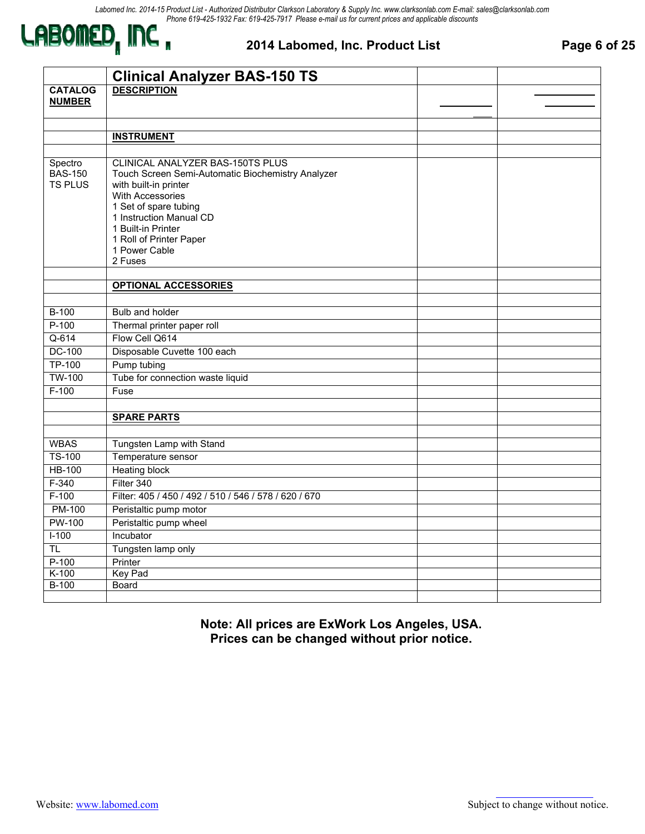

#### **2014 Labomed, Inc. Product List Page 6 of 25**

|                           | <b>Clinical Analyzer BAS-150 TS</b>                   |  |
|---------------------------|-------------------------------------------------------|--|
| <b>CATALOG</b>            | <b>DESCRIPTION</b>                                    |  |
| <b>NUMBER</b>             |                                                       |  |
|                           |                                                       |  |
|                           | <b>INSTRUMENT</b>                                     |  |
|                           |                                                       |  |
|                           | CLINICAL ANALYZER BAS-150TS PLUS                      |  |
| Spectro<br><b>BAS-150</b> | Touch Screen Semi-Automatic Biochemistry Analyzer     |  |
| <b>TS PLUS</b>            | with built-in printer                                 |  |
|                           | <b>With Accessories</b>                               |  |
|                           | 1 Set of spare tubing                                 |  |
|                           | 1 Instruction Manual CD                               |  |
|                           | 1 Built-in Printer<br>1 Roll of Printer Paper         |  |
|                           | 1 Power Cable                                         |  |
|                           | 2 Fuses                                               |  |
|                           |                                                       |  |
|                           | <b>OPTIONAL ACCESSORIES</b>                           |  |
|                           |                                                       |  |
| $B-100$                   | Bulb and holder                                       |  |
| $P-100$                   | Thermal printer paper roll                            |  |
| $Q-614$                   | Flow Cell Q614                                        |  |
| <b>DC-100</b>             | Disposable Cuvette 100 each                           |  |
| TP-100                    | Pump tubing                                           |  |
| <b>TW-100</b>             | Tube for connection waste liquid                      |  |
| $F-100$                   | Fuse                                                  |  |
|                           |                                                       |  |
|                           | <b>SPARE PARTS</b>                                    |  |
|                           |                                                       |  |
| <b>WBAS</b>               | Tungsten Lamp with Stand                              |  |
| <b>TS-100</b>             | Temperature sensor                                    |  |
| <b>HB-100</b>             | <b>Heating block</b>                                  |  |
| $F-340$                   | Filter 340                                            |  |
| $F-100$                   | Filter: 405 / 450 / 492 / 510 / 546 / 578 / 620 / 670 |  |
| <b>PM-100</b>             | Peristaltic pump motor                                |  |
| <b>PW-100</b>             | Peristaltic pump wheel                                |  |
| $I-100$                   | Incubator                                             |  |
| T <sub>L</sub>            | Tungsten lamp only                                    |  |
| $P-100$                   | Printer                                               |  |
| $K-100$                   | <b>Key Pad</b>                                        |  |
| B-100                     | <b>Board</b>                                          |  |
|                           |                                                       |  |

**Note: All prices are ExWork Los Angeles, USA. Prices can be changed without prior notice.**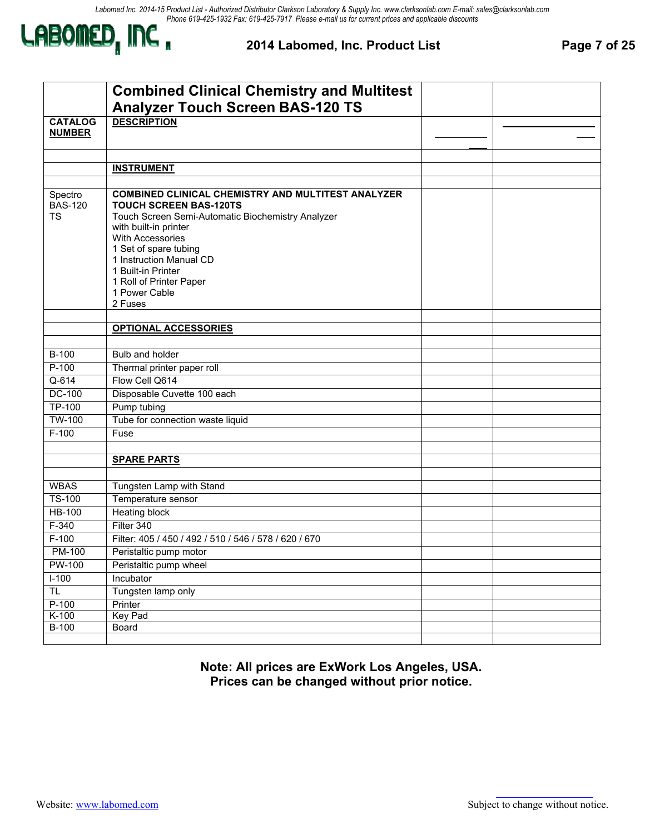

**2014 Labomed, Inc. Product List Page 7 of 25** 

|                | <b>Combined Clinical Chemistry and Multitest</b>          |  |
|----------------|-----------------------------------------------------------|--|
|                | <b>Analyzer Touch Screen BAS-120 TS</b>                   |  |
| <b>CATALOG</b> | <b>DESCRIPTION</b>                                        |  |
| <b>NUMBER</b>  |                                                           |  |
|                |                                                           |  |
|                | <b>INSTRUMENT</b>                                         |  |
|                |                                                           |  |
| Spectro        | <b>COMBINED CLINICAL CHEMISTRY AND MULTITEST ANALYZER</b> |  |
| <b>BAS-120</b> | <b>TOUCH SCREEN BAS-120TS</b>                             |  |
| <b>TS</b>      | Touch Screen Semi-Automatic Biochemistry Analyzer         |  |
|                | with built-in printer                                     |  |
|                | With Accessories                                          |  |
|                | 1 Set of spare tubing<br>1 Instruction Manual CD          |  |
|                | 1 Built-in Printer                                        |  |
|                | 1 Roll of Printer Paper                                   |  |
|                | 1 Power Cable                                             |  |
|                | 2 Fuses                                                   |  |
|                |                                                           |  |
|                | <b>OPTIONAL ACCESSORIES</b>                               |  |
| <b>B-100</b>   | Bulb and holder                                           |  |
| $P-100$        | Thermal printer paper roll                                |  |
| $Q-614$        | Flow Cell Q614                                            |  |
| <b>DC-100</b>  | Disposable Cuvette 100 each                               |  |
| <b>TP-100</b>  | Pump tubing                                               |  |
| <b>TW-100</b>  | Tube for connection waste liquid                          |  |
| $F-100$        | Fuse                                                      |  |
|                |                                                           |  |
|                | <b>SPARE PARTS</b>                                        |  |
|                |                                                           |  |
| <b>WBAS</b>    | Tungsten Lamp with Stand                                  |  |
| <b>TS-100</b>  | Temperature sensor                                        |  |
| <b>HB-100</b>  | <b>Heating block</b>                                      |  |
| $F-340$        | Filter 340                                                |  |
| $F-100$        | Filter: 405 / 450 / 492 / 510 / 546 / 578 / 620 / 670     |  |
| PM-100         | Peristaltic pump motor                                    |  |
| <b>PW-100</b>  | Peristaltic pump wheel                                    |  |
| $1-100$        | Incubator                                                 |  |
| TL.            | Tungsten lamp only                                        |  |
| $P-100$        | Printer                                                   |  |
| $K-100$        | <b>Key Pad</b>                                            |  |
| $B-100$        | Board                                                     |  |
|                |                                                           |  |

**Note: All prices are ExWork Los Angeles, USA. Prices can be changed without prior notice.**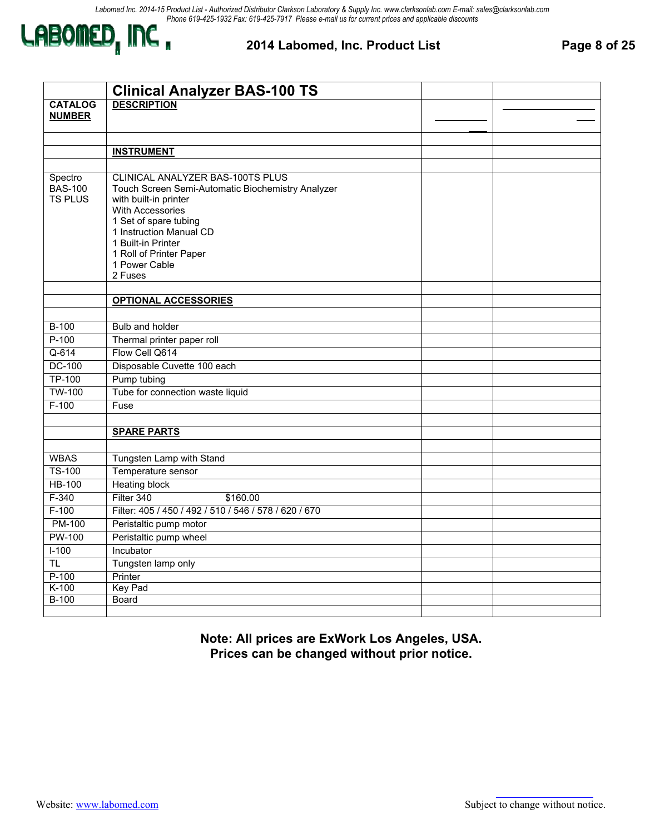

**2014 Labomed, Inc. Product List Page 8 of 25** 

|                | <b>Clinical Analyzer BAS-100 TS</b>                   |  |
|----------------|-------------------------------------------------------|--|
| <b>CATALOG</b> | <b>DESCRIPTION</b>                                    |  |
| <b>NUMBER</b>  |                                                       |  |
|                |                                                       |  |
|                | <b>INSTRUMENT</b>                                     |  |
|                |                                                       |  |
| Spectro        | CLINICAL ANALYZER BAS-100TS PLUS                      |  |
| <b>BAS-100</b> | Touch Screen Semi-Automatic Biochemistry Analyzer     |  |
| <b>TS PLUS</b> | with built-in printer                                 |  |
|                | <b>With Accessories</b>                               |  |
|                | 1 Set of spare tubing                                 |  |
|                | 1 Instruction Manual CD                               |  |
|                | 1 Built-in Printer                                    |  |
|                | 1 Roll of Printer Paper<br>1 Power Cable              |  |
|                | 2 Fuses                                               |  |
|                |                                                       |  |
|                | <b>OPTIONAL ACCESSORIES</b>                           |  |
|                |                                                       |  |
| $B-100$        | Bulb and holder                                       |  |
| $P-100$        | Thermal printer paper roll                            |  |
| $Q-614$        | Flow Cell Q614                                        |  |
| <b>DC-100</b>  | Disposable Cuvette 100 each                           |  |
| <b>TP-100</b>  | Pump tubing                                           |  |
| <b>TW-100</b>  | Tube for connection waste liquid                      |  |
| $F-100$        | Fuse                                                  |  |
|                |                                                       |  |
|                | <b>SPARE PARTS</b>                                    |  |
|                |                                                       |  |
| <b>WBAS</b>    | Tungsten Lamp with Stand                              |  |
| <b>TS-100</b>  | Temperature sensor                                    |  |
| <b>HB-100</b>  | <b>Heating block</b>                                  |  |
| $F-340$        | Filter 340<br>\$160.00                                |  |
| $F-100$        | Filter: 405 / 450 / 492 / 510 / 546 / 578 / 620 / 670 |  |
| <b>PM-100</b>  | Peristaltic pump motor                                |  |
| <b>PW-100</b>  | Peristaltic pump wheel                                |  |
| $I-100$        | Incubator                                             |  |
| <b>TL</b>      | Tungsten lamp only                                    |  |
| $P-100$        | Printer                                               |  |
| $K-100$        | <b>Key Pad</b>                                        |  |
| $B-100$        | Board                                                 |  |
|                |                                                       |  |

**Note: All prices are ExWork Los Angeles, USA. Prices can be changed without prior notice.**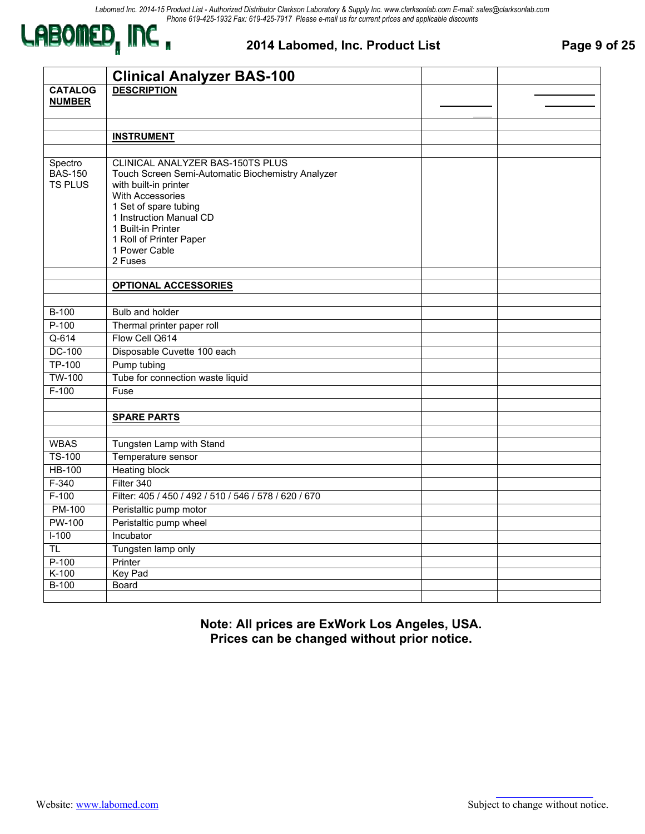

#### **2014 Labomed, Inc. Product List Page 9 of 25**

|                           | <b>Clinical Analyzer BAS-100</b>                                                      |  |
|---------------------------|---------------------------------------------------------------------------------------|--|
| <b>CATALOG</b>            | <b>DESCRIPTION</b>                                                                    |  |
| <b>NUMBER</b>             |                                                                                       |  |
|                           |                                                                                       |  |
|                           |                                                                                       |  |
|                           | <b>INSTRUMENT</b>                                                                     |  |
|                           |                                                                                       |  |
| Spectro<br><b>BAS-150</b> | CLINICAL ANALYZER BAS-150TS PLUS<br>Touch Screen Semi-Automatic Biochemistry Analyzer |  |
| <b>TS PLUS</b>            | with built-in printer                                                                 |  |
|                           | <b>With Accessories</b>                                                               |  |
|                           | 1 Set of spare tubing                                                                 |  |
|                           | 1 Instruction Manual CD                                                               |  |
|                           | 1 Built-in Printer                                                                    |  |
|                           | 1 Roll of Printer Paper<br>1 Power Cable                                              |  |
|                           | 2 Fuses                                                                               |  |
|                           |                                                                                       |  |
|                           | <b>OPTIONAL ACCESSORIES</b>                                                           |  |
|                           |                                                                                       |  |
| $B-100$                   | Bulb and holder                                                                       |  |
| $P-100$                   | Thermal printer paper roll                                                            |  |
| $Q-614$                   | Flow Cell Q614                                                                        |  |
| DC-100                    | Disposable Cuvette 100 each                                                           |  |
| <b>TP-100</b>             | Pump tubing                                                                           |  |
| <b>TW-100</b>             | Tube for connection waste liquid                                                      |  |
| $F-100$                   | Fuse                                                                                  |  |
|                           |                                                                                       |  |
|                           | <b>SPARE PARTS</b>                                                                    |  |
|                           |                                                                                       |  |
| <b>WBAS</b>               | Tungsten Lamp with Stand                                                              |  |
| <b>TS-100</b>             | Temperature sensor                                                                    |  |
| <b>HB-100</b>             | <b>Heating block</b>                                                                  |  |
| $F-340$                   | Filter 340                                                                            |  |
| $F-100$                   | Filter: 405 / 450 / 492 / 510 / 546 / 578 / 620 / 670                                 |  |
| <b>PM-100</b>             | Peristaltic pump motor                                                                |  |
| <b>PW-100</b>             | Peristaltic pump wheel                                                                |  |
| $I-100$                   | Incubator                                                                             |  |
| TL                        | Tungsten lamp only                                                                    |  |
| $P-100$                   | Printer                                                                               |  |
| $K-100$                   | <b>Key Pad</b>                                                                        |  |
| $B-100$                   | Board                                                                                 |  |
|                           |                                                                                       |  |

**Note: All prices are ExWork Los Angeles, USA. Prices can be changed without prior notice.**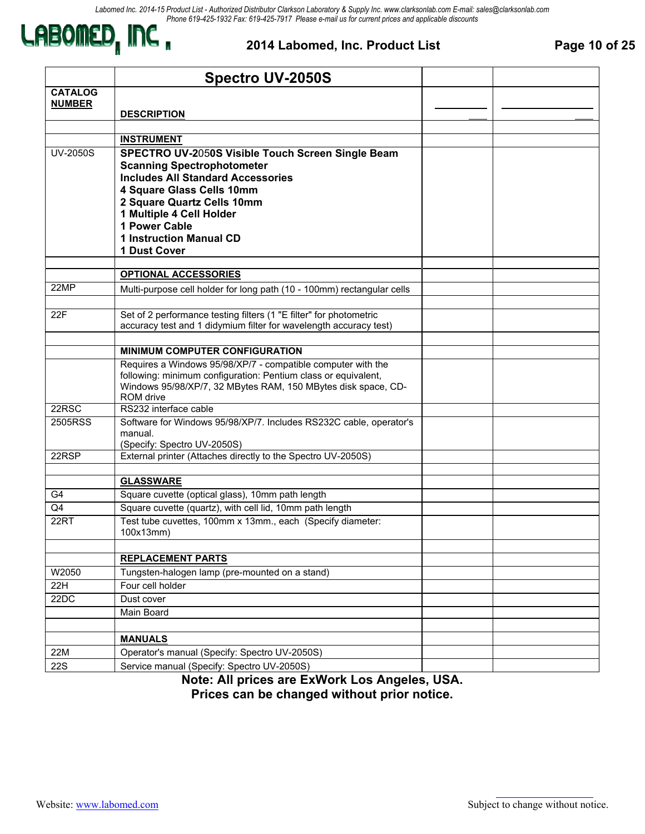

#### **2014 Labomed, Inc. Product List Page 10 of 25**

|                 | <b>Spectro UV-2050S</b>                                                       |  |
|-----------------|-------------------------------------------------------------------------------|--|
| <b>CATALOG</b>  |                                                                               |  |
| <b>NUMBER</b>   |                                                                               |  |
|                 | <b>DESCRIPTION</b>                                                            |  |
|                 | <b>INSTRUMENT</b>                                                             |  |
| <b>UV-2050S</b> | SPECTRO UV-2050S Visible Touch Screen Single Beam                             |  |
|                 | <b>Scanning Spectrophotometer</b>                                             |  |
|                 | <b>Includes All Standard Accessories</b>                                      |  |
|                 | 4 Square Glass Cells 10mm                                                     |  |
|                 | 2 Square Quartz Cells 10mm                                                    |  |
|                 | 1 Multiple 4 Cell Holder                                                      |  |
|                 | 1 Power Cable<br><b>1 Instruction Manual CD</b>                               |  |
|                 | 1 Dust Cover                                                                  |  |
|                 |                                                                               |  |
|                 | <b>OPTIONAL ACCESSORIES</b>                                                   |  |
| 22MP            | Multi-purpose cell holder for long path (10 - 100mm) rectangular cells        |  |
|                 |                                                                               |  |
| 22F             | Set of 2 performance testing filters (1 "E filter" for photometric            |  |
|                 | accuracy test and 1 didymium filter for wavelength accuracy test)             |  |
|                 | <b>MINIMUM COMPUTER CONFIGURATION</b>                                         |  |
|                 | Requires a Windows 95/98/XP/7 - compatible computer with the                  |  |
|                 | following: minimum configuration: Pentium class or equivalent,                |  |
|                 | Windows 95/98/XP/7, 32 MBytes RAM, 150 MBytes disk space, CD-                 |  |
|                 | ROM drive                                                                     |  |
| 22RSC           | RS232 interface cable                                                         |  |
| 2505RSS         | Software for Windows 95/98/XP/7. Includes RS232C cable, operator's<br>manual. |  |
|                 | (Specify: Spectro UV-2050S)                                                   |  |
| 22RSP           | External printer (Attaches directly to the Spectro UV-2050S)                  |  |
|                 |                                                                               |  |
|                 | <b>GLASSWARE</b>                                                              |  |
| G4              | Square cuvette (optical glass), 10mm path length                              |  |
| Q4              | Square cuvette (quartz), with cell lid, 10mm path length                      |  |
| 22RT            | Test tube cuvettes, 100mm x 13mm., each (Specify diameter:<br>100x13mm)       |  |
|                 |                                                                               |  |
|                 | <b>REPLACEMENT PARTS</b>                                                      |  |
| W2050           | Tungsten-halogen lamp (pre-mounted on a stand)                                |  |
| 22H             | Four cell holder                                                              |  |
| 22DC            | Dust cover                                                                    |  |
|                 | Main Board                                                                    |  |
|                 |                                                                               |  |
|                 | <b>MANUALS</b>                                                                |  |
| 22M             | Operator's manual (Specify: Spectro UV-2050S)                                 |  |
| <b>22S</b>      | Service manual (Specify: Spectro UV-2050S)                                    |  |

**Note: All prices are ExWork Los Angeles, USA. Prices can be changed without prior notice.**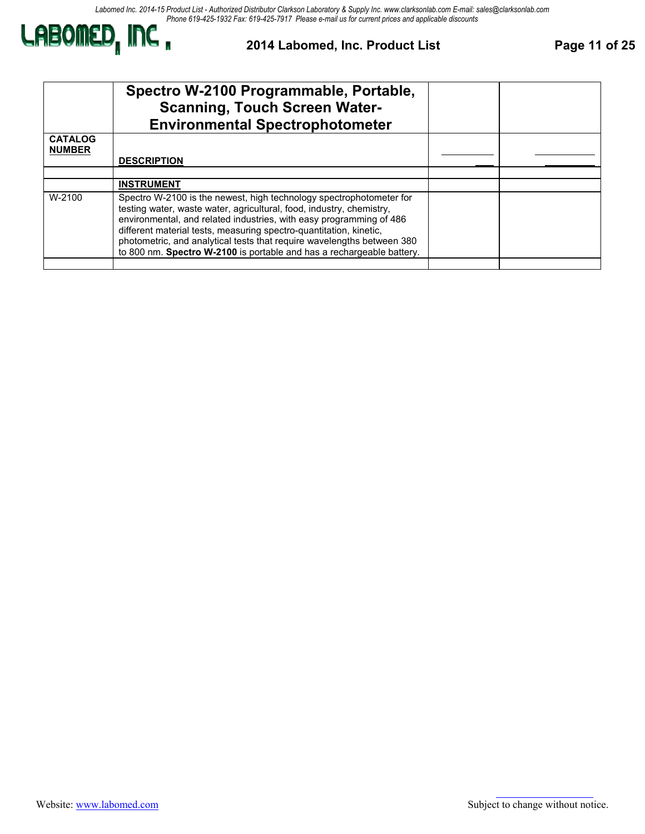*Labomed Inc. 2014-15 Product List - Authorized Distributor Clarkson Laboratory & Supply Inc. www.clarksonlab.com E-mail: sales@clarksonlab.com Phone 619-425-1932 Fax: 619-425-7917 Please e-mail us for current prices and applicable discounts*



#### **2014 Labomed, Inc. Product List Page 11 of 25**

|                                 | Spectro W-2100 Programmable, Portable,<br><b>Scanning, Touch Screen Water-</b><br><b>Environmental Spectrophotometer</b>                                                                                                                                                                                                                                                                                                                    |  |
|---------------------------------|---------------------------------------------------------------------------------------------------------------------------------------------------------------------------------------------------------------------------------------------------------------------------------------------------------------------------------------------------------------------------------------------------------------------------------------------|--|
| <b>CATALOG</b><br><b>NUMBER</b> |                                                                                                                                                                                                                                                                                                                                                                                                                                             |  |
|                                 | <b>DESCRIPTION</b>                                                                                                                                                                                                                                                                                                                                                                                                                          |  |
|                                 |                                                                                                                                                                                                                                                                                                                                                                                                                                             |  |
|                                 | <b>INSTRUMENT</b>                                                                                                                                                                                                                                                                                                                                                                                                                           |  |
| W-2100                          | Spectro W-2100 is the newest, high technology spectrophotometer for<br>testing water, waste water, agricultural, food, industry, chemistry,<br>environmental, and related industries, with easy programming of 486<br>different material tests, measuring spectro-quantitation, kinetic,<br>photometric, and analytical tests that require wavelengths between 380<br>to 800 nm. Spectro W-2100 is portable and has a rechargeable battery. |  |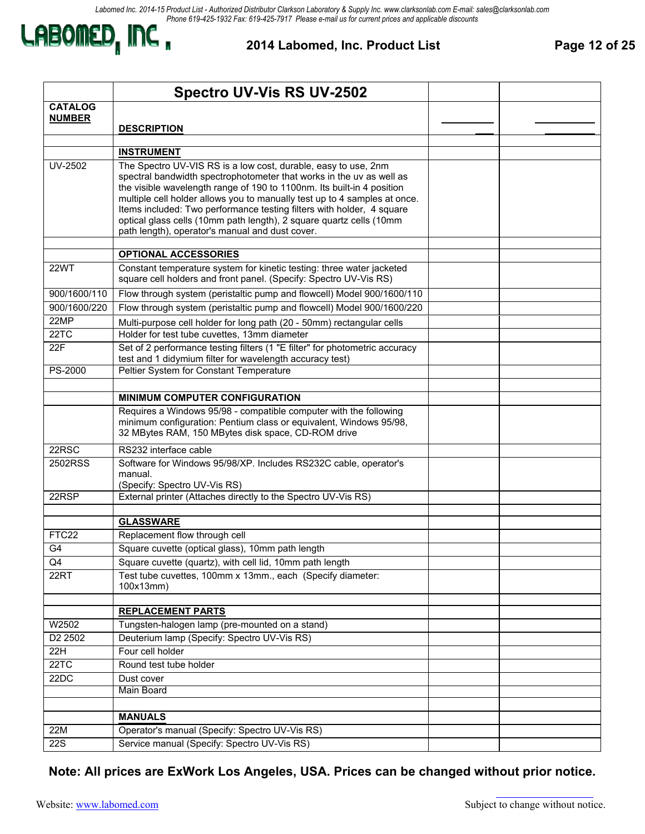

**2014 Labomed, Inc. Product List Page 12 of 25** 

|                | <b>Spectro UV-Vis RS UV-2502</b>                                                                                                                    |  |
|----------------|-----------------------------------------------------------------------------------------------------------------------------------------------------|--|
| <b>CATALOG</b> |                                                                                                                                                     |  |
| <b>NUMBER</b>  | <b>DESCRIPTION</b>                                                                                                                                  |  |
|                |                                                                                                                                                     |  |
|                | <b>INSTRUMENT</b>                                                                                                                                   |  |
| <b>UV-2502</b> | The Spectro UV-VIS RS is a low cost, durable, easy to use, 2nm                                                                                      |  |
|                | spectral bandwidth spectrophotometer that works in the uv as well as                                                                                |  |
|                | the visible wavelength range of 190 to 1100nm. Its built-in 4 position<br>multiple cell holder allows you to manually test up to 4 samples at once. |  |
|                | Items included: Two performance testing filters with holder, 4 square                                                                               |  |
|                | optical glass cells (10mm path length), 2 square quartz cells (10mm                                                                                 |  |
|                | path length), operator's manual and dust cover.                                                                                                     |  |
|                | <b>OPTIONAL ACCESSORIES</b>                                                                                                                         |  |
| <b>22WT</b>    | Constant temperature system for kinetic testing: three water jacketed<br>square cell holders and front panel. (Specify: Spectro UV-Vis RS)          |  |
| 900/1600/110   | Flow through system (peristaltic pump and flowcell) Model 900/1600/110                                                                              |  |
| 900/1600/220   | Flow through system (peristaltic pump and flowcell) Model 900/1600/220                                                                              |  |
| 22MP           | Multi-purpose cell holder for long path (20 - 50mm) rectangular cells                                                                               |  |
| 22TC           | Holder for test tube cuvettes, 13mm diameter                                                                                                        |  |
| 22F            | Set of 2 performance testing filters (1 "E filter" for photometric accuracy                                                                         |  |
|                | test and 1 didymium filter for wavelength accuracy test)                                                                                            |  |
| PS-2000        | Peltier System for Constant Temperature                                                                                                             |  |
|                | <b>MINIMUM COMPUTER CONFIGURATION</b>                                                                                                               |  |
|                | Requires a Windows 95/98 - compatible computer with the following                                                                                   |  |
|                | minimum configuration: Pentium class or equivalent, Windows 95/98,<br>32 MBytes RAM, 150 MBytes disk space, CD-ROM drive                            |  |
| 22RSC          | RS232 interface cable                                                                                                                               |  |
| 2502RSS        | Software for Windows 95/98/XP. Includes RS232C cable, operator's                                                                                    |  |
|                | manual.                                                                                                                                             |  |
| 22RSP          | (Specify: Spectro UV-Vis RS)<br>External printer (Attaches directly to the Spectro UV-Vis RS)                                                       |  |
|                |                                                                                                                                                     |  |
|                | <b>GLASSWARE</b>                                                                                                                                    |  |
| FTC22          | Replacement flow through cell                                                                                                                       |  |
| G <sub>4</sub> | Square cuvette (optical glass), 10mm path length                                                                                                    |  |
| Q4             | Square cuvette (quartz), with cell lid, 10mm path length                                                                                            |  |
| 22RT           | Test tube cuvettes, 100mm x 13mm., each (Specify diameter:                                                                                          |  |
|                | 100x13mm)                                                                                                                                           |  |
|                | <b>REPLACEMENT PARTS</b>                                                                                                                            |  |
| W2502          | Tungsten-halogen lamp (pre-mounted on a stand)                                                                                                      |  |
| D2 2502        | Deuterium lamp (Specify: Spectro UV-Vis RS)                                                                                                         |  |
| 22H            | Four cell holder                                                                                                                                    |  |
| 22TC           | Round test tube holder                                                                                                                              |  |
| 22DC           | Dust cover                                                                                                                                          |  |
|                | Main Board                                                                                                                                          |  |
|                |                                                                                                                                                     |  |
|                | <b>MANUALS</b>                                                                                                                                      |  |
| 22M            | Operator's manual (Specify: Spectro UV-Vis RS)<br>Service manual (Specify: Spectro UV-Vis RS)                                                       |  |
| <b>22S</b>     |                                                                                                                                                     |  |

2728 S. La Cienega Blvd.., Los Angeles, CA 90034 – Tel. (310) 202-0811 Fax (310) 202-7286 – Email: spectro@labomed.com **Note: All prices are ExWork Los Angeles, USA. Prices can be changed without prior notice.**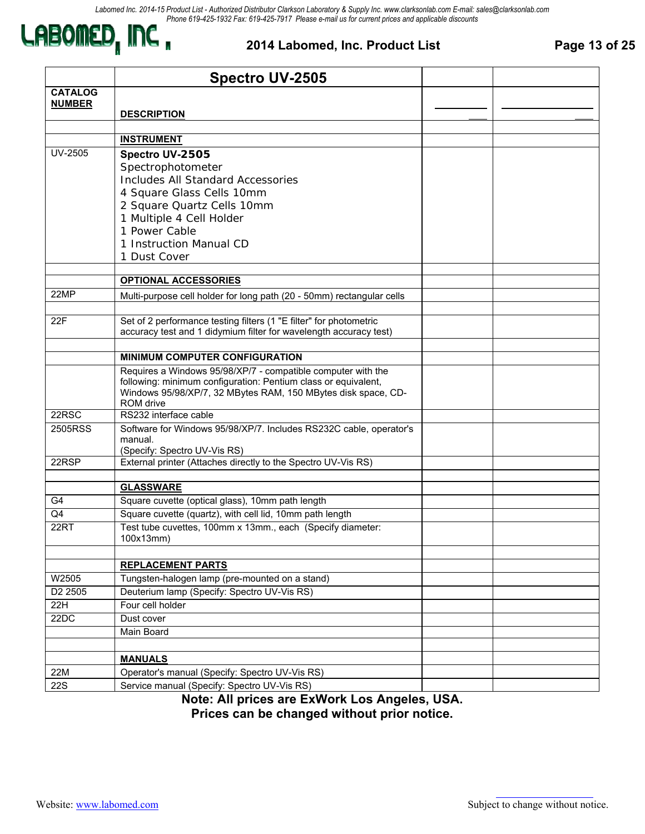

#### **2014 Labomed, Inc. Product List Page 13 of 25**

|                     | <b>Spectro UV-2505</b>                                                                                       |  |
|---------------------|--------------------------------------------------------------------------------------------------------------|--|
| <b>CATALOG</b>      |                                                                                                              |  |
| <b>NUMBER</b>       | <b>DESCRIPTION</b>                                                                                           |  |
|                     |                                                                                                              |  |
|                     | <b>INSTRUMENT</b>                                                                                            |  |
| UV-2505             | Spectro UV-2505                                                                                              |  |
|                     | Spectrophotometer                                                                                            |  |
|                     | <b>Includes All Standard Accessories</b>                                                                     |  |
|                     | 4 Square Glass Cells 10mm                                                                                    |  |
|                     | 2 Square Quartz Cells 10mm                                                                                   |  |
|                     | 1 Multiple 4 Cell Holder                                                                                     |  |
|                     | 1 Power Cable                                                                                                |  |
|                     | 1 Instruction Manual CD                                                                                      |  |
|                     | 1 Dust Cover                                                                                                 |  |
|                     |                                                                                                              |  |
| 22MP                | <b>OPTIONAL ACCESSORIES</b>                                                                                  |  |
|                     | Multi-purpose cell holder for long path (20 - 50mm) rectangular cells                                        |  |
| 22F                 | Set of 2 performance testing filters (1 "E filter" for photometric                                           |  |
|                     | accuracy test and 1 didymium filter for wavelength accuracy test)                                            |  |
|                     |                                                                                                              |  |
|                     | <b>MINIMUM COMPUTER CONFIGURATION</b>                                                                        |  |
|                     | Requires a Windows 95/98/XP/7 - compatible computer with the                                                 |  |
|                     | following: minimum configuration: Pentium class or equivalent,                                               |  |
|                     | Windows 95/98/XP/7, 32 MBytes RAM, 150 MBytes disk space, CD-<br>ROM drive                                   |  |
| 22RSC               | RS232 interface cable                                                                                        |  |
| 2505RSS             | Software for Windows 95/98/XP/7. Includes RS232C cable, operator's                                           |  |
|                     | manual.                                                                                                      |  |
|                     | (Specify: Spectro UV-Vis RS)                                                                                 |  |
| 22RSP               | External printer (Attaches directly to the Spectro UV-Vis RS)                                                |  |
|                     |                                                                                                              |  |
|                     | <b>GLASSWARE</b>                                                                                             |  |
| G4                  | Square cuvette (optical glass), 10mm path length<br>Square cuvette (quartz), with cell lid, 10mm path length |  |
| Q4<br>22RT          | Test tube cuvettes, 100mm x 13mm., each (Specify diameter:                                                   |  |
|                     | 100x13mm)                                                                                                    |  |
|                     |                                                                                                              |  |
|                     | <b>REPLACEMENT PARTS</b>                                                                                     |  |
| W2505               | Tungsten-halogen lamp (pre-mounted on a stand)                                                               |  |
| D <sub>2</sub> 2505 | Deuterium lamp (Specify: Spectro UV-Vis RS)                                                                  |  |
| 22H                 | Four cell holder                                                                                             |  |
| 22DC                | Dust cover                                                                                                   |  |
|                     | Main Board                                                                                                   |  |
|                     |                                                                                                              |  |
|                     | <b>MANUALS</b>                                                                                               |  |
| 22M                 | Operator's manual (Specify: Spectro UV-Vis RS)                                                               |  |
| <b>22S</b>          | Service manual (Specify: Spectro UV-Vis RS)                                                                  |  |

**Note: All prices are ExWork Los Angeles, USA.** 

**Prices can be changed without prior notice.**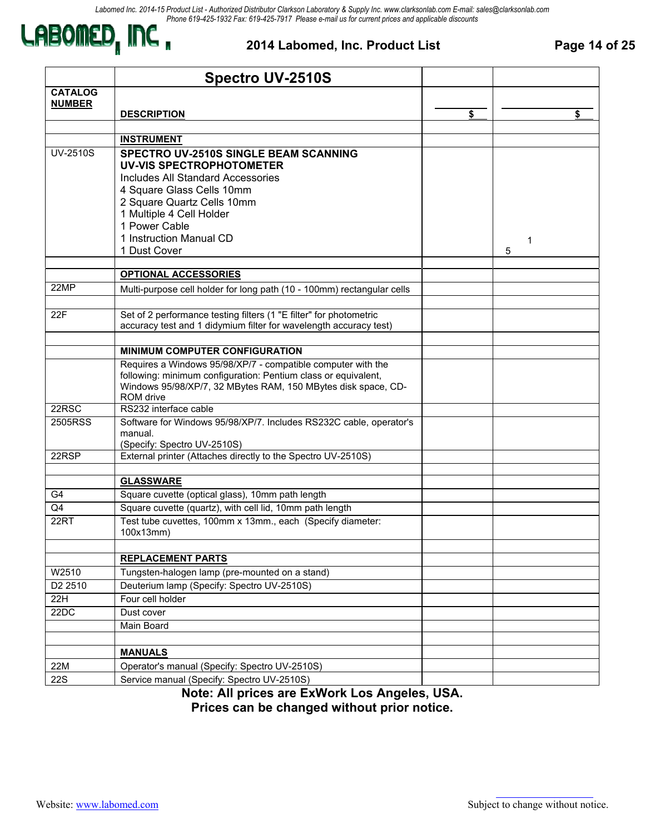

#### **2014 Labomed, Inc. Product List Page 14 of 25**

|                     | <b>Spectro UV-2510S</b>                                                                                                                                                                                                                                   |          |
|---------------------|-----------------------------------------------------------------------------------------------------------------------------------------------------------------------------------------------------------------------------------------------------------|----------|
| <b>CATALOG</b>      |                                                                                                                                                                                                                                                           |          |
| <b>NUMBER</b>       | <b>DESCRIPTION</b>                                                                                                                                                                                                                                        | \$<br>\$ |
|                     |                                                                                                                                                                                                                                                           |          |
|                     | <b>INSTRUMENT</b>                                                                                                                                                                                                                                         |          |
| <b>UV-2510S</b>     | SPECTRO UV-2510S SINGLE BEAM SCANNING<br>UV-VIS SPECTROPHOTOMETER<br>Includes All Standard Accessories<br>4 Square Glass Cells 10mm<br>2 Square Quartz Cells 10mm<br>1 Multiple 4 Cell Holder<br>1 Power Cable<br>1 Instruction Manual CD<br>1 Dust Cover | 1<br>5   |
|                     | <b>OPTIONAL ACCESSORIES</b>                                                                                                                                                                                                                               |          |
| 22MP                | Multi-purpose cell holder for long path (10 - 100mm) rectangular cells                                                                                                                                                                                    |          |
| 22F                 | Set of 2 performance testing filters (1 "E filter" for photometric<br>accuracy test and 1 didymium filter for wavelength accuracy test)                                                                                                                   |          |
|                     | <b>MINIMUM COMPUTER CONFIGURATION</b>                                                                                                                                                                                                                     |          |
|                     | Requires a Windows 95/98/XP/7 - compatible computer with the<br>following: minimum configuration: Pentium class or equivalent,<br>Windows 95/98/XP/7, 32 MBytes RAM, 150 MBytes disk space, CD-<br>ROM drive                                              |          |
| 22RSC               | RS232 interface cable                                                                                                                                                                                                                                     |          |
| 2505RSS             | Software for Windows 95/98/XP/7. Includes RS232C cable, operator's<br>manual.<br>(Specify: Spectro UV-2510S)                                                                                                                                              |          |
| 22RSP               | External printer (Attaches directly to the Spectro UV-2510S)                                                                                                                                                                                              |          |
|                     |                                                                                                                                                                                                                                                           |          |
|                     | <b>GLASSWARE</b>                                                                                                                                                                                                                                          |          |
| G4<br>Q4            | Square cuvette (optical glass), 10mm path length<br>Square cuvette (quartz), with cell lid, 10mm path length                                                                                                                                              |          |
| 22RT                | Test tube cuvettes, 100mm x 13mm., each (Specify diameter:<br>100x13mm)                                                                                                                                                                                   |          |
|                     |                                                                                                                                                                                                                                                           |          |
|                     | <b>REPLACEMENT PARTS</b>                                                                                                                                                                                                                                  |          |
| W2510               | Tungsten-halogen lamp (pre-mounted on a stand)                                                                                                                                                                                                            |          |
| D <sub>2</sub> 2510 | Deuterium lamp (Specify: Spectro UV-2510S)                                                                                                                                                                                                                |          |
| 22H                 | Four cell holder                                                                                                                                                                                                                                          |          |
| 22DC                | Dust cover                                                                                                                                                                                                                                                |          |
|                     | Main Board                                                                                                                                                                                                                                                |          |
|                     |                                                                                                                                                                                                                                                           |          |
|                     | <b>MANUALS</b>                                                                                                                                                                                                                                            |          |
| 22M<br><b>22S</b>   | Operator's manual (Specify: Spectro UV-2510S)<br>Service manual (Specify: Spectro UV-2510S)                                                                                                                                                               |          |
|                     |                                                                                                                                                                                                                                                           |          |

**Note: All prices are ExWork Los Angeles, USA.**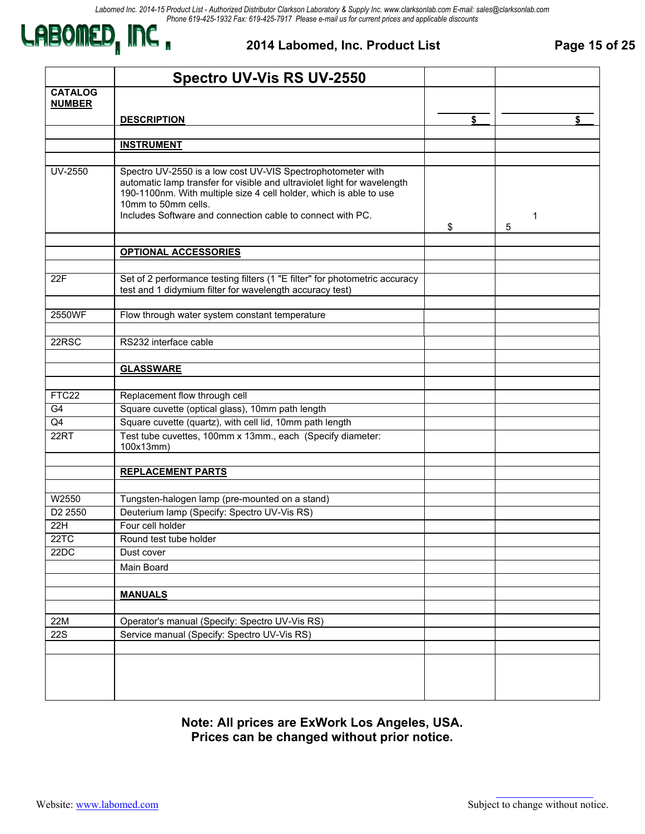

#### **2014 Labomed, Inc. Product List Page 15 of 25**

|                                 | <b>Spectro UV-Vis RS UV-2550</b>                                                                                                                                                                                                                                                                   |              |
|---------------------------------|----------------------------------------------------------------------------------------------------------------------------------------------------------------------------------------------------------------------------------------------------------------------------------------------------|--------------|
| <b>CATALOG</b><br><b>NUMBER</b> |                                                                                                                                                                                                                                                                                                    |              |
|                                 | <b>DESCRIPTION</b>                                                                                                                                                                                                                                                                                 | \$<br>\$     |
|                                 |                                                                                                                                                                                                                                                                                                    |              |
|                                 | <b>INSTRUMENT</b>                                                                                                                                                                                                                                                                                  |              |
|                                 |                                                                                                                                                                                                                                                                                                    |              |
| <b>UV-2550</b>                  | Spectro UV-2550 is a low cost UV-VIS Spectrophotometer with<br>automatic lamp transfer for visible and ultraviolet light for wavelength<br>190-1100nm. With multiple size 4 cell holder, which is able to use<br>10mm to 50mm cells.<br>Includes Software and connection cable to connect with PC. | \$<br>1<br>5 |
|                                 | <b>OPTIONAL ACCESSORIES</b>                                                                                                                                                                                                                                                                        |              |
|                                 |                                                                                                                                                                                                                                                                                                    |              |
| 22F                             | Set of 2 performance testing filters (1 "E filter" for photometric accuracy<br>test and 1 didymium filter for wavelength accuracy test)                                                                                                                                                            |              |
| 2550WF                          | Flow through water system constant temperature                                                                                                                                                                                                                                                     |              |
|                                 |                                                                                                                                                                                                                                                                                                    |              |
| 22RSC                           | RS232 interface cable                                                                                                                                                                                                                                                                              |              |
|                                 |                                                                                                                                                                                                                                                                                                    |              |
|                                 | <b>GLASSWARE</b>                                                                                                                                                                                                                                                                                   |              |
|                                 |                                                                                                                                                                                                                                                                                                    |              |
| FTC22                           | Replacement flow through cell                                                                                                                                                                                                                                                                      |              |
| G4                              | Square cuvette (optical glass), 10mm path length                                                                                                                                                                                                                                                   |              |
| Q4                              | Square cuvette (quartz), with cell lid, 10mm path length                                                                                                                                                                                                                                           |              |
| 22RT                            | Test tube cuvettes, 100mm x 13mm., each (Specify diameter:<br>100x13mm)                                                                                                                                                                                                                            |              |
|                                 |                                                                                                                                                                                                                                                                                                    |              |
|                                 | <b>REPLACEMENT PARTS</b>                                                                                                                                                                                                                                                                           |              |
| W2550                           |                                                                                                                                                                                                                                                                                                    |              |
| D2 2550                         | Tungsten-halogen lamp (pre-mounted on a stand)<br>Deuterium lamp (Specify: Spectro UV-Vis RS)                                                                                                                                                                                                      |              |
| 22H                             | Four cell holder                                                                                                                                                                                                                                                                                   |              |
| 22TC                            | Round test tube holder                                                                                                                                                                                                                                                                             |              |
| 22DC                            | Dust cover                                                                                                                                                                                                                                                                                         |              |
|                                 | Main Board                                                                                                                                                                                                                                                                                         |              |
|                                 |                                                                                                                                                                                                                                                                                                    |              |
|                                 | <b>MANUALS</b>                                                                                                                                                                                                                                                                                     |              |
|                                 |                                                                                                                                                                                                                                                                                                    |              |
| 22M                             | Operator's manual (Specify: Spectro UV-Vis RS)                                                                                                                                                                                                                                                     |              |
| <b>22S</b>                      | Service manual (Specify: Spectro UV-Vis RS)                                                                                                                                                                                                                                                        |              |
|                                 |                                                                                                                                                                                                                                                                                                    |              |
|                                 |                                                                                                                                                                                                                                                                                                    |              |
|                                 |                                                                                                                                                                                                                                                                                                    |              |
|                                 |                                                                                                                                                                                                                                                                                                    |              |
|                                 |                                                                                                                                                                                                                                                                                                    |              |

**Note: All prices are ExWork Los Angeles, USA. Prices can be changed without prior notice.**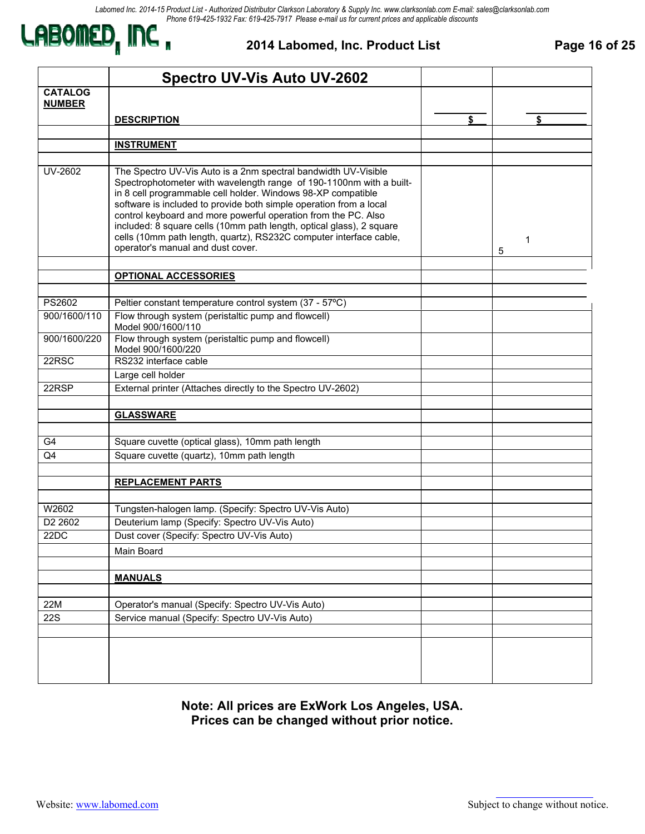

#### **2014 Labomed, Inc. Product List Page 16 of 25**

| <b>CATALOG</b><br><b>NUMBER</b><br>\$<br><b>DESCRIPTION</b><br>\$<br><b>INSTRUMENT</b><br><b>UV-2602</b><br>The Spectro UV-Vis Auto is a 2nm spectral bandwidth UV-Visible<br>Spectrophotometer with wavelength range of 190-1100nm with a built-<br>in 8 cell programmable cell holder. Windows 98-XP compatible<br>software is included to provide both simple operation from a local<br>control keyboard and more powerful operation from the PC. Also<br>included: 8 square cells (10mm path length, optical glass), 2 square<br>cells (10mm path length, quartz), RS232C computer interface cable,<br>1<br>operator's manual and dust cover.<br>5<br><b>OPTIONAL ACCESSORIES</b><br>PS2602<br>Peltier constant temperature control system (37 - 57°C)<br>Flow through system (peristaltic pump and flowcell)<br>900/1600/110<br>Model 900/1600/110<br>Flow through system (peristaltic pump and flowcell)<br>900/1600/220<br>Model 900/1600/220<br>22RSC<br>RS232 interface cable<br>Large cell holder<br>22RSP<br>External printer (Attaches directly to the Spectro UV-2602)<br><b>GLASSWARE</b><br>G4<br>Square cuvette (optical glass), 10mm path length<br>Square cuvette (quartz), 10mm path length<br>Q4<br><b>REPLACEMENT PARTS</b><br>W2602<br>Tungsten-halogen lamp. (Specify: Spectro UV-Vis Auto)<br>D <sub>2</sub> 260 <sub>2</sub><br>Deuterium lamp (Specify: Spectro UV-Vis Auto)<br>Dust cover (Specify: Spectro UV-Vis Auto)<br>22DC<br>Main Board<br><b>MANUALS</b><br>22M<br>Operator's manual (Specify: Spectro UV-Vis Auto)<br><b>22S</b><br>Service manual (Specify: Spectro UV-Vis Auto) | <b>Spectro UV-Vis Auto UV-2602</b> |  |
|-----------------------------------------------------------------------------------------------------------------------------------------------------------------------------------------------------------------------------------------------------------------------------------------------------------------------------------------------------------------------------------------------------------------------------------------------------------------------------------------------------------------------------------------------------------------------------------------------------------------------------------------------------------------------------------------------------------------------------------------------------------------------------------------------------------------------------------------------------------------------------------------------------------------------------------------------------------------------------------------------------------------------------------------------------------------------------------------------------------------------------------------------------------------------------------------------------------------------------------------------------------------------------------------------------------------------------------------------------------------------------------------------------------------------------------------------------------------------------------------------------------------------------------------------------------------------------------------------------------------------|------------------------------------|--|
|                                                                                                                                                                                                                                                                                                                                                                                                                                                                                                                                                                                                                                                                                                                                                                                                                                                                                                                                                                                                                                                                                                                                                                                                                                                                                                                                                                                                                                                                                                                                                                                                                       |                                    |  |
|                                                                                                                                                                                                                                                                                                                                                                                                                                                                                                                                                                                                                                                                                                                                                                                                                                                                                                                                                                                                                                                                                                                                                                                                                                                                                                                                                                                                                                                                                                                                                                                                                       |                                    |  |
|                                                                                                                                                                                                                                                                                                                                                                                                                                                                                                                                                                                                                                                                                                                                                                                                                                                                                                                                                                                                                                                                                                                                                                                                                                                                                                                                                                                                                                                                                                                                                                                                                       |                                    |  |
|                                                                                                                                                                                                                                                                                                                                                                                                                                                                                                                                                                                                                                                                                                                                                                                                                                                                                                                                                                                                                                                                                                                                                                                                                                                                                                                                                                                                                                                                                                                                                                                                                       |                                    |  |
|                                                                                                                                                                                                                                                                                                                                                                                                                                                                                                                                                                                                                                                                                                                                                                                                                                                                                                                                                                                                                                                                                                                                                                                                                                                                                                                                                                                                                                                                                                                                                                                                                       |                                    |  |
|                                                                                                                                                                                                                                                                                                                                                                                                                                                                                                                                                                                                                                                                                                                                                                                                                                                                                                                                                                                                                                                                                                                                                                                                                                                                                                                                                                                                                                                                                                                                                                                                                       |                                    |  |
|                                                                                                                                                                                                                                                                                                                                                                                                                                                                                                                                                                                                                                                                                                                                                                                                                                                                                                                                                                                                                                                                                                                                                                                                                                                                                                                                                                                                                                                                                                                                                                                                                       |                                    |  |
|                                                                                                                                                                                                                                                                                                                                                                                                                                                                                                                                                                                                                                                                                                                                                                                                                                                                                                                                                                                                                                                                                                                                                                                                                                                                                                                                                                                                                                                                                                                                                                                                                       |                                    |  |
|                                                                                                                                                                                                                                                                                                                                                                                                                                                                                                                                                                                                                                                                                                                                                                                                                                                                                                                                                                                                                                                                                                                                                                                                                                                                                                                                                                                                                                                                                                                                                                                                                       |                                    |  |
|                                                                                                                                                                                                                                                                                                                                                                                                                                                                                                                                                                                                                                                                                                                                                                                                                                                                                                                                                                                                                                                                                                                                                                                                                                                                                                                                                                                                                                                                                                                                                                                                                       |                                    |  |
|                                                                                                                                                                                                                                                                                                                                                                                                                                                                                                                                                                                                                                                                                                                                                                                                                                                                                                                                                                                                                                                                                                                                                                                                                                                                                                                                                                                                                                                                                                                                                                                                                       |                                    |  |
|                                                                                                                                                                                                                                                                                                                                                                                                                                                                                                                                                                                                                                                                                                                                                                                                                                                                                                                                                                                                                                                                                                                                                                                                                                                                                                                                                                                                                                                                                                                                                                                                                       |                                    |  |
|                                                                                                                                                                                                                                                                                                                                                                                                                                                                                                                                                                                                                                                                                                                                                                                                                                                                                                                                                                                                                                                                                                                                                                                                                                                                                                                                                                                                                                                                                                                                                                                                                       |                                    |  |
|                                                                                                                                                                                                                                                                                                                                                                                                                                                                                                                                                                                                                                                                                                                                                                                                                                                                                                                                                                                                                                                                                                                                                                                                                                                                                                                                                                                                                                                                                                                                                                                                                       |                                    |  |
|                                                                                                                                                                                                                                                                                                                                                                                                                                                                                                                                                                                                                                                                                                                                                                                                                                                                                                                                                                                                                                                                                                                                                                                                                                                                                                                                                                                                                                                                                                                                                                                                                       |                                    |  |
|                                                                                                                                                                                                                                                                                                                                                                                                                                                                                                                                                                                                                                                                                                                                                                                                                                                                                                                                                                                                                                                                                                                                                                                                                                                                                                                                                                                                                                                                                                                                                                                                                       |                                    |  |
|                                                                                                                                                                                                                                                                                                                                                                                                                                                                                                                                                                                                                                                                                                                                                                                                                                                                                                                                                                                                                                                                                                                                                                                                                                                                                                                                                                                                                                                                                                                                                                                                                       |                                    |  |
|                                                                                                                                                                                                                                                                                                                                                                                                                                                                                                                                                                                                                                                                                                                                                                                                                                                                                                                                                                                                                                                                                                                                                                                                                                                                                                                                                                                                                                                                                                                                                                                                                       |                                    |  |
|                                                                                                                                                                                                                                                                                                                                                                                                                                                                                                                                                                                                                                                                                                                                                                                                                                                                                                                                                                                                                                                                                                                                                                                                                                                                                                                                                                                                                                                                                                                                                                                                                       |                                    |  |
|                                                                                                                                                                                                                                                                                                                                                                                                                                                                                                                                                                                                                                                                                                                                                                                                                                                                                                                                                                                                                                                                                                                                                                                                                                                                                                                                                                                                                                                                                                                                                                                                                       |                                    |  |
|                                                                                                                                                                                                                                                                                                                                                                                                                                                                                                                                                                                                                                                                                                                                                                                                                                                                                                                                                                                                                                                                                                                                                                                                                                                                                                                                                                                                                                                                                                                                                                                                                       |                                    |  |
|                                                                                                                                                                                                                                                                                                                                                                                                                                                                                                                                                                                                                                                                                                                                                                                                                                                                                                                                                                                                                                                                                                                                                                                                                                                                                                                                                                                                                                                                                                                                                                                                                       |                                    |  |
|                                                                                                                                                                                                                                                                                                                                                                                                                                                                                                                                                                                                                                                                                                                                                                                                                                                                                                                                                                                                                                                                                                                                                                                                                                                                                                                                                                                                                                                                                                                                                                                                                       |                                    |  |
|                                                                                                                                                                                                                                                                                                                                                                                                                                                                                                                                                                                                                                                                                                                                                                                                                                                                                                                                                                                                                                                                                                                                                                                                                                                                                                                                                                                                                                                                                                                                                                                                                       |                                    |  |
|                                                                                                                                                                                                                                                                                                                                                                                                                                                                                                                                                                                                                                                                                                                                                                                                                                                                                                                                                                                                                                                                                                                                                                                                                                                                                                                                                                                                                                                                                                                                                                                                                       |                                    |  |
|                                                                                                                                                                                                                                                                                                                                                                                                                                                                                                                                                                                                                                                                                                                                                                                                                                                                                                                                                                                                                                                                                                                                                                                                                                                                                                                                                                                                                                                                                                                                                                                                                       |                                    |  |
|                                                                                                                                                                                                                                                                                                                                                                                                                                                                                                                                                                                                                                                                                                                                                                                                                                                                                                                                                                                                                                                                                                                                                                                                                                                                                                                                                                                                                                                                                                                                                                                                                       |                                    |  |
|                                                                                                                                                                                                                                                                                                                                                                                                                                                                                                                                                                                                                                                                                                                                                                                                                                                                                                                                                                                                                                                                                                                                                                                                                                                                                                                                                                                                                                                                                                                                                                                                                       |                                    |  |
|                                                                                                                                                                                                                                                                                                                                                                                                                                                                                                                                                                                                                                                                                                                                                                                                                                                                                                                                                                                                                                                                                                                                                                                                                                                                                                                                                                                                                                                                                                                                                                                                                       |                                    |  |
|                                                                                                                                                                                                                                                                                                                                                                                                                                                                                                                                                                                                                                                                                                                                                                                                                                                                                                                                                                                                                                                                                                                                                                                                                                                                                                                                                                                                                                                                                                                                                                                                                       |                                    |  |
|                                                                                                                                                                                                                                                                                                                                                                                                                                                                                                                                                                                                                                                                                                                                                                                                                                                                                                                                                                                                                                                                                                                                                                                                                                                                                                                                                                                                                                                                                                                                                                                                                       |                                    |  |
|                                                                                                                                                                                                                                                                                                                                                                                                                                                                                                                                                                                                                                                                                                                                                                                                                                                                                                                                                                                                                                                                                                                                                                                                                                                                                                                                                                                                                                                                                                                                                                                                                       |                                    |  |
|                                                                                                                                                                                                                                                                                                                                                                                                                                                                                                                                                                                                                                                                                                                                                                                                                                                                                                                                                                                                                                                                                                                                                                                                                                                                                                                                                                                                                                                                                                                                                                                                                       |                                    |  |
|                                                                                                                                                                                                                                                                                                                                                                                                                                                                                                                                                                                                                                                                                                                                                                                                                                                                                                                                                                                                                                                                                                                                                                                                                                                                                                                                                                                                                                                                                                                                                                                                                       |                                    |  |

**Note: All prices are ExWork Los Angeles, USA. Prices can be changed without prior notice.**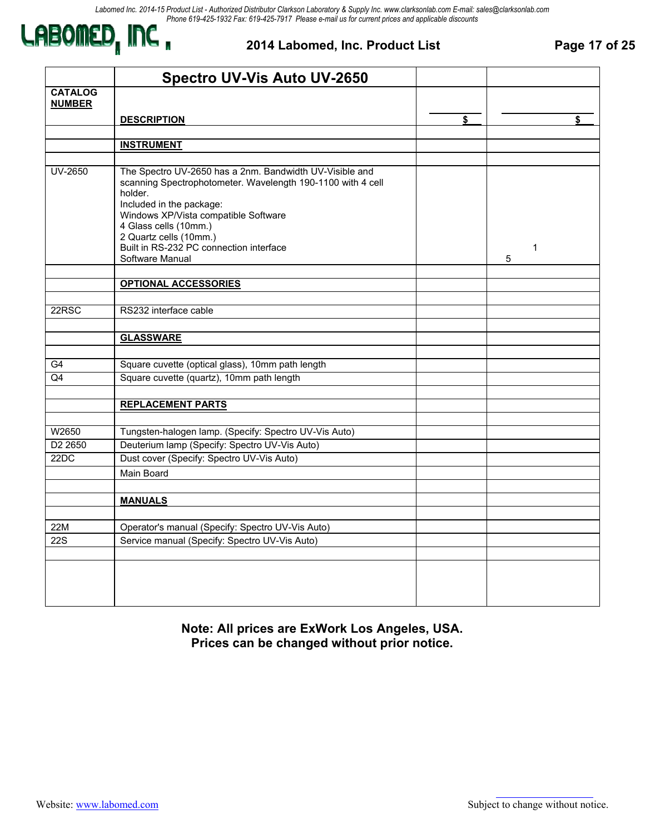

#### **2014 Labomed, Inc. Product List Page 17 of 25**

|                                 | <b>Spectro UV-Vis Auto UV-2650</b>                                                                                                                                                                                                                                                                                     |                   |
|---------------------------------|------------------------------------------------------------------------------------------------------------------------------------------------------------------------------------------------------------------------------------------------------------------------------------------------------------------------|-------------------|
| <b>CATALOG</b><br><b>NUMBER</b> |                                                                                                                                                                                                                                                                                                                        |                   |
|                                 | <b>DESCRIPTION</b>                                                                                                                                                                                                                                                                                                     | \$                |
|                                 |                                                                                                                                                                                                                                                                                                                        |                   |
|                                 | <b>INSTRUMENT</b>                                                                                                                                                                                                                                                                                                      |                   |
| UV-2650                         | The Spectro UV-2650 has a 2nm. Bandwidth UV-Visible and<br>scanning Spectrophotometer. Wavelength 190-1100 with 4 cell<br>holder.<br>Included in the package:<br>Windows XP/Vista compatible Software<br>4 Glass cells (10mm.)<br>2 Quartz cells (10mm.)<br>Built in RS-232 PC connection interface<br>Software Manual | $\mathbf{1}$<br>5 |
|                                 | <b>OPTIONAL ACCESSORIES</b>                                                                                                                                                                                                                                                                                            |                   |
|                                 |                                                                                                                                                                                                                                                                                                                        |                   |
| 22RSC                           | RS232 interface cable                                                                                                                                                                                                                                                                                                  |                   |
|                                 |                                                                                                                                                                                                                                                                                                                        |                   |
|                                 | <b>GLASSWARE</b>                                                                                                                                                                                                                                                                                                       |                   |
|                                 |                                                                                                                                                                                                                                                                                                                        |                   |
| G4                              | Square cuvette (optical glass), 10mm path length                                                                                                                                                                                                                                                                       |                   |
| Q4                              | Square cuvette (quartz), 10mm path length                                                                                                                                                                                                                                                                              |                   |
|                                 |                                                                                                                                                                                                                                                                                                                        |                   |
|                                 | <b>REPLACEMENT PARTS</b>                                                                                                                                                                                                                                                                                               |                   |
|                                 |                                                                                                                                                                                                                                                                                                                        |                   |
| W2650                           | Tungsten-halogen lamp. (Specify: Spectro UV-Vis Auto)                                                                                                                                                                                                                                                                  |                   |
| D <sub>2</sub> 2650             | Deuterium lamp (Specify: Spectro UV-Vis Auto)                                                                                                                                                                                                                                                                          |                   |
| 22DC                            | Dust cover (Specify: Spectro UV-Vis Auto)                                                                                                                                                                                                                                                                              |                   |
|                                 | Main Board                                                                                                                                                                                                                                                                                                             |                   |
|                                 |                                                                                                                                                                                                                                                                                                                        |                   |
|                                 | <b>MANUALS</b>                                                                                                                                                                                                                                                                                                         |                   |
|                                 |                                                                                                                                                                                                                                                                                                                        |                   |
| 22M                             | Operator's manual (Specify: Spectro UV-Vis Auto)                                                                                                                                                                                                                                                                       |                   |
| <b>22S</b>                      | Service manual (Specify: Spectro UV-Vis Auto)                                                                                                                                                                                                                                                                          |                   |
|                                 |                                                                                                                                                                                                                                                                                                                        |                   |
|                                 |                                                                                                                                                                                                                                                                                                                        |                   |

**Note: All prices are ExWork Los Angeles, USA. Prices can be changed without prior notice.**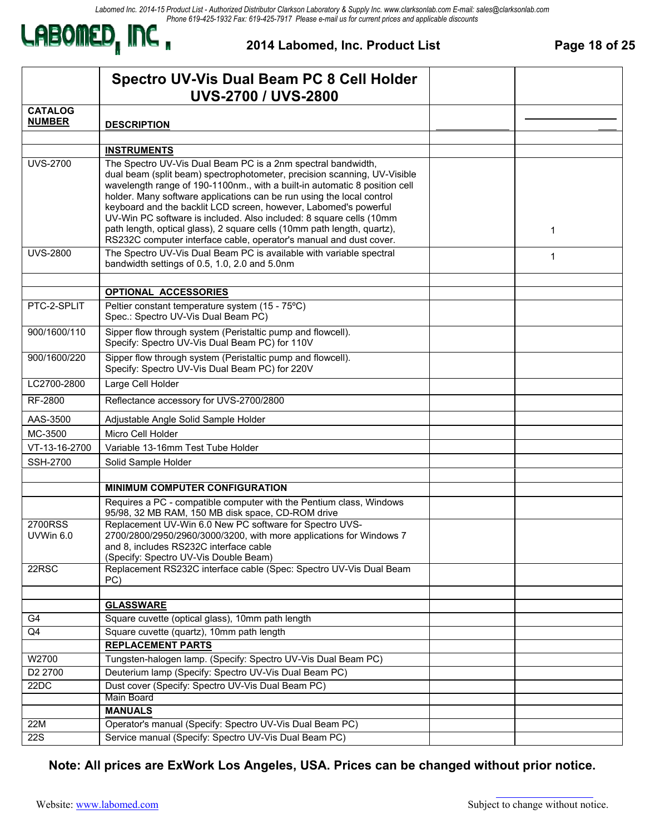*Labomed Inc. 2014-15 Product List - Authorized Distributor Clarkson Laboratory & Supply Inc. www.clarksonlab.com E-mail: sales@clarksonlab.com Phone 619-425-1932 Fax: 619-425-7917 Please e-mail us for current prices and applicable discounts*



#### **2014 Labomed, Inc. Product List Page 18 of 25**

|                      | Spectro UV-Vis Dual Beam PC 8 Cell Holder<br><b>UVS-2700 / UVS-2800</b>                                                                                                                                                                                                                                                                                                                                                                                                                                                                                                                     |  |   |  |
|----------------------|---------------------------------------------------------------------------------------------------------------------------------------------------------------------------------------------------------------------------------------------------------------------------------------------------------------------------------------------------------------------------------------------------------------------------------------------------------------------------------------------------------------------------------------------------------------------------------------------|--|---|--|
| <b>CATALOG</b>       |                                                                                                                                                                                                                                                                                                                                                                                                                                                                                                                                                                                             |  |   |  |
| <b>NUMBER</b>        | <b>DESCRIPTION</b>                                                                                                                                                                                                                                                                                                                                                                                                                                                                                                                                                                          |  |   |  |
|                      |                                                                                                                                                                                                                                                                                                                                                                                                                                                                                                                                                                                             |  |   |  |
|                      | <b>INSTRUMENTS</b>                                                                                                                                                                                                                                                                                                                                                                                                                                                                                                                                                                          |  |   |  |
| <b>UVS-2700</b>      | The Spectro UV-Vis Dual Beam PC is a 2nm spectral bandwidth,<br>dual beam (split beam) spectrophotometer, precision scanning, UV-Visible<br>wavelength range of 190-1100nm., with a built-in automatic 8 position cell<br>holder. Many software applications can be run using the local control<br>keyboard and the backlit LCD screen, however, Labomed's powerful<br>UV-Win PC software is included. Also included: 8 square cells (10mm<br>path length, optical glass), 2 square cells (10mm path length, quartz),<br>RS232C computer interface cable, operator's manual and dust cover. |  | 1 |  |
| <b>UVS-2800</b>      | The Spectro UV-Vis Dual Beam PC is available with variable spectral<br>bandwidth settings of 0.5, 1.0, 2.0 and 5.0nm                                                                                                                                                                                                                                                                                                                                                                                                                                                                        |  | 1 |  |
|                      | <b>OPTIONAL ACCESSORIES</b>                                                                                                                                                                                                                                                                                                                                                                                                                                                                                                                                                                 |  |   |  |
| PTC-2-SPLIT          | Peltier constant temperature system (15 - 75°C)<br>Spec.: Spectro UV-Vis Dual Beam PC)                                                                                                                                                                                                                                                                                                                                                                                                                                                                                                      |  |   |  |
| 900/1600/110         | Sipper flow through system (Peristaltic pump and flowcell).<br>Specify: Spectro UV-Vis Dual Beam PC) for 110V                                                                                                                                                                                                                                                                                                                                                                                                                                                                               |  |   |  |
| 900/1600/220         | Sipper flow through system (Peristaltic pump and flowcell).<br>Specify: Spectro UV-Vis Dual Beam PC) for 220V                                                                                                                                                                                                                                                                                                                                                                                                                                                                               |  |   |  |
| LC2700-2800          | Large Cell Holder                                                                                                                                                                                                                                                                                                                                                                                                                                                                                                                                                                           |  |   |  |
| RF-2800              | Reflectance accessory for UVS-2700/2800                                                                                                                                                                                                                                                                                                                                                                                                                                                                                                                                                     |  |   |  |
| AAS-3500             | Adjustable Angle Solid Sample Holder                                                                                                                                                                                                                                                                                                                                                                                                                                                                                                                                                        |  |   |  |
| MC-3500              | Micro Cell Holder                                                                                                                                                                                                                                                                                                                                                                                                                                                                                                                                                                           |  |   |  |
| VT-13-16-2700        | Variable 13-16mm Test Tube Holder                                                                                                                                                                                                                                                                                                                                                                                                                                                                                                                                                           |  |   |  |
| <b>SSH-2700</b>      | Solid Sample Holder                                                                                                                                                                                                                                                                                                                                                                                                                                                                                                                                                                         |  |   |  |
|                      |                                                                                                                                                                                                                                                                                                                                                                                                                                                                                                                                                                                             |  |   |  |
|                      | <b>MINIMUM COMPUTER CONFIGURATION</b>                                                                                                                                                                                                                                                                                                                                                                                                                                                                                                                                                       |  |   |  |
|                      | Requires a PC - compatible computer with the Pentium class, Windows<br>95/98, 32 MB RAM, 150 MB disk space, CD-ROM drive                                                                                                                                                                                                                                                                                                                                                                                                                                                                    |  |   |  |
| 2700RSS<br>UVWin 6.0 | Replacement UV-Win 6.0 New PC software for Spectro UVS-<br>2700/2800/2950/2960/3000/3200, with more applications for Windows 7<br>and 8, includes RS232C interface cable<br>(Specify: Spectro UV-Vis Double Beam)                                                                                                                                                                                                                                                                                                                                                                           |  |   |  |
| 22RSC                | Replacement RS232C interface cable (Spec: Spectro UV-Vis Dual Beam<br>PC)                                                                                                                                                                                                                                                                                                                                                                                                                                                                                                                   |  |   |  |
|                      | <b>GLASSWARE</b>                                                                                                                                                                                                                                                                                                                                                                                                                                                                                                                                                                            |  |   |  |
| G4                   | Square cuvette (optical glass), 10mm path length                                                                                                                                                                                                                                                                                                                                                                                                                                                                                                                                            |  |   |  |
| Q4                   | Square cuvette (quartz), 10mm path length                                                                                                                                                                                                                                                                                                                                                                                                                                                                                                                                                   |  |   |  |
|                      | <b>REPLACEMENT PARTS</b>                                                                                                                                                                                                                                                                                                                                                                                                                                                                                                                                                                    |  |   |  |
| W2700                | Tungsten-halogen lamp. (Specify: Spectro UV-Vis Dual Beam PC)                                                                                                                                                                                                                                                                                                                                                                                                                                                                                                                               |  |   |  |
| D2 2700              | Deuterium lamp (Specify: Spectro UV-Vis Dual Beam PC)                                                                                                                                                                                                                                                                                                                                                                                                                                                                                                                                       |  |   |  |
| 22DC                 | Dust cover (Specify: Spectro UV-Vis Dual Beam PC)                                                                                                                                                                                                                                                                                                                                                                                                                                                                                                                                           |  |   |  |
|                      | Main Board                                                                                                                                                                                                                                                                                                                                                                                                                                                                                                                                                                                  |  |   |  |
|                      | <b>MANUALS</b>                                                                                                                                                                                                                                                                                                                                                                                                                                                                                                                                                                              |  |   |  |
| 22M                  | Operator's manual (Specify: Spectro UV-Vis Dual Beam PC)                                                                                                                                                                                                                                                                                                                                                                                                                                                                                                                                    |  |   |  |
| <b>22S</b>           | Service manual (Specify: Spectro UV-Vis Dual Beam PC)                                                                                                                                                                                                                                                                                                                                                                                                                                                                                                                                       |  |   |  |

**Note: All prices are ExWork Los Angeles, USA. Prices can be changed without prior notice.**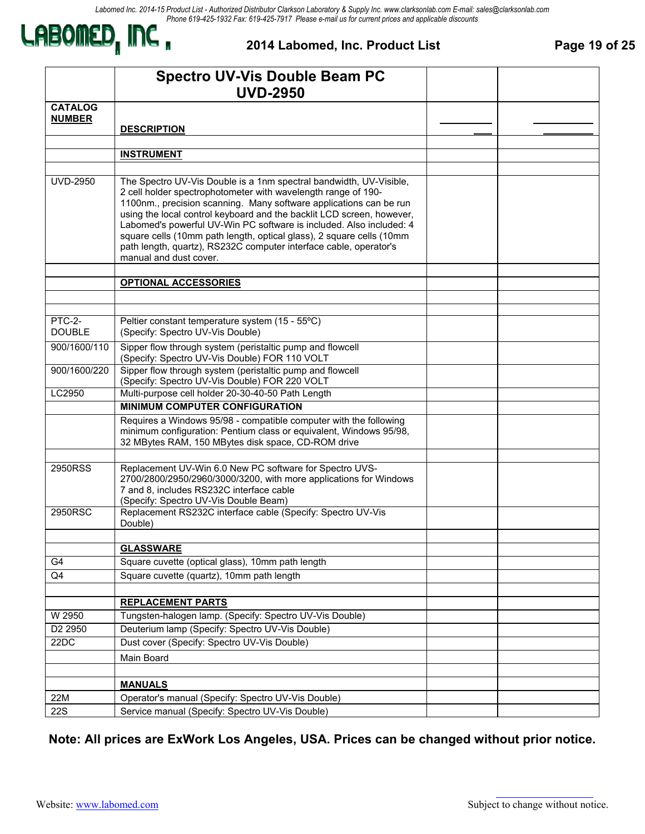

**2014 Labomed, Inc. Product List Page 19 of 25** 

|                         | <b>Spectro UV-Vis Double Beam PC</b><br><b>UVD-2950</b>                                                                                                                                                                                                                                                                                                                                                                                                                                                                          |  |
|-------------------------|----------------------------------------------------------------------------------------------------------------------------------------------------------------------------------------------------------------------------------------------------------------------------------------------------------------------------------------------------------------------------------------------------------------------------------------------------------------------------------------------------------------------------------|--|
| <b>CATALOG</b>          |                                                                                                                                                                                                                                                                                                                                                                                                                                                                                                                                  |  |
| <b>NUMBER</b>           | <b>DESCRIPTION</b>                                                                                                                                                                                                                                                                                                                                                                                                                                                                                                               |  |
|                         |                                                                                                                                                                                                                                                                                                                                                                                                                                                                                                                                  |  |
|                         | <b>INSTRUMENT</b>                                                                                                                                                                                                                                                                                                                                                                                                                                                                                                                |  |
|                         |                                                                                                                                                                                                                                                                                                                                                                                                                                                                                                                                  |  |
| <b>UVD-2950</b>         | The Spectro UV-Vis Double is a 1nm spectral bandwidth, UV-Visible,<br>2 cell holder spectrophotometer with wavelength range of 190-<br>1100nm., precision scanning. Many software applications can be run<br>using the local control keyboard and the backlit LCD screen, however,<br>Labomed's powerful UV-Win PC software is included. Also included: 4<br>square cells (10mm path length, optical glass), 2 square cells (10mm<br>path length, quartz), RS232C computer interface cable, operator's<br>manual and dust cover. |  |
|                         | <b>OPTIONAL ACCESSORIES</b>                                                                                                                                                                                                                                                                                                                                                                                                                                                                                                      |  |
|                         |                                                                                                                                                                                                                                                                                                                                                                                                                                                                                                                                  |  |
|                         |                                                                                                                                                                                                                                                                                                                                                                                                                                                                                                                                  |  |
| PTC-2-<br><b>DOUBLE</b> | Peltier constant temperature system (15 - 55°C)<br>(Specify: Spectro UV-Vis Double)                                                                                                                                                                                                                                                                                                                                                                                                                                              |  |
| 900/1600/110            | Sipper flow through system (peristaltic pump and flowcell<br>(Specify: Spectro UV-Vis Double) FOR 110 VOLT                                                                                                                                                                                                                                                                                                                                                                                                                       |  |
| 900/1600/220            | Sipper flow through system (peristaltic pump and flowcell<br>(Specify: Spectro UV-Vis Double) FOR 220 VOLT                                                                                                                                                                                                                                                                                                                                                                                                                       |  |
| LC2950                  | Multi-purpose cell holder 20-30-40-50 Path Length                                                                                                                                                                                                                                                                                                                                                                                                                                                                                |  |
|                         | <b>MINIMUM COMPUTER CONFIGURATION</b>                                                                                                                                                                                                                                                                                                                                                                                                                                                                                            |  |
|                         | Requires a Windows 95/98 - compatible computer with the following<br>minimum configuration: Pentium class or equivalent, Windows 95/98,<br>32 MBytes RAM, 150 MBytes disk space, CD-ROM drive                                                                                                                                                                                                                                                                                                                                    |  |
| 2950RSS                 | Replacement UV-Win 6.0 New PC software for Spectro UVS-                                                                                                                                                                                                                                                                                                                                                                                                                                                                          |  |
|                         | 2700/2800/2950/2960/3000/3200, with more applications for Windows<br>7 and 8, includes RS232C interface cable<br>(Specify: Spectro UV-Vis Double Beam)                                                                                                                                                                                                                                                                                                                                                                           |  |
| 2950RSC                 | Replacement RS232C interface cable (Specify: Spectro UV-Vis<br>Double)                                                                                                                                                                                                                                                                                                                                                                                                                                                           |  |
|                         | <b>GLASSWARE</b>                                                                                                                                                                                                                                                                                                                                                                                                                                                                                                                 |  |
| G4                      | Square cuvette (optical glass), 10mm path length                                                                                                                                                                                                                                                                                                                                                                                                                                                                                 |  |
| Q4                      | Square cuvette (quartz), 10mm path length                                                                                                                                                                                                                                                                                                                                                                                                                                                                                        |  |
|                         |                                                                                                                                                                                                                                                                                                                                                                                                                                                                                                                                  |  |
|                         | <b>REPLACEMENT PARTS</b>                                                                                                                                                                                                                                                                                                                                                                                                                                                                                                         |  |
| W 2950                  | Tungsten-halogen lamp. (Specify: Spectro UV-Vis Double)                                                                                                                                                                                                                                                                                                                                                                                                                                                                          |  |
| D2 2950                 | Deuterium lamp (Specify: Spectro UV-Vis Double)                                                                                                                                                                                                                                                                                                                                                                                                                                                                                  |  |
| 22DC                    | Dust cover (Specify: Spectro UV-Vis Double)                                                                                                                                                                                                                                                                                                                                                                                                                                                                                      |  |
|                         | Main Board                                                                                                                                                                                                                                                                                                                                                                                                                                                                                                                       |  |
|                         |                                                                                                                                                                                                                                                                                                                                                                                                                                                                                                                                  |  |
|                         | <b>MANUALS</b>                                                                                                                                                                                                                                                                                                                                                                                                                                                                                                                   |  |
| 22M                     | Operator's manual (Specify: Spectro UV-Vis Double)                                                                                                                                                                                                                                                                                                                                                                                                                                                                               |  |
| <b>22S</b>              | Service manual (Specify: Spectro UV-Vis Double)                                                                                                                                                                                                                                                                                                                                                                                                                                                                                  |  |

**Note: All prices are ExWork Los Angeles, USA. Prices can be changed without prior notice.**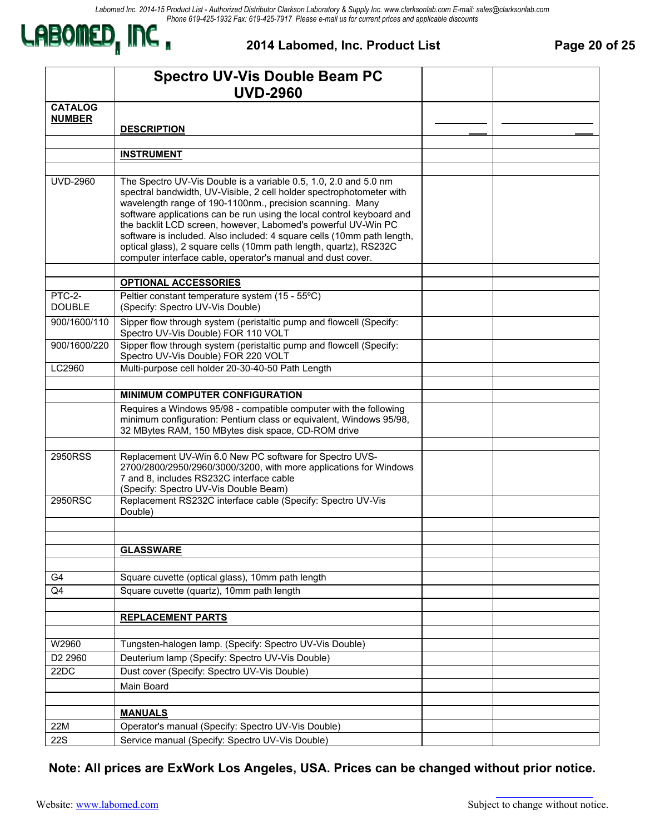

**2014 Labomed, Inc. Product List Page 20 of 25** 

|                             | <b>Spectro UV-Vis Double Beam PC</b>                                                                                                                                                                                                                                                                                                                                                                                                                                                                                                                          |  |
|-----------------------------|---------------------------------------------------------------------------------------------------------------------------------------------------------------------------------------------------------------------------------------------------------------------------------------------------------------------------------------------------------------------------------------------------------------------------------------------------------------------------------------------------------------------------------------------------------------|--|
| <b>CATALOG</b>              | <b>UVD-2960</b>                                                                                                                                                                                                                                                                                                                                                                                                                                                                                                                                               |  |
| <b>NUMBER</b>               |                                                                                                                                                                                                                                                                                                                                                                                                                                                                                                                                                               |  |
|                             | <b>DESCRIPTION</b>                                                                                                                                                                                                                                                                                                                                                                                                                                                                                                                                            |  |
|                             | <b>INSTRUMENT</b>                                                                                                                                                                                                                                                                                                                                                                                                                                                                                                                                             |  |
|                             |                                                                                                                                                                                                                                                                                                                                                                                                                                                                                                                                                               |  |
| <b>UVD-2960</b>             | The Spectro UV-Vis Double is a variable 0.5, 1.0, 2.0 and 5.0 nm<br>spectral bandwidth, UV-Visible, 2 cell holder spectrophotometer with<br>wavelength range of 190-1100nm., precision scanning. Many<br>software applications can be run using the local control keyboard and<br>the backlit LCD screen, however, Labomed's powerful UV-Win PC<br>software is included. Also included: 4 square cells (10mm path length,<br>optical glass), 2 square cells (10mm path length, quartz), RS232C<br>computer interface cable, operator's manual and dust cover. |  |
|                             | <b>OPTIONAL ACCESSORIES</b>                                                                                                                                                                                                                                                                                                                                                                                                                                                                                                                                   |  |
| PTC-2-<br><b>DOUBLE</b>     | Peltier constant temperature system (15 - 55°C)<br>(Specify: Spectro UV-Vis Double)                                                                                                                                                                                                                                                                                                                                                                                                                                                                           |  |
| 900/1600/110                | Sipper flow through system (peristaltic pump and flowcell (Specify:<br>Spectro UV-Vis Double) FOR 110 VOLT                                                                                                                                                                                                                                                                                                                                                                                                                                                    |  |
| 900/1600/220                | Sipper flow through system (peristaltic pump and flowcell (Specify:<br>Spectro UV-Vis Double) FOR 220 VOLT                                                                                                                                                                                                                                                                                                                                                                                                                                                    |  |
| LC2960                      | Multi-purpose cell holder 20-30-40-50 Path Length                                                                                                                                                                                                                                                                                                                                                                                                                                                                                                             |  |
|                             |                                                                                                                                                                                                                                                                                                                                                                                                                                                                                                                                                               |  |
|                             | MINIMUM COMPUTER CONFIGURATION<br>Requires a Windows 95/98 - compatible computer with the following                                                                                                                                                                                                                                                                                                                                                                                                                                                           |  |
|                             | minimum configuration: Pentium class or equivalent, Windows 95/98,<br>32 MBytes RAM, 150 MBytes disk space, CD-ROM drive                                                                                                                                                                                                                                                                                                                                                                                                                                      |  |
|                             |                                                                                                                                                                                                                                                                                                                                                                                                                                                                                                                                                               |  |
| 2950RSS                     | Replacement UV-Win 6.0 New PC software for Spectro UVS-<br>2700/2800/2950/2960/3000/3200, with more applications for Windows<br>7 and 8, includes RS232C interface cable<br>(Specify: Spectro UV-Vis Double Beam)                                                                                                                                                                                                                                                                                                                                             |  |
| 2950RSC                     | Replacement RS232C interface cable (Specify: Spectro UV-Vis<br>Double)                                                                                                                                                                                                                                                                                                                                                                                                                                                                                        |  |
|                             |                                                                                                                                                                                                                                                                                                                                                                                                                                                                                                                                                               |  |
|                             | <b>GLASSWARE</b>                                                                                                                                                                                                                                                                                                                                                                                                                                                                                                                                              |  |
|                             |                                                                                                                                                                                                                                                                                                                                                                                                                                                                                                                                                               |  |
| G4                          | Square cuvette (optical glass), 10mm path length                                                                                                                                                                                                                                                                                                                                                                                                                                                                                                              |  |
| Q4                          | Square cuvette (quartz), 10mm path length                                                                                                                                                                                                                                                                                                                                                                                                                                                                                                                     |  |
|                             |                                                                                                                                                                                                                                                                                                                                                                                                                                                                                                                                                               |  |
|                             | <b>REPLACEMENT PARTS</b>                                                                                                                                                                                                                                                                                                                                                                                                                                                                                                                                      |  |
|                             |                                                                                                                                                                                                                                                                                                                                                                                                                                                                                                                                                               |  |
| W2960                       | Tungsten-halogen lamp. (Specify: Spectro UV-Vis Double)                                                                                                                                                                                                                                                                                                                                                                                                                                                                                                       |  |
| D <sub>2</sub> 2960<br>22DC | Deuterium lamp (Specify: Spectro UV-Vis Double)<br>Dust cover (Specify: Spectro UV-Vis Double)                                                                                                                                                                                                                                                                                                                                                                                                                                                                |  |
|                             |                                                                                                                                                                                                                                                                                                                                                                                                                                                                                                                                                               |  |
|                             | Main Board                                                                                                                                                                                                                                                                                                                                                                                                                                                                                                                                                    |  |
|                             | <b>MANUALS</b>                                                                                                                                                                                                                                                                                                                                                                                                                                                                                                                                                |  |
| 22M                         | Operator's manual (Specify: Spectro UV-Vis Double)                                                                                                                                                                                                                                                                                                                                                                                                                                                                                                            |  |
| <b>22S</b>                  | Service manual (Specify: Spectro UV-Vis Double)                                                                                                                                                                                                                                                                                                                                                                                                                                                                                                               |  |

**Note: All prices are ExWork Los Angeles, USA. Prices can be changed without prior notice.**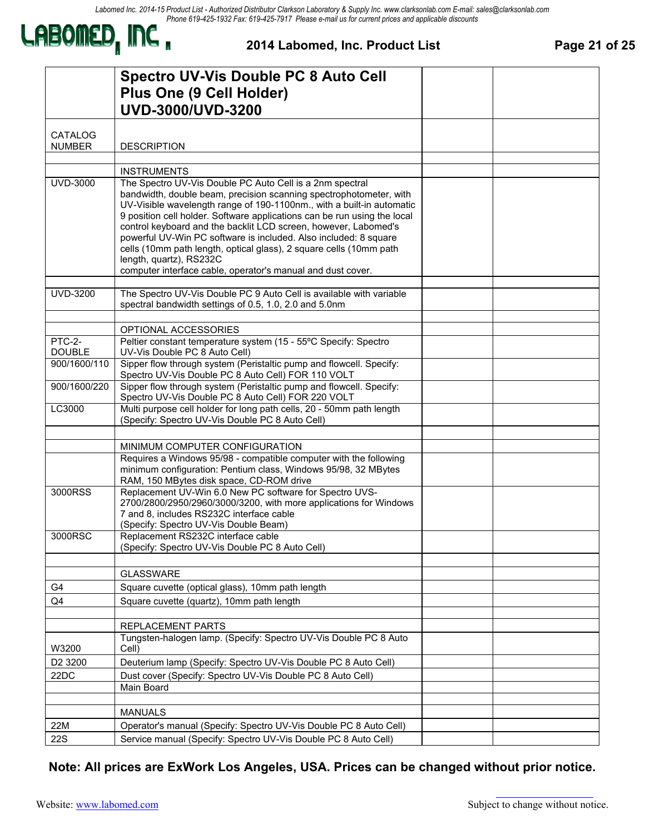

### **2014 Labomed, Inc. Product List Page 21 of 25**

|                     | <b>Spectro UV-Vis Double PC 8 Auto Cell</b>                                                                                                                                     |  |
|---------------------|---------------------------------------------------------------------------------------------------------------------------------------------------------------------------------|--|
|                     | Plus One (9 Cell Holder)                                                                                                                                                        |  |
|                     | UVD-3000/UVD-3200                                                                                                                                                               |  |
|                     |                                                                                                                                                                                 |  |
| <b>CATALOG</b>      |                                                                                                                                                                                 |  |
| <b>NUMBER</b>       | <b>DESCRIPTION</b>                                                                                                                                                              |  |
|                     |                                                                                                                                                                                 |  |
|                     | <b>INSTRUMENTS</b>                                                                                                                                                              |  |
| <b>UVD-3000</b>     | The Spectro UV-Vis Double PC Auto Cell is a 2nm spectral                                                                                                                        |  |
|                     | bandwidth, double beam, precision scanning spectrophotometer, with<br>UV-Visible wavelength range of 190-1100nm., with a built-in automatic                                     |  |
|                     | 9 position cell holder. Software applications can be run using the local                                                                                                        |  |
|                     | control keyboard and the backlit LCD screen, however, Labomed's                                                                                                                 |  |
|                     | powerful UV-Win PC software is included. Also included: 8 square                                                                                                                |  |
|                     | cells (10mm path length, optical glass), 2 square cells (10mm path<br>length, quartz), RS232C                                                                                   |  |
|                     | computer interface cable, operator's manual and dust cover.                                                                                                                     |  |
|                     |                                                                                                                                                                                 |  |
| UVD-3200            | The Spectro UV-Vis Double PC 9 Auto Cell is available with variable                                                                                                             |  |
|                     | spectral bandwidth settings of 0.5, 1.0, 2.0 and 5.0nm                                                                                                                          |  |
|                     | OPTIONAL ACCESSORIES                                                                                                                                                            |  |
| PTC-2-              | Peltier constant temperature system (15 - 55°C Specify: Spectro                                                                                                                 |  |
| <b>DOUBLE</b>       | UV-Vis Double PC 8 Auto Cell)                                                                                                                                                   |  |
| 900/1600/110        | Sipper flow through system (Peristaltic pump and flowcell. Specify:<br>Spectro UV-Vis Double PC 8 Auto Cell) FOR 110 VOLT                                                       |  |
| 900/1600/220        | Sipper flow through system (Peristaltic pump and flowcell. Specify:<br>Spectro UV-Vis Double PC 8 Auto Cell) FOR 220 VOLT                                                       |  |
| LC3000              | Multi purpose cell holder for long path cells, 20 - 50mm path length<br>(Specify: Spectro UV-Vis Double PC 8 Auto Cell)                                                         |  |
|                     |                                                                                                                                                                                 |  |
|                     | MINIMUM COMPUTER CONFIGURATION                                                                                                                                                  |  |
|                     | Requires a Windows 95/98 - compatible computer with the following<br>minimum configuration: Pentium class, Windows 95/98, 32 MBytes<br>RAM, 150 MBytes disk space, CD-ROM drive |  |
| 3000RSS             | Replacement UV-Win 6.0 New PC software for Spectro UVS-                                                                                                                         |  |
|                     | 2700/2800/2950/2960/3000/3200, with more applications for Windows                                                                                                               |  |
|                     | 7 and 8, includes RS232C interface cable<br>(Specify: Spectro UV-Vis Double Beam)                                                                                               |  |
| 3000RSC             | Replacement RS232C interface cable                                                                                                                                              |  |
|                     | (Specify: Spectro UV-Vis Double PC 8 Auto Cell)                                                                                                                                 |  |
|                     |                                                                                                                                                                                 |  |
|                     | <b>GLASSWARE</b>                                                                                                                                                                |  |
| G4                  | Square cuvette (optical glass), 10mm path length                                                                                                                                |  |
| Q4                  | Square cuvette (quartz), 10mm path length                                                                                                                                       |  |
|                     |                                                                                                                                                                                 |  |
|                     | REPLACEMENT PARTS                                                                                                                                                               |  |
| W3200               | Tungsten-halogen lamp. (Specify: Spectro UV-Vis Double PC 8 Auto<br>Cell)                                                                                                       |  |
| D <sub>2</sub> 3200 | Deuterium lamp (Specify: Spectro UV-Vis Double PC 8 Auto Cell)                                                                                                                  |  |
| 22DC                | Dust cover (Specify: Spectro UV-Vis Double PC 8 Auto Cell)                                                                                                                      |  |
|                     | Main Board                                                                                                                                                                      |  |
|                     |                                                                                                                                                                                 |  |
|                     | <b>MANUALS</b>                                                                                                                                                                  |  |
| 22M                 | Operator's manual (Specify: Spectro UV-Vis Double PC 8 Auto Cell)                                                                                                               |  |
| 22S                 | Service manual (Specify: Spectro UV-Vis Double PC 8 Auto Cell)                                                                                                                  |  |

**Note: All prices are ExWork Los Angeles, USA. Prices can be changed without prior notice.**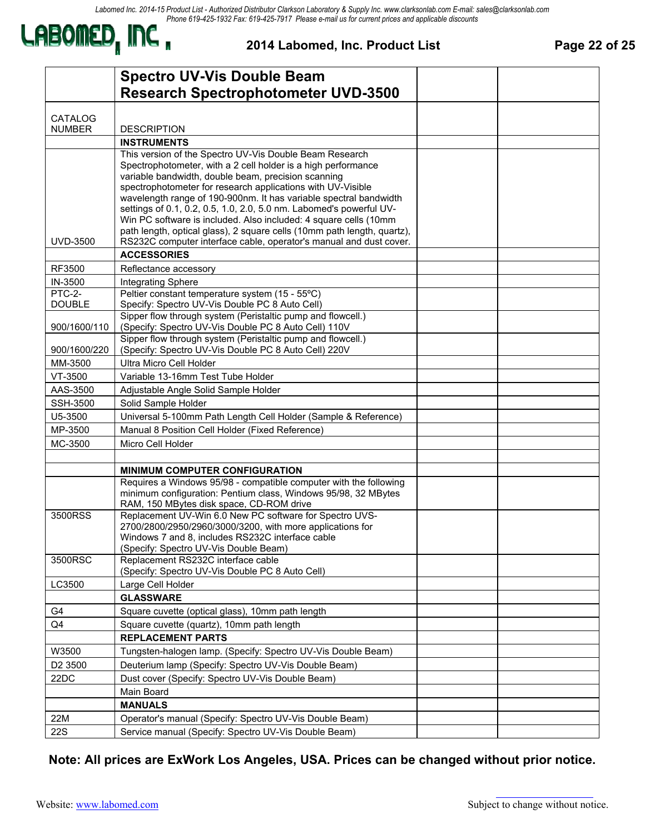

**2014 Labomed, Inc. Product List Page 22 of 25** 

|                            | <b>Spectro UV-Vis Double Beam</b>                                                                                                |  |
|----------------------------|----------------------------------------------------------------------------------------------------------------------------------|--|
|                            | <b>Research Spectrophotometer UVD-3500</b>                                                                                       |  |
|                            |                                                                                                                                  |  |
| CATALOG<br><b>NUMBER</b>   | <b>DESCRIPTION</b>                                                                                                               |  |
|                            | <b>INSTRUMENTS</b>                                                                                                               |  |
|                            | This version of the Spectro UV-Vis Double Beam Research                                                                          |  |
|                            | Spectrophotometer, with a 2 cell holder is a high performance                                                                    |  |
|                            | variable bandwidth, double beam, precision scanning                                                                              |  |
|                            | spectrophotometer for research applications with UV-Visible<br>wavelength range of 190-900nm. It has variable spectral bandwidth |  |
|                            | settings of 0.1, 0.2, 0.5, 1.0, 2.0, 5.0 nm. Labomed's powerful UV-                                                              |  |
|                            | Win PC software is included. Also included: 4 square cells (10mm                                                                 |  |
|                            | path length, optical glass), 2 square cells (10mm path length, quartz),                                                          |  |
| <b>UVD-3500</b>            | RS232C computer interface cable, operator's manual and dust cover.                                                               |  |
|                            | <b>ACCESSORIES</b>                                                                                                               |  |
| RF3500                     | Reflectance accessory                                                                                                            |  |
| IN-3500<br>PTC-2-          | Integrating Sphere<br>Peltier constant temperature system (15 - 55°C)                                                            |  |
| <b>DOUBLE</b>              | Specify: Spectro UV-Vis Double PC 8 Auto Cell)                                                                                   |  |
| 900/1600/110               | Sipper flow through system (Peristaltic pump and flowcell.)<br>(Specify: Spectro UV-Vis Double PC 8 Auto Cell) 110V              |  |
|                            | Sipper flow through system (Peristaltic pump and flowcell.)                                                                      |  |
| 900/1600/220               | (Specify: Spectro UV-Vis Double PC 8 Auto Cell) 220V                                                                             |  |
| MM-3500                    | Ultra Micro Cell Holder                                                                                                          |  |
| VT-3500                    | Variable 13-16mm Test Tube Holder                                                                                                |  |
| AAS-3500                   | Adjustable Angle Solid Sample Holder                                                                                             |  |
| <b>SSH-3500</b><br>U5-3500 | Solid Sample Holder<br>Universal 5-100mm Path Length Cell Holder (Sample & Reference)                                            |  |
| MP-3500                    | Manual 8 Position Cell Holder (Fixed Reference)                                                                                  |  |
| MC-3500                    | Micro Cell Holder                                                                                                                |  |
|                            |                                                                                                                                  |  |
|                            | <b>MINIMUM COMPUTER CONFIGURATION</b>                                                                                            |  |
|                            | Requires a Windows 95/98 - compatible computer with the following                                                                |  |
|                            | minimum configuration: Pentium class, Windows 95/98, 32 MBytes                                                                   |  |
| 3500RSS                    | RAM, 150 MBytes disk space, CD-ROM drive<br>Replacement UV-Win 6.0 New PC software for Spectro UVS-                              |  |
|                            | 2700/2800/2950/2960/3000/3200, with more applications for                                                                        |  |
|                            | Windows 7 and 8, includes RS232C interface cable                                                                                 |  |
|                            | (Specify: Spectro UV-Vis Double Beam)                                                                                            |  |
| 3500RSC                    | Replacement RS232C interface cable<br>(Specify: Spectro UV-Vis Double PC 8 Auto Cell)                                            |  |
| LC3500                     | Large Cell Holder                                                                                                                |  |
|                            | <b>GLASSWARE</b>                                                                                                                 |  |
| G4                         | Square cuvette (optical glass), 10mm path length                                                                                 |  |
| Q4                         | Square cuvette (quartz), 10mm path length                                                                                        |  |
|                            | <b>REPLACEMENT PARTS</b>                                                                                                         |  |
| W3500                      | Tungsten-halogen lamp. (Specify: Spectro UV-Vis Double Beam)                                                                     |  |
| D <sub>2</sub> 3500        | Deuterium lamp (Specify: Spectro UV-Vis Double Beam)                                                                             |  |
| 22DC                       | Dust cover (Specify: Spectro UV-Vis Double Beam)                                                                                 |  |
|                            | Main Board                                                                                                                       |  |
|                            | <b>MANUALS</b>                                                                                                                   |  |
| 22M                        | Operator's manual (Specify: Spectro UV-Vis Double Beam)                                                                          |  |
| <b>22S</b>                 | Service manual (Specify: Spectro UV-Vis Double Beam)                                                                             |  |

**Note: All prices are ExWork Los Angeles, USA. Prices can be changed without prior notice.**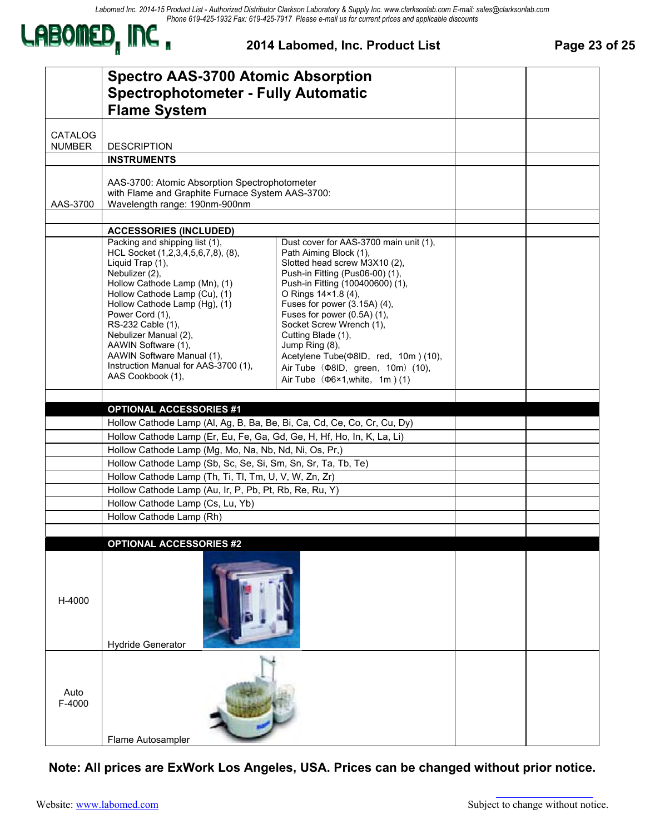*Labomed Inc. 2014-15 Product List - Authorized Distributor Clarkson Laboratory & Supply Inc. www.clarksonlab.com E-mail: sales@clarksonlab.com Phone 619-425-1932 Fax: 619-425-7917 Please e-mail us for current prices and applicable discounts*



#### **2014 Labomed, Inc. Product List Page 23 of 25**

|                | <b>Spectro AAS-3700 Atomic Absorption</b><br><b>Spectrophotometer - Fully Automatic</b><br><b>Flame System</b>                                                                                                                                                                                                                                                                                   |                                                                                                                                                                                                                                                                                                                                                                                                                                                                  |  |
|----------------|--------------------------------------------------------------------------------------------------------------------------------------------------------------------------------------------------------------------------------------------------------------------------------------------------------------------------------------------------------------------------------------------------|------------------------------------------------------------------------------------------------------------------------------------------------------------------------------------------------------------------------------------------------------------------------------------------------------------------------------------------------------------------------------------------------------------------------------------------------------------------|--|
| <b>CATALOG</b> |                                                                                                                                                                                                                                                                                                                                                                                                  |                                                                                                                                                                                                                                                                                                                                                                                                                                                                  |  |
| <b>NUMBER</b>  | <b>DESCRIPTION</b>                                                                                                                                                                                                                                                                                                                                                                               |                                                                                                                                                                                                                                                                                                                                                                                                                                                                  |  |
|                | <b>INSTRUMENTS</b>                                                                                                                                                                                                                                                                                                                                                                               |                                                                                                                                                                                                                                                                                                                                                                                                                                                                  |  |
| AAS-3700       | AAS-3700: Atomic Absorption Spectrophotometer<br>with Flame and Graphite Furnace System AAS-3700:<br>Wavelength range: 190nm-900nm                                                                                                                                                                                                                                                               |                                                                                                                                                                                                                                                                                                                                                                                                                                                                  |  |
|                | <b>ACCESSORIES (INCLUDED)</b>                                                                                                                                                                                                                                                                                                                                                                    |                                                                                                                                                                                                                                                                                                                                                                                                                                                                  |  |
|                | Packing and shipping list (1),<br>HCL Socket (1,2,3,4,5,6,7,8), (8),<br>Liquid Trap (1),<br>Nebulizer (2),<br>Hollow Cathode Lamp (Mn), (1)<br>Hollow Cathode Lamp (Cu), (1)<br>Hollow Cathode Lamp (Hg), (1)<br>Power Cord (1),<br>RS-232 Cable (1),<br>Nebulizer Manual (2),<br>AAWIN Software (1),<br>AAWIN Software Manual (1),<br>Instruction Manual for AAS-3700 (1),<br>AAS Cookbook (1), | Dust cover for AAS-3700 main unit (1),<br>Path Aiming Block (1),<br>Slotted head screw M3X10 (2),<br>Push-in Fitting (Pus06-00) (1),<br>Push-in Fitting (100400600) (1),<br>O Rings 14×1.8 (4),<br>Fuses for power (3.15A) (4),<br>Fuses for power (0.5A) (1),<br>Socket Screw Wrench (1),<br>Cutting Blade (1),<br>Jump Ring (8),<br>Acetylene Tube( $\Phi$ 8ID, red, 10m)(10),<br>Air Tube ( $\Phi$ 8ID, green, 10m) (10),<br>Air Tube $(Φ6×1, white, 1m)$ (1) |  |
|                |                                                                                                                                                                                                                                                                                                                                                                                                  |                                                                                                                                                                                                                                                                                                                                                                                                                                                                  |  |
|                | <b>OPTIONAL ACCESSORIES #1</b>                                                                                                                                                                                                                                                                                                                                                                   |                                                                                                                                                                                                                                                                                                                                                                                                                                                                  |  |
|                | Hollow Cathode Lamp (Al, Ag, B, Ba, Be, Bi, Ca, Cd, Ce, Co, Cr, Cu, Dy)                                                                                                                                                                                                                                                                                                                          |                                                                                                                                                                                                                                                                                                                                                                                                                                                                  |  |
|                | Hollow Cathode Lamp (Er, Eu, Fe, Ga, Gd, Ge, H, Hf, Ho, In, K, La, Li)                                                                                                                                                                                                                                                                                                                           |                                                                                                                                                                                                                                                                                                                                                                                                                                                                  |  |
|                | Hollow Cathode Lamp (Mg, Mo, Na, Nb, Nd, Ni, Os, Pr,)                                                                                                                                                                                                                                                                                                                                            |                                                                                                                                                                                                                                                                                                                                                                                                                                                                  |  |
|                | Hollow Cathode Lamp (Sb, Sc, Se, Si, Sm, Sn, Sr, Ta, Tb, Te)                                                                                                                                                                                                                                                                                                                                     |                                                                                                                                                                                                                                                                                                                                                                                                                                                                  |  |
|                | Hollow Cathode Lamp (Th, Ti, Tl, Tm, U, V, W, Zn, Zr)<br>Hollow Cathode Lamp (Au, Ir, P, Pb, Pt, Rb, Re, Ru, Y)                                                                                                                                                                                                                                                                                  |                                                                                                                                                                                                                                                                                                                                                                                                                                                                  |  |
|                | Hollow Cathode Lamp (Cs, Lu, Yb)                                                                                                                                                                                                                                                                                                                                                                 |                                                                                                                                                                                                                                                                                                                                                                                                                                                                  |  |
|                | Hollow Cathode Lamp (Rh)                                                                                                                                                                                                                                                                                                                                                                         |                                                                                                                                                                                                                                                                                                                                                                                                                                                                  |  |
|                |                                                                                                                                                                                                                                                                                                                                                                                                  |                                                                                                                                                                                                                                                                                                                                                                                                                                                                  |  |
| H-4000         | <b>OPTIONAL ACCESSORIES #2</b><br><b>Hydride Generator</b>                                                                                                                                                                                                                                                                                                                                       |                                                                                                                                                                                                                                                                                                                                                                                                                                                                  |  |
| Auto<br>F-4000 | Flame Autosampler                                                                                                                                                                                                                                                                                                                                                                                |                                                                                                                                                                                                                                                                                                                                                                                                                                                                  |  |

**Note: All prices are ExWork Los Angeles, USA. Prices can be changed without prior notice.**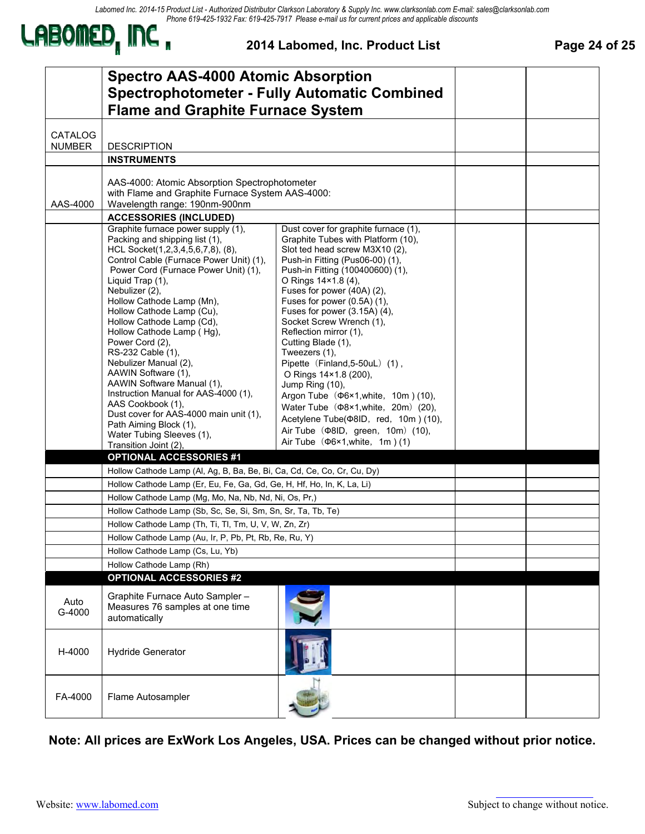*Labomed Inc. 2014-15 Product List - Authorized Distributor Clarkson Laboratory & Supply Inc. www.clarksonlab.com E-mail: sales@clarksonlab.com Phone 619-425-1932 Fax: 619-425-7917 Please e-mail us for current prices and applicable discounts*



#### **2014 Labomed, Inc. Product List Page 24 of 25**

|                                 | <b>Spectro AAS-4000 Atomic Absorption</b><br><b>Flame and Graphite Furnace System</b>                                                                                                                                                                                                                                                                                                                                                                                                                                                                                                                                                                               | <b>Spectrophotometer - Fully Automatic Combined</b>                                                                                                                                                                                                                                                                                                                                                                                                                                                                                                                                                                                                                                                                      |  |
|---------------------------------|---------------------------------------------------------------------------------------------------------------------------------------------------------------------------------------------------------------------------------------------------------------------------------------------------------------------------------------------------------------------------------------------------------------------------------------------------------------------------------------------------------------------------------------------------------------------------------------------------------------------------------------------------------------------|--------------------------------------------------------------------------------------------------------------------------------------------------------------------------------------------------------------------------------------------------------------------------------------------------------------------------------------------------------------------------------------------------------------------------------------------------------------------------------------------------------------------------------------------------------------------------------------------------------------------------------------------------------------------------------------------------------------------------|--|
| <b>CATALOG</b><br><b>NUMBER</b> | <b>DESCRIPTION</b>                                                                                                                                                                                                                                                                                                                                                                                                                                                                                                                                                                                                                                                  |                                                                                                                                                                                                                                                                                                                                                                                                                                                                                                                                                                                                                                                                                                                          |  |
|                                 | <b>INSTRUMENTS</b>                                                                                                                                                                                                                                                                                                                                                                                                                                                                                                                                                                                                                                                  |                                                                                                                                                                                                                                                                                                                                                                                                                                                                                                                                                                                                                                                                                                                          |  |
| AAS-4000                        | AAS-4000: Atomic Absorption Spectrophotometer<br>with Flame and Graphite Furnace System AAS-4000:<br>Wavelength range: 190nm-900nm                                                                                                                                                                                                                                                                                                                                                                                                                                                                                                                                  |                                                                                                                                                                                                                                                                                                                                                                                                                                                                                                                                                                                                                                                                                                                          |  |
|                                 | <b>ACCESSORIES (INCLUDED)</b>                                                                                                                                                                                                                                                                                                                                                                                                                                                                                                                                                                                                                                       |                                                                                                                                                                                                                                                                                                                                                                                                                                                                                                                                                                                                                                                                                                                          |  |
|                                 | Graphite furnace power supply (1),<br>Packing and shipping list (1),<br>HCL Socket(1,2,3,4,5,6,7,8), (8),<br>Control Cable (Furnace Power Unit) (1),<br>Power Cord (Furnace Power Unit) (1),<br>Liquid Trap (1),<br>Nebulizer (2),<br>Hollow Cathode Lamp (Mn),<br>Hollow Cathode Lamp (Cu),<br>Hollow Cathode Lamp (Cd),<br>Hollow Cathode Lamp (Hq),<br>Power Cord (2),<br>RS-232 Cable (1),<br>Nebulizer Manual (2),<br>AAWIN Software (1),<br>AAWIN Software Manual (1),<br>Instruction Manual for AAS-4000 (1),<br>AAS Cookbook (1),<br>Dust cover for AAS-4000 main unit (1),<br>Path Aiming Block (1),<br>Water Tubing Sleeves (1),<br>Transition Joint (2), | Dust cover for graphite furnace (1),<br>Graphite Tubes with Platform (10),<br>Slot ted head screw M3X10 (2),<br>Push-in Fitting (Pus06-00) (1),<br>Push-in Fitting (100400600) (1),<br>O Rings 14×1.8 (4),<br>Fuses for power (40A) (2),<br>Fuses for power $(0.5A)$ $(1)$ ,<br>Fuses for power (3.15A) (4),<br>Socket Screw Wrench (1),<br>Reflection mirror (1),<br>Cutting Blade (1),<br>Tweezers (1),<br>Pipette (Finland, 5-50uL) (1),<br>O Rings 14×1.8 (200),<br>Jump Ring (10),<br>Argon Tube ( $\Phi$ 6×1, white, 10m) (10),<br>Water Tube ( $\Phi$ 8×1, white, 20m) (20),<br>Acetylene Tube( $\Phi$ 8ID, red, 10m)(10),<br>Air Tube ( $\Phi$ 8ID, green, 10m) (10),<br>Air Tube $(\Phi$ 6×1, white, 1m $)$ (1) |  |
|                                 | <b>OPTIONAL ACCESSORIES #1</b>                                                                                                                                                                                                                                                                                                                                                                                                                                                                                                                                                                                                                                      |                                                                                                                                                                                                                                                                                                                                                                                                                                                                                                                                                                                                                                                                                                                          |  |
|                                 | Hollow Cathode Lamp (Al, Ag, B, Ba, Be, Bi, Ca, Cd, Ce, Co, Cr, Cu, Dy)                                                                                                                                                                                                                                                                                                                                                                                                                                                                                                                                                                                             |                                                                                                                                                                                                                                                                                                                                                                                                                                                                                                                                                                                                                                                                                                                          |  |
|                                 | Hollow Cathode Lamp (Er, Eu, Fe, Ga, Gd, Ge, H, Hf, Ho, In, K, La, Li)                                                                                                                                                                                                                                                                                                                                                                                                                                                                                                                                                                                              |                                                                                                                                                                                                                                                                                                                                                                                                                                                                                                                                                                                                                                                                                                                          |  |
|                                 | Hollow Cathode Lamp (Mg, Mo, Na, Nb, Nd, Ni, Os, Pr,)<br>Hollow Cathode Lamp (Sb, Sc, Se, Si, Sm, Sn, Sr, Ta, Tb, Te)                                                                                                                                                                                                                                                                                                                                                                                                                                                                                                                                               |                                                                                                                                                                                                                                                                                                                                                                                                                                                                                                                                                                                                                                                                                                                          |  |
|                                 | Hollow Cathode Lamp (Th, Ti, Tl, Tm, U, V, W, Zn, Zr)                                                                                                                                                                                                                                                                                                                                                                                                                                                                                                                                                                                                               |                                                                                                                                                                                                                                                                                                                                                                                                                                                                                                                                                                                                                                                                                                                          |  |
|                                 | Hollow Cathode Lamp (Au, Ir, P, Pb, Pt, Rb, Re, Ru, Y)                                                                                                                                                                                                                                                                                                                                                                                                                                                                                                                                                                                                              |                                                                                                                                                                                                                                                                                                                                                                                                                                                                                                                                                                                                                                                                                                                          |  |
|                                 | Hollow Cathode Lamp (Cs, Lu, Yb)                                                                                                                                                                                                                                                                                                                                                                                                                                                                                                                                                                                                                                    |                                                                                                                                                                                                                                                                                                                                                                                                                                                                                                                                                                                                                                                                                                                          |  |
|                                 | Hollow Cathode Lamp (Rh)                                                                                                                                                                                                                                                                                                                                                                                                                                                                                                                                                                                                                                            |                                                                                                                                                                                                                                                                                                                                                                                                                                                                                                                                                                                                                                                                                                                          |  |
|                                 | <b>OPTIONAL ACCESSORIES #2</b>                                                                                                                                                                                                                                                                                                                                                                                                                                                                                                                                                                                                                                      |                                                                                                                                                                                                                                                                                                                                                                                                                                                                                                                                                                                                                                                                                                                          |  |
| Auto<br>G-4000                  | Graphite Furnace Auto Sampler -<br>Measures 76 samples at one time<br>automatically                                                                                                                                                                                                                                                                                                                                                                                                                                                                                                                                                                                 |                                                                                                                                                                                                                                                                                                                                                                                                                                                                                                                                                                                                                                                                                                                          |  |
| H-4000                          | <b>Hydride Generator</b>                                                                                                                                                                                                                                                                                                                                                                                                                                                                                                                                                                                                                                            |                                                                                                                                                                                                                                                                                                                                                                                                                                                                                                                                                                                                                                                                                                                          |  |
| FA-4000                         | Flame Autosampler                                                                                                                                                                                                                                                                                                                                                                                                                                                                                                                                                                                                                                                   |                                                                                                                                                                                                                                                                                                                                                                                                                                                                                                                                                                                                                                                                                                                          |  |

**Note: All prices are ExWork Los Angeles, USA. Prices can be changed without prior notice.**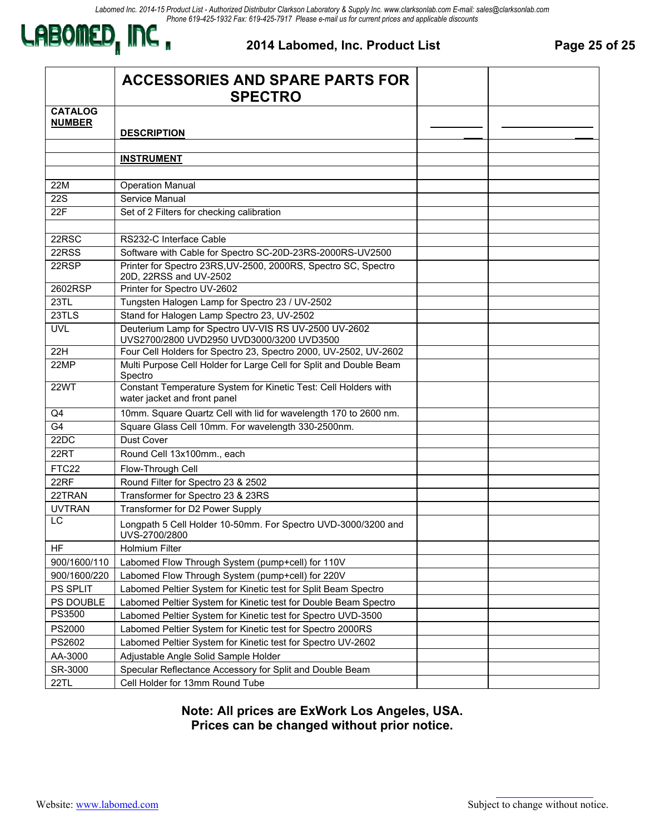

#### **2014 Labomed, Inc. Product List Page 25 of 25**

|                                 | <b>ACCESSORIES AND SPARE PARTS FOR</b><br><b>SPECTRO</b>                                          |  |
|---------------------------------|---------------------------------------------------------------------------------------------------|--|
| <b>CATALOG</b><br><b>NUMBER</b> | <b>DESCRIPTION</b>                                                                                |  |
|                                 | <b>INSTRUMENT</b>                                                                                 |  |
| 22M                             | <b>Operation Manual</b>                                                                           |  |
| $\overline{22S}$                | Service Manual                                                                                    |  |
| 22F                             | Set of 2 Filters for checking calibration                                                         |  |
|                                 |                                                                                                   |  |
| 22RSC                           | RS232-C Interface Cable                                                                           |  |
| 22RSS                           | Software with Cable for Spectro SC-20D-23RS-2000RS-UV2500                                         |  |
| 22RSP                           | Printer for Spectro 23RS, UV-2500, 2000RS, Spectro SC, Spectro<br>20D, 22RSS and UV-2502          |  |
| 2602RSP                         | Printer for Spectro UV-2602                                                                       |  |
| 23TL                            | Tungsten Halogen Lamp for Spectro 23 / UV-2502                                                    |  |
| 23TLS                           | Stand for Halogen Lamp Spectro 23, UV-2502                                                        |  |
| <b>UVL</b>                      | Deuterium Lamp for Spectro UV-VIS RS UV-2500 UV-2602<br>UVS2700/2800 UVD2950 UVD3000/3200 UVD3500 |  |
| 22H                             | Four Cell Holders for Spectro 23, Spectro 2000, UV-2502, UV-2602                                  |  |
| 22MP                            | Multi Purpose Cell Holder for Large Cell for Split and Double Beam<br>Spectro                     |  |
| 22WT                            | Constant Temperature System for Kinetic Test: Cell Holders with<br>water jacket and front panel   |  |
| Q4                              | 10mm. Square Quartz Cell with lid for wavelength 170 to 2600 nm.                                  |  |
| G <sub>4</sub>                  | Square Glass Cell 10mm. For wavelength 330-2500nm.                                                |  |
| 22DC                            | Dust Cover                                                                                        |  |
| 22RT                            | Round Cell 13x100mm., each                                                                        |  |
| FTC22                           | Flow-Through Cell                                                                                 |  |
| 22RF                            | Round Filter for Spectro 23 & 2502                                                                |  |
| 22TRAN                          | Transformer for Spectro 23 & 23RS                                                                 |  |
| <b>UVTRAN</b>                   | Transformer for D2 Power Supply                                                                   |  |
| LC                              | Longpath 5 Cell Holder 10-50mm. For Spectro UVD-3000/3200 and<br>UVS-2700/2800                    |  |
| HF                              | <b>Holmium Filter</b>                                                                             |  |
| 900/1600/110                    | Labomed Flow Through System (pump+cell) for 110V                                                  |  |
| 900/1600/220                    | Labomed Flow Through System (pump+cell) for 220V                                                  |  |
| PS SPLIT                        | Labomed Peltier System for Kinetic test for Split Beam Spectro                                    |  |
| PS DOUBLE                       | Labomed Peltier System for Kinetic test for Double Beam Spectro                                   |  |
| PS3500                          | Labomed Peltier System for Kinetic test for Spectro UVD-3500                                      |  |
| PS2000                          | Labomed Peltier System for Kinetic test for Spectro 2000RS                                        |  |
| PS2602                          | Labomed Peltier System for Kinetic test for Spectro UV-2602                                       |  |
| AA-3000                         | Adjustable Angle Solid Sample Holder                                                              |  |
| SR-3000                         | Specular Reflectance Accessory for Split and Double Beam                                          |  |
| 22TL                            | Cell Holder for 13mm Round Tube                                                                   |  |

**Note: All prices are ExWork Los Angeles, USA. Prices can be changed without prior notice.**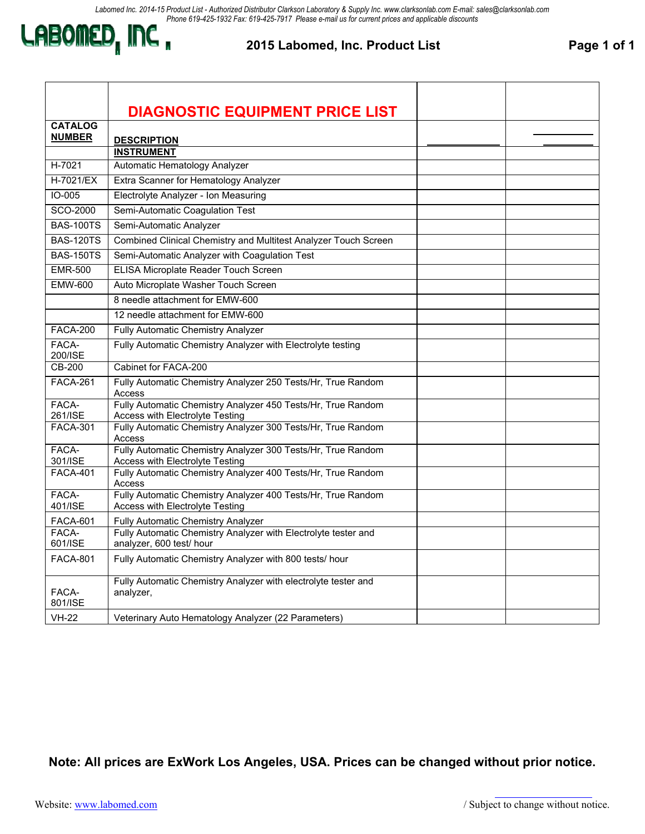

#### **2015 Labomed, Inc. Product List Page 1 of 1**

|                  | <b>DIAGNOSTIC EQUIPMENT PRICE LIST</b>                                                          |  |
|------------------|-------------------------------------------------------------------------------------------------|--|
| <b>CATALOG</b>   |                                                                                                 |  |
| <b>NUMBER</b>    | <b>DESCRIPTION</b>                                                                              |  |
|                  | <b>INSTRUMENT</b>                                                                               |  |
| H-7021           | Automatic Hematology Analyzer                                                                   |  |
| H-7021/EX        | Extra Scanner for Hematology Analyzer                                                           |  |
| IO-005           | Electrolyte Analyzer - Ion Measuring                                                            |  |
| SCO-2000         | Semi-Automatic Coagulation Test                                                                 |  |
| <b>BAS-100TS</b> | Semi-Automatic Analyzer                                                                         |  |
| <b>BAS-120TS</b> | Combined Clinical Chemistry and Multitest Analyzer Touch Screen                                 |  |
| <b>BAS-150TS</b> | Semi-Automatic Analyzer with Coagulation Test                                                   |  |
| <b>EMR-500</b>   | ELISA Microplate Reader Touch Screen                                                            |  |
| <b>EMW-600</b>   | Auto Microplate Washer Touch Screen                                                             |  |
|                  | 8 needle attachment for EMW-600                                                                 |  |
|                  | 12 needle attachment for EMW-600                                                                |  |
| <b>FACA-200</b>  | Fully Automatic Chemistry Analyzer                                                              |  |
| FACA-<br>200/ISE | Fully Automatic Chemistry Analyzer with Electrolyte testing                                     |  |
| CB-200           | Cabinet for FACA-200                                                                            |  |
| <b>FACA-261</b>  | Fully Automatic Chemistry Analyzer 250 Tests/Hr, True Random<br>Access                          |  |
| FACA-<br>261/ISE | Fully Automatic Chemistry Analyzer 450 Tests/Hr, True Random<br>Access with Electrolyte Testing |  |
| <b>FACA-301</b>  | Fully Automatic Chemistry Analyzer 300 Tests/Hr, True Random<br>Access                          |  |
| FACA-<br>301/ISE | Fully Automatic Chemistry Analyzer 300 Tests/Hr, True Random<br>Access with Electrolyte Testing |  |
| <b>FACA-401</b>  | Fully Automatic Chemistry Analyzer 400 Tests/Hr, True Random<br>Access                          |  |
| FACA-<br>401/ISE | Fully Automatic Chemistry Analyzer 400 Tests/Hr, True Random<br>Access with Electrolyte Testing |  |
| <b>FACA-601</b>  | Fully Automatic Chemistry Analyzer                                                              |  |
| FACA-<br>601/ISE | Fully Automatic Chemistry Analyzer with Electrolyte tester and<br>analyzer, 600 test/ hour      |  |
| <b>FACA-801</b>  | Fully Automatic Chemistry Analyzer with 800 tests/ hour                                         |  |
| FACA-<br>801/ISE | Fully Automatic Chemistry Analyzer with electrolyte tester and<br>analyzer,                     |  |
| <b>VH-22</b>     | Veterinary Auto Hematology Analyzer (22 Parameters)                                             |  |

**Note: All prices are ExWork Los Angeles, USA. Prices can be changed without prior notice.**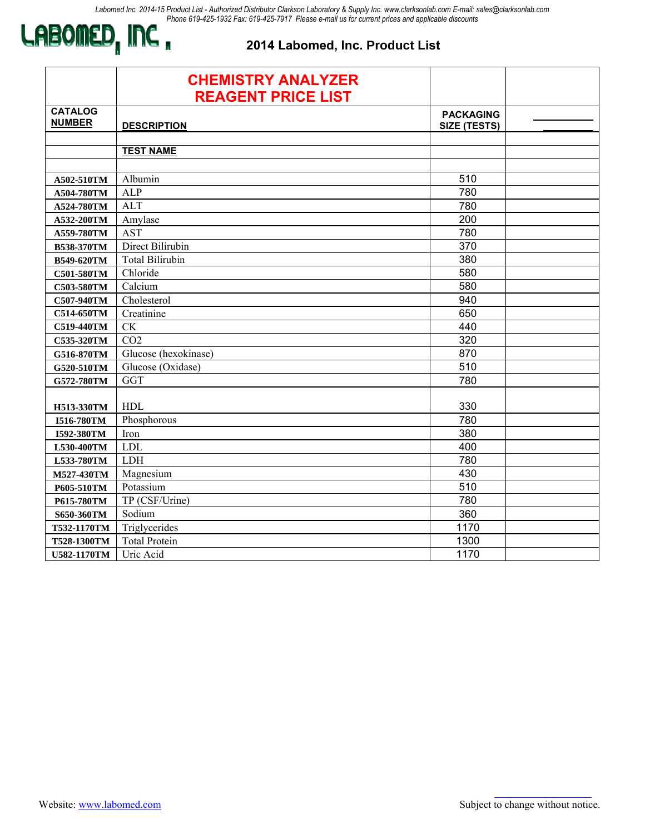

### **2014 Labomed, Inc. Product List**

|                                 | <b>CHEMISTRY ANALYZER</b><br><b>REAGENT PRICE LIST</b> |                                         |  |
|---------------------------------|--------------------------------------------------------|-----------------------------------------|--|
| <b>CATALOG</b><br><b>NUMBER</b> | <b>DESCRIPTION</b>                                     | <b>PACKAGING</b><br><b>SIZE (TESTS)</b> |  |
|                                 | <b>TEST NAME</b>                                       |                                         |  |
| A502-510TM                      | Albumin                                                | 510                                     |  |
| A504-780TM                      | <b>ALP</b>                                             | 780                                     |  |
| A524-780TM                      | <b>ALT</b>                                             | 780                                     |  |
| A532-200TM                      | Amylase                                                | 200                                     |  |
| A559-780TM                      | <b>AST</b>                                             | 780                                     |  |
| B538-370TM                      | Direct Bilirubin                                       | 370                                     |  |
| B549-620TM                      | <b>Total Bilirubin</b>                                 | 380                                     |  |
| C501-580TM                      | Chloride                                               | 580                                     |  |
| C503-580TM                      | Calcium                                                | 580                                     |  |
| C507-940TM                      | Cholesterol                                            | 940                                     |  |
| C514-650TM                      | Creatinine                                             | 650                                     |  |
| C519-440TM                      | <b>CK</b>                                              | 440                                     |  |
| C535-320TM                      | CO <sub>2</sub>                                        | 320                                     |  |
| G516-870TM                      | Glucose (hexokinase)                                   | 870                                     |  |
| G520-510TM                      | Glucose (Oxidase)                                      | 510                                     |  |
| G572-780TM                      | <b>GGT</b>                                             | 780                                     |  |
| H513-330TM                      | <b>HDL</b>                                             | 330                                     |  |
| I516-780TM                      | Phosphorous                                            | 780                                     |  |
| I592-380TM                      | Iron                                                   | 380                                     |  |
| L530-400TM                      | <b>LDL</b>                                             | 400                                     |  |
| L533-780TM                      | ${\rm LDH}$                                            | 780                                     |  |
| M527-430TM                      | Magnesium                                              | 430                                     |  |
| P605-510TM                      | Potassium                                              | 510                                     |  |
| P615-780TM                      | TP (CSF/Urine)                                         | 780                                     |  |
| S650-360TM                      | Sodium                                                 | 360                                     |  |
| T532-1170TM                     | Triglycerides                                          | 1170                                    |  |
| T528-1300TM                     | <b>Total Protein</b>                                   | 1300                                    |  |
| U582-1170TM                     | Uric Acid                                              | 1170                                    |  |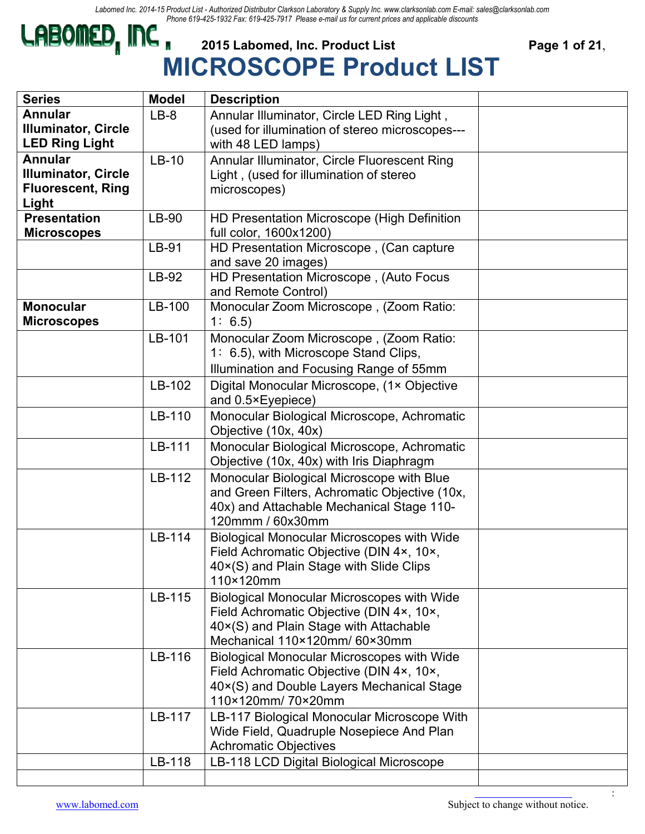

# **CABOMED, INC** 2015 Labomed, Inc. Product List Page 1 of 21, **MICROSCOPE Product LIST**

| <b>Series</b>              | <b>Model</b> | <b>Description</b>                                |  |
|----------------------------|--------------|---------------------------------------------------|--|
| <b>Annular</b>             | $LB-8$       | Annular Illuminator, Circle LED Ring Light,       |  |
| <b>Illuminator, Circle</b> |              | (used for illumination of stereo microscopes---   |  |
| <b>LED Ring Light</b>      |              | with 48 LED lamps)                                |  |
| <b>Annular</b>             | $LB-10$      | Annular Illuminator, Circle Fluorescent Ring      |  |
| <b>Illuminator, Circle</b> |              | Light, (used for illumination of stereo           |  |
| <b>Fluorescent, Ring</b>   |              | microscopes)                                      |  |
| Light                      |              |                                                   |  |
| <b>Presentation</b>        | LB-90        | HD Presentation Microscope (High Definition       |  |
| <b>Microscopes</b>         |              | full color, 1600x1200)                            |  |
|                            | LB-91        | HD Presentation Microscope, (Can capture          |  |
|                            |              | and save 20 images)                               |  |
|                            | LB-92        | HD Presentation Microscope, (Auto Focus           |  |
|                            |              | and Remote Control)                               |  |
| <b>Monocular</b>           | LB-100       | Monocular Zoom Microscope, (Zoom Ratio:           |  |
| <b>Microscopes</b>         |              | 1: 6.5                                            |  |
|                            | LB-101       | Monocular Zoom Microscope, (Zoom Ratio:           |  |
|                            |              | 1: 6.5), with Microscope Stand Clips,             |  |
|                            |              | Illumination and Focusing Range of 55mm           |  |
|                            | LB-102       | Digital Monocular Microscope, (1x Objective       |  |
|                            |              |                                                   |  |
|                            |              | and 0.5×Eyepiece)                                 |  |
|                            | LB-110       | Monocular Biological Microscope, Achromatic       |  |
|                            |              | Objective (10x, 40x)                              |  |
|                            | LB-111       | Monocular Biological Microscope, Achromatic       |  |
|                            |              | Objective (10x, 40x) with Iris Diaphragm          |  |
|                            | LB-112       | Monocular Biological Microscope with Blue         |  |
|                            |              | and Green Filters, Achromatic Objective (10x,     |  |
|                            |              | 40x) and Attachable Mechanical Stage 110-         |  |
|                            |              | 120mmm / 60x30mm                                  |  |
|                            | LB-114       | <b>Biological Monocular Microscopes with Wide</b> |  |
|                            |              | Field Achromatic Objective (DIN 4x, 10x,          |  |
|                            |              | 40×(S) and Plain Stage with Slide Clips           |  |
|                            |              | 110×120mm                                         |  |
|                            | LB-115       | Biological Monocular Microscopes with Wide        |  |
|                            |              | Field Achromatic Objective (DIN 4x, 10x,          |  |
|                            |              | 40×(S) and Plain Stage with Attachable            |  |
|                            |              | Mechanical 110×120mm/60×30mm                      |  |
|                            | LB-116       | <b>Biological Monocular Microscopes with Wide</b> |  |
|                            |              | Field Achromatic Objective (DIN 4x, 10x,          |  |
|                            |              | 40×(S) and Double Layers Mechanical Stage         |  |
|                            |              | 110×120mm/70×20mm                                 |  |
|                            | LB-117       | LB-117 Biological Monocular Microscope With       |  |
|                            |              | Wide Field, Quadruple Nosepiece And Plan          |  |
|                            |              | <b>Achromatic Objectives</b>                      |  |
|                            | LB-118       | LB-118 LCD Digital Biological Microscope          |  |
|                            |              |                                                   |  |
|                            |              |                                                   |  |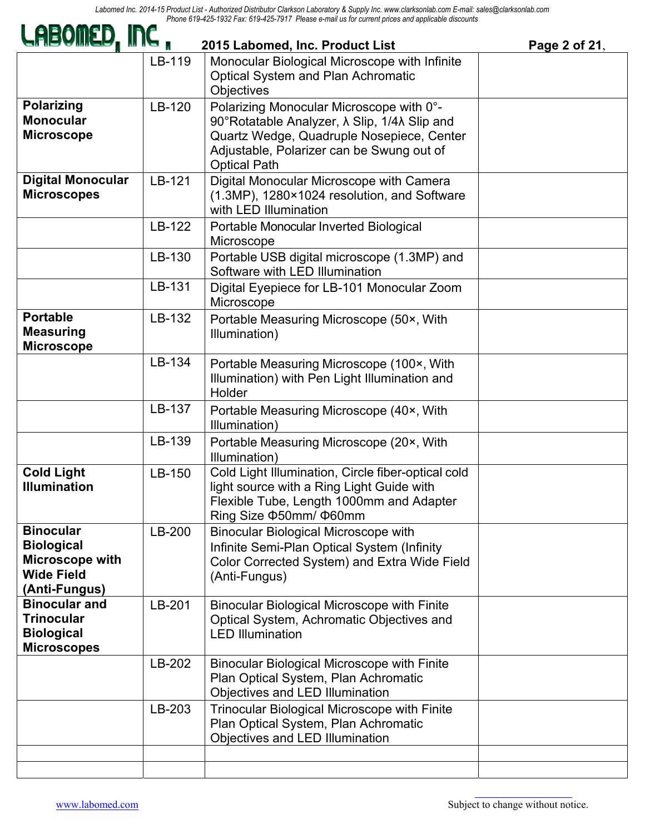| LABOMED, INC,                                                                                  |        | 2015 Labomed, Inc. Product List                                                                                                                                                                                            | Page 2 of 21, |
|------------------------------------------------------------------------------------------------|--------|----------------------------------------------------------------------------------------------------------------------------------------------------------------------------------------------------------------------------|---------------|
|                                                                                                | LB-119 | Monocular Biological Microscope with Infinite<br><b>Optical System and Plan Achromatic</b><br>Objectives                                                                                                                   |               |
| <b>Polarizing</b><br><b>Monocular</b><br><b>Microscope</b>                                     | LB-120 | Polarizing Monocular Microscope with 0°-<br>90°Rotatable Analyzer, $\lambda$ Slip, 1/4 $\lambda$ Slip and<br>Quartz Wedge, Quadruple Nosepiece, Center<br>Adjustable, Polarizer can be Swung out of<br><b>Optical Path</b> |               |
| <b>Digital Monocular</b><br><b>Microscopes</b>                                                 | LB-121 | Digital Monocular Microscope with Camera<br>(1.3MP), 1280×1024 resolution, and Software<br>with LED Illumination                                                                                                           |               |
|                                                                                                | LB-122 | Portable Monocular Inverted Biological<br>Microscope                                                                                                                                                                       |               |
|                                                                                                | LB-130 | Portable USB digital microscope (1.3MP) and<br>Software with LED Illumination                                                                                                                                              |               |
|                                                                                                | LB-131 | Digital Eyepiece for LB-101 Monocular Zoom<br>Microscope                                                                                                                                                                   |               |
| <b>Portable</b><br><b>Measuring</b><br><b>Microscope</b>                                       | LB-132 | Portable Measuring Microscope (50x, With<br>Illumination)                                                                                                                                                                  |               |
|                                                                                                | LB-134 | Portable Measuring Microscope (100×, With<br>Illumination) with Pen Light Illumination and<br>Holder                                                                                                                       |               |
|                                                                                                | LB-137 | Portable Measuring Microscope (40×, With<br>Illumination)                                                                                                                                                                  |               |
|                                                                                                | LB-139 | Portable Measuring Microscope (20×, With<br>Illumination)                                                                                                                                                                  |               |
| <b>Cold Light</b><br><b>Illumination</b>                                                       | LB-150 | Cold Light Illumination, Circle fiber-optical cold<br>light source with a Ring Light Guide with<br>Flexible Tube, Length 1000mm and Adapter<br>Ring Size ¢50mm/ ¢60mm                                                      |               |
| <b>Binocular</b><br><b>Biological</b><br>Microscope with<br><b>Wide Field</b><br>(Anti-Fungus) | LB-200 | <b>Binocular Biological Microscope with</b><br>Infinite Semi-Plan Optical System (Infinity<br>Color Corrected System) and Extra Wide Field<br>(Anti-Fungus)                                                                |               |
| <b>Binocular and</b><br><b>Trinocular</b><br><b>Biological</b><br><b>Microscopes</b>           | LB-201 | <b>Binocular Biological Microscope with Finite</b><br>Optical System, Achromatic Objectives and<br><b>LED Illumination</b>                                                                                                 |               |
|                                                                                                | LB-202 | <b>Binocular Biological Microscope with Finite</b><br>Plan Optical System, Plan Achromatic<br>Objectives and LED Illumination                                                                                              |               |
|                                                                                                | LB-203 | <b>Trinocular Biological Microscope with Finite</b><br>Plan Optical System, Plan Achromatic<br>Objectives and LED Illumination                                                                                             |               |
|                                                                                                |        |                                                                                                                                                                                                                            |               |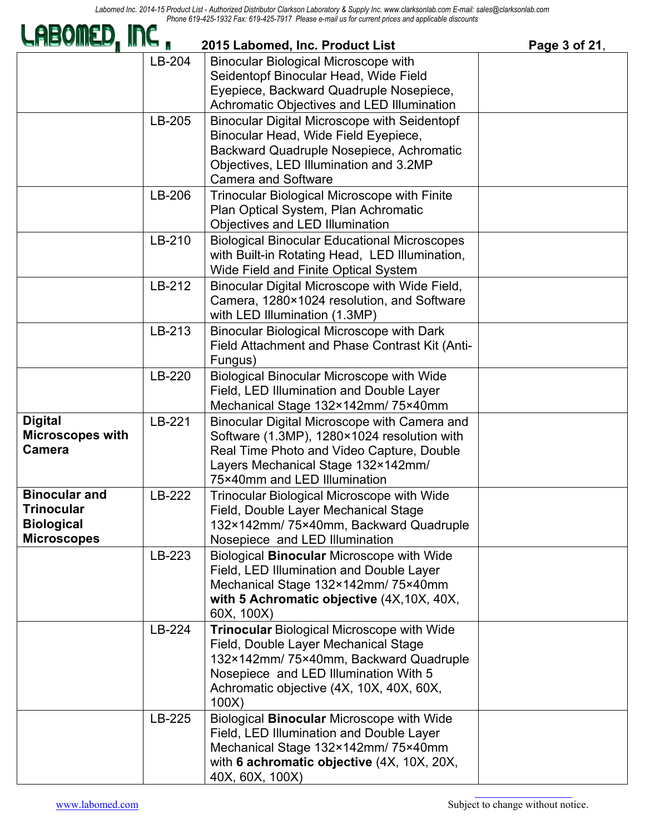| LHBOMED, INC,                                                                        |        | 2015 Labomed, Inc. Product List                                                                                                                                                                                                  | Page 3 of 21, |
|--------------------------------------------------------------------------------------|--------|----------------------------------------------------------------------------------------------------------------------------------------------------------------------------------------------------------------------------------|---------------|
|                                                                                      | LB-204 | Binocular Biological Microscope with<br>Seidentopf Binocular Head, Wide Field<br>Eyepiece, Backward Quadruple Nosepiece,<br>Achromatic Objectives and LED Illumination                                                           |               |
|                                                                                      | LB-205 | <b>Binocular Digital Microscope with Seidentopf</b><br>Binocular Head, Wide Field Eyepiece,<br>Backward Quadruple Nosepiece, Achromatic<br>Objectives, LED Illumination and 3.2MP<br><b>Camera and Software</b>                  |               |
|                                                                                      | LB-206 | <b>Trinocular Biological Microscope with Finite</b><br>Plan Optical System, Plan Achromatic<br>Objectives and LED Illumination                                                                                                   |               |
|                                                                                      | LB-210 | <b>Biological Binocular Educational Microscopes</b><br>with Built-in Rotating Head, LED Illumination,<br>Wide Field and Finite Optical System                                                                                    |               |
|                                                                                      | LB-212 | Binocular Digital Microscope with Wide Field,<br>Camera, 1280×1024 resolution, and Software<br>with LED Illumination (1.3MP)                                                                                                     |               |
|                                                                                      | LB-213 | <b>Binocular Biological Microscope with Dark</b><br>Field Attachment and Phase Contrast Kit (Anti-<br>Fungus)                                                                                                                    |               |
|                                                                                      | LB-220 | <b>Biological Binocular Microscope with Wide</b><br>Field, LED Illumination and Double Layer<br>Mechanical Stage 132×142mm/75×40mm                                                                                               |               |
| <b>Digital</b><br><b>Microscopes with</b><br><b>Camera</b>                           | LB-221 | Binocular Digital Microscope with Camera and<br>Software (1.3MP), 1280×1024 resolution with<br>Real Time Photo and Video Capture, Double<br>Layers Mechanical Stage 132×142mm/<br>75×40mm and LED Illumination                   |               |
| <b>Binocular and</b><br><b>Trinocular</b><br><b>Biological</b><br><b>Microscopes</b> | LB-222 | <b>Trinocular Biological Microscope with Wide</b><br>Field, Double Layer Mechanical Stage<br>132×142mm/75×40mm, Backward Quadruple<br>Nosepiece and LED Illumination                                                             |               |
|                                                                                      | LB-223 | Biological Binocular Microscope with Wide<br>Field, LED Illumination and Double Layer<br>Mechanical Stage 132×142mm/75×40mm<br>with 5 Achromatic objective (4X, 10X, 40X,<br>60X, 100X)                                          |               |
|                                                                                      | LB-224 | <b>Trinocular Biological Microscope with Wide</b><br>Field, Double Layer Mechanical Stage<br>132×142mm/75×40mm, Backward Quadruple<br>Nosepiece and LED Illumination With 5<br>Achromatic objective (4X, 10X, 40X, 60X,<br>100X) |               |
|                                                                                      | LB-225 | Biological <b>Binocular</b> Microscope with Wide<br>Field, LED Illumination and Double Layer<br>Mechanical Stage 132×142mm/75×40mm<br>with 6 achromatic objective (4X, 10X, 20X,<br>40X, 60X, 100X)                              |               |

a an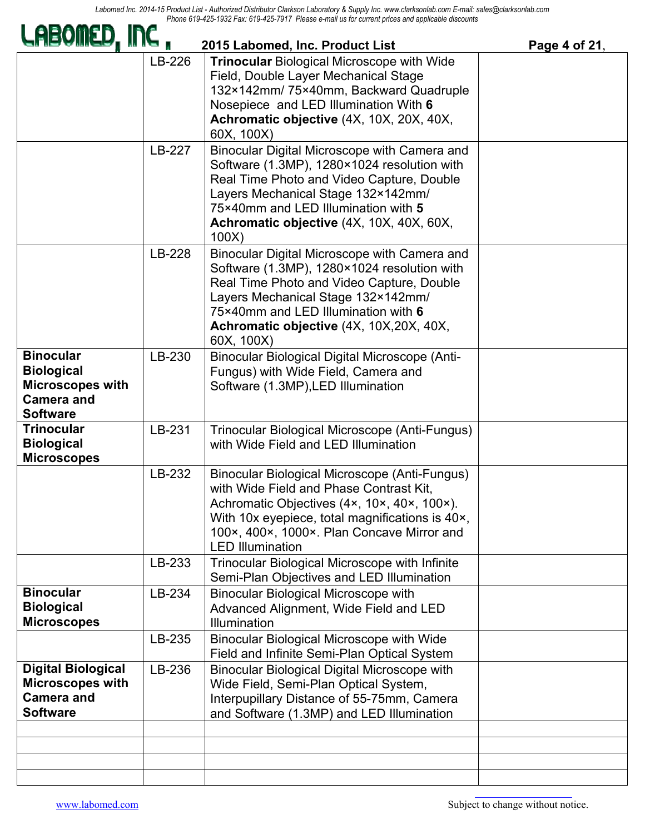| LHEQMED, INC ,                                                                                           |        | 2015 Labomed, Inc. Product List                                                                                                                                                                                                                                                 | Page 4 of 21, |
|----------------------------------------------------------------------------------------------------------|--------|---------------------------------------------------------------------------------------------------------------------------------------------------------------------------------------------------------------------------------------------------------------------------------|---------------|
|                                                                                                          | LB-226 | <b>Trinocular Biological Microscope with Wide</b><br>Field, Double Layer Mechanical Stage<br>132×142mm/75×40mm, Backward Quadruple<br>Nosepiece and LED Illumination With 6<br>Achromatic objective (4X, 10X, 20X, 40X,<br>60X, 100X)                                           |               |
|                                                                                                          | LB-227 | Binocular Digital Microscope with Camera and<br>Software (1.3MP), 1280×1024 resolution with<br>Real Time Photo and Video Capture, Double<br>Layers Mechanical Stage 132×142mm/<br>75×40mm and LED Illumination with 5<br>Achromatic objective (4X, 10X, 40X, 60X,<br>100X       |               |
|                                                                                                          | LB-228 | Binocular Digital Microscope with Camera and<br>Software (1.3MP), 1280×1024 resolution with<br>Real Time Photo and Video Capture, Double<br>Layers Mechanical Stage 132×142mm/<br>75×40mm and LED Illumination with 6<br>Achromatic objective (4X, 10X, 20X, 40X,<br>60X, 100X) |               |
| <b>Binocular</b><br><b>Biological</b><br><b>Microscopes with</b><br><b>Camera and</b><br><b>Software</b> | LB-230 | <b>Binocular Biological Digital Microscope (Anti-</b><br>Fungus) with Wide Field, Camera and<br>Software (1.3MP), LED Illumination                                                                                                                                              |               |
| <b>Trinocular</b><br><b>Biological</b><br><b>Microscopes</b>                                             | LB-231 | Trinocular Biological Microscope (Anti-Fungus)<br>with Wide Field and LED Illumination                                                                                                                                                                                          |               |
|                                                                                                          | LB-232 | Binocular Biological Microscope (Anti-Fungus)<br>with Wide Field and Phase Contrast Kit,<br>Achromatic Objectives (4x, 10x, 40x, 100x).<br>With 10x eyepiece, total magnifications is 40x,<br>100×, 400×, 1000×. Plan Concave Mirror and<br><b>LED Illumination</b>             |               |
|                                                                                                          | LB-233 | <b>Trinocular Biological Microscope with Infinite</b><br>Semi-Plan Objectives and LED Illumination                                                                                                                                                                              |               |
| <b>Binocular</b><br><b>Biological</b><br><b>Microscopes</b>                                              | LB-234 | <b>Binocular Biological Microscope with</b><br>Advanced Alignment, Wide Field and LED<br>Illumination                                                                                                                                                                           |               |
|                                                                                                          | LB-235 | <b>Binocular Biological Microscope with Wide</b><br>Field and Infinite Semi-Plan Optical System                                                                                                                                                                                 |               |
| <b>Digital Biological</b><br><b>Microscopes with</b><br><b>Camera and</b><br><b>Software</b>             | LB-236 | <b>Binocular Biological Digital Microscope with</b><br>Wide Field, Semi-Plan Optical System,<br>Interpupillary Distance of 55-75mm, Camera<br>and Software (1.3MP) and LED Illumination                                                                                         |               |
|                                                                                                          |        |                                                                                                                                                                                                                                                                                 |               |
|                                                                                                          |        |                                                                                                                                                                                                                                                                                 |               |

 $\blacksquare$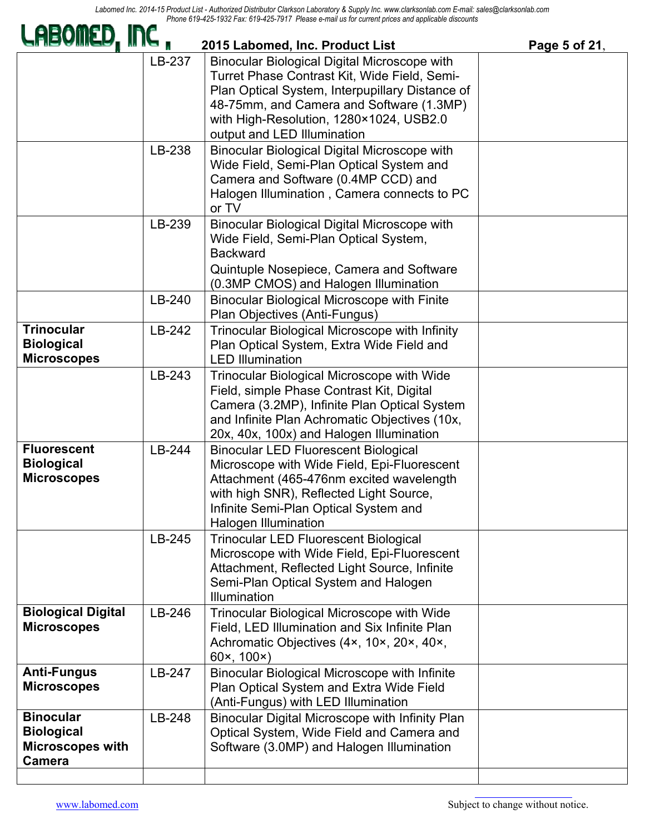| LABOMED, INC                                                                      |        | 2015 Labomed, Inc. Product List                                                                                                                                                                                                                                       | Page 5 of 21, |
|-----------------------------------------------------------------------------------|--------|-----------------------------------------------------------------------------------------------------------------------------------------------------------------------------------------------------------------------------------------------------------------------|---------------|
|                                                                                   | LB-237 | Binocular Biological Digital Microscope with<br>Turret Phase Contrast Kit, Wide Field, Semi-<br>Plan Optical System, Interpupillary Distance of<br>48-75mm, and Camera and Software (1.3MP)<br>with High-Resolution, 1280×1024, USB2.0<br>output and LED Illumination |               |
|                                                                                   | LB-238 | <b>Binocular Biological Digital Microscope with</b><br>Wide Field, Semi-Plan Optical System and<br>Camera and Software (0.4MP CCD) and<br>Halogen Illumination, Camera connects to PC<br>or TV                                                                        |               |
|                                                                                   | LB-239 | <b>Binocular Biological Digital Microscope with</b><br>Wide Field, Semi-Plan Optical System,<br><b>Backward</b><br>Quintuple Nosepiece, Camera and Software<br>(0.3MP CMOS) and Halogen Illumination                                                                  |               |
|                                                                                   | LB-240 | <b>Binocular Biological Microscope with Finite</b><br>Plan Objectives (Anti-Fungus)                                                                                                                                                                                   |               |
| <b>Trinocular</b><br><b>Biological</b><br><b>Microscopes</b>                      | LB-242 | Trinocular Biological Microscope with Infinity<br>Plan Optical System, Extra Wide Field and<br><b>LED Illumination</b>                                                                                                                                                |               |
|                                                                                   | LB-243 | <b>Trinocular Biological Microscope with Wide</b><br>Field, simple Phase Contrast Kit, Digital<br>Camera (3.2MP), Infinite Plan Optical System<br>and Infinite Plan Achromatic Objectives (10x,<br>20x, 40x, 100x) and Halogen Illumination                           |               |
| <b>Fluorescent</b><br><b>Biological</b><br><b>Microscopes</b>                     | LB-244 | <b>Binocular LED Fluorescent Biological</b><br>Microscope with Wide Field, Epi-Fluorescent<br>Attachment (465-476nm excited wavelength<br>with high SNR), Reflected Light Source,<br>Infinite Semi-Plan Optical System and<br><b>Halogen Illumination</b>             |               |
|                                                                                   | LB-245 | <b>Trinocular LED Fluorescent Biological</b><br>Microscope with Wide Field, Epi-Fluorescent<br>Attachment, Reflected Light Source, Infinite<br>Semi-Plan Optical System and Halogen<br><b>Illumination</b>                                                            |               |
| <b>Biological Digital</b><br><b>Microscopes</b>                                   | LB-246 | Trinocular Biological Microscope with Wide<br>Field, LED Illumination and Six Infinite Plan<br>Achromatic Objectives (4x, 10x, 20x, 40x,<br>60x, 100x)                                                                                                                |               |
| <b>Anti-Fungus</b><br><b>Microscopes</b>                                          | LB-247 | Binocular Biological Microscope with Infinite<br>Plan Optical System and Extra Wide Field<br>(Anti-Fungus) with LED Illumination                                                                                                                                      |               |
| <b>Binocular</b><br><b>Biological</b><br><b>Microscopes with</b><br><b>Camera</b> | LB-248 | Binocular Digital Microscope with Infinity Plan<br>Optical System, Wide Field and Camera and<br>Software (3.0MP) and Halogen Illumination                                                                                                                             |               |
|                                                                                   |        |                                                                                                                                                                                                                                                                       |               |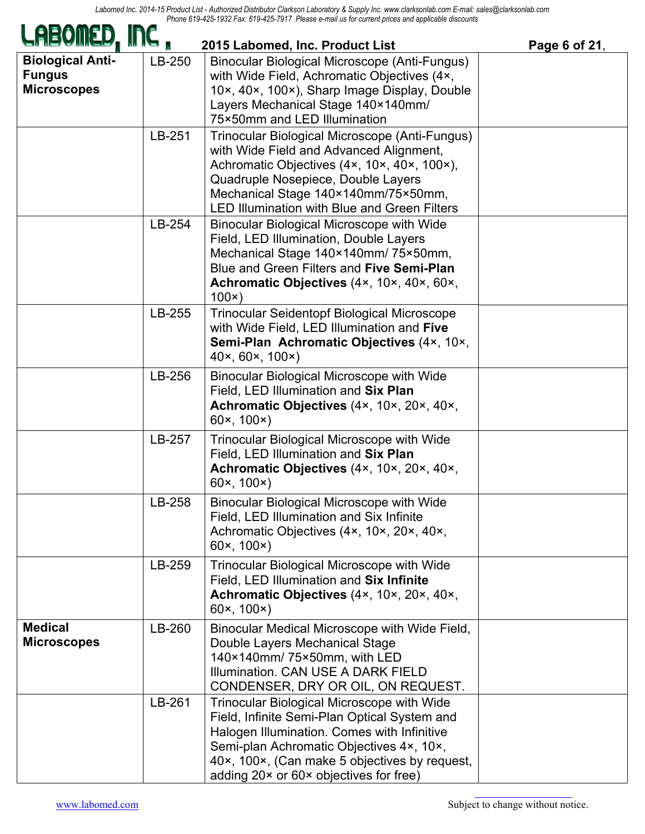| LABOMED, INC ,                                                 |                  | 2015 Labomed, Inc. Product List                                                                                                                                                                                                                                                                                                                                                                                                             | Page 6 of 21, |
|----------------------------------------------------------------|------------------|---------------------------------------------------------------------------------------------------------------------------------------------------------------------------------------------------------------------------------------------------------------------------------------------------------------------------------------------------------------------------------------------------------------------------------------------|---------------|
| <b>Biological Anti-</b><br><b>Fungus</b><br><b>Microscopes</b> | LB-250<br>LB-251 | Binocular Biological Microscope (Anti-Fungus)<br>with Wide Field, Achromatic Objectives (4x,<br>10x, 40x, 100x), Sharp Image Display, Double<br>Layers Mechanical Stage 140×140mm/<br>75×50mm and LED Illumination<br>Trinocular Biological Microscope (Anti-Fungus)<br>with Wide Field and Advanced Alignment,<br>Achromatic Objectives (4x, 10x, 40x, 100x),<br>Quadruple Nosepiece, Double Layers<br>Mechanical Stage 140×140mm/75×50mm, |               |
|                                                                | LB-254           | <b>LED Illumination with Blue and Green Filters</b><br><b>Binocular Biological Microscope with Wide</b><br>Field, LED Illumination, Double Layers<br>Mechanical Stage 140×140mm/75×50mm,<br>Blue and Green Filters and Five Semi-Plan<br>Achromatic Objectives (4x, 10x, 40x, 60x,<br>100x)                                                                                                                                                 |               |
|                                                                | LB-255           | <b>Trinocular Seidentopf Biological Microscope</b><br>with Wide Field, LED Illumination and Five<br>Semi-Plan Achromatic Objectives (4x, 10x,<br>40x, 60x, 100x)                                                                                                                                                                                                                                                                            |               |
|                                                                | LB-256           | <b>Binocular Biological Microscope with Wide</b><br>Field, LED Illumination and Six Plan<br>Achromatic Objectives (4x, 10x, 20x, 40x,<br>60x, 100x)                                                                                                                                                                                                                                                                                         |               |
|                                                                | LB-257           | <b>Trinocular Biological Microscope with Wide</b><br>Field, LED Illumination and Six Plan<br>Achromatic Objectives (4x, 10x, 20x, 40x,<br>60x, 100x)                                                                                                                                                                                                                                                                                        |               |
|                                                                | LB-258           | <b>Binocular Biological Microscope with Wide</b><br>Field, LED Illumination and Six Infinite<br>Achromatic Objectives (4x, 10x, 20x, 40x,<br>60x, 100x)                                                                                                                                                                                                                                                                                     |               |
|                                                                | LB-259           | <b>Trinocular Biological Microscope with Wide</b><br>Field, LED Illumination and Six Infinite<br>Achromatic Objectives (4x, 10x, 20x, 40x,<br>60x, 100x)                                                                                                                                                                                                                                                                                    |               |
| <b>Medical</b><br><b>Microscopes</b>                           | LB-260           | Binocular Medical Microscope with Wide Field,<br>Double Layers Mechanical Stage<br>140×140mm/75×50mm, with LED<br>Illumination. CAN USE A DARK FIELD<br>CONDENSER, DRY OR OIL, ON REQUEST.                                                                                                                                                                                                                                                  |               |
|                                                                | LB-261           | <b>Trinocular Biological Microscope with Wide</b><br>Field, Infinite Semi-Plan Optical System and<br>Halogen Illumination. Comes with Infinitive<br>Semi-plan Achromatic Objectives 4x, 10x,<br>40×, 100×, (Can make 5 objectives by request,<br>adding 20x or 60x objectives for free)                                                                                                                                                     |               |

a an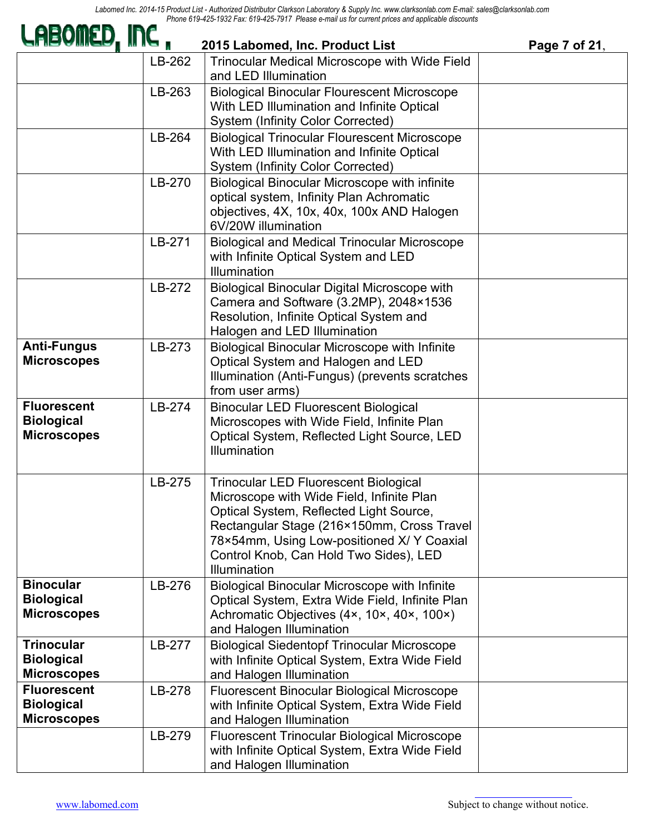*Labomed Inc. 2014-15 Product List - Authorized Distributor Clarkson Laboratory & Supply Inc. www.clarksonlab.com E-mail: sales@clarksonlab.com Phone 619-425-1932 Fax: 619-425-7917 Please e-mail us for current prices and applicable discounts*Ā s.

| LABOMED, INC,                                                 |        | 2015 Labomed, Inc. Product List                                                                                                                                                                                                                                                            | Page 7 of 21, |
|---------------------------------------------------------------|--------|--------------------------------------------------------------------------------------------------------------------------------------------------------------------------------------------------------------------------------------------------------------------------------------------|---------------|
|                                                               | LB-262 | <b>Trinocular Medical Microscope with Wide Field</b><br>and LED Illumination                                                                                                                                                                                                               |               |
|                                                               | LB-263 | <b>Biological Binocular Flourescent Microscope</b><br>With LED Illumination and Infinite Optical<br>System (Infinity Color Corrected)                                                                                                                                                      |               |
|                                                               | LB-264 | <b>Biological Trinocular Flourescent Microscope</b><br>With LED Illumination and Infinite Optical<br><b>System (Infinity Color Corrected)</b>                                                                                                                                              |               |
|                                                               | LB-270 | Biological Binocular Microscope with infinite<br>optical system, Infinity Plan Achromatic<br>objectives, 4X, 10x, 40x, 100x AND Halogen<br>6V/20W illumination                                                                                                                             |               |
|                                                               | LB-271 | <b>Biological and Medical Trinocular Microscope</b><br>with Infinite Optical System and LED<br>Illumination                                                                                                                                                                                |               |
|                                                               | LB-272 | <b>Biological Binocular Digital Microscope with</b><br>Camera and Software (3.2MP), 2048×1536<br>Resolution, Infinite Optical System and<br>Halogen and LED Illumination                                                                                                                   |               |
| <b>Anti-Fungus</b><br><b>Microscopes</b>                      | LB-273 | <b>Biological Binocular Microscope with Infinite</b><br>Optical System and Halogen and LED<br>Illumination (Anti-Fungus) (prevents scratches<br>from user arms)                                                                                                                            |               |
| <b>Fluorescent</b><br><b>Biological</b><br><b>Microscopes</b> | LB-274 | <b>Binocular LED Fluorescent Biological</b><br>Microscopes with Wide Field, Infinite Plan<br>Optical System, Reflected Light Source, LED<br><b>Illumination</b>                                                                                                                            |               |
|                                                               | LB-275 | <b>Trinocular LED Fluorescent Biological</b><br>Microscope with Wide Field, Infinite Plan<br>Optical System, Reflected Light Source,<br>Rectangular Stage (216×150mm, Cross Travel<br>78×54mm, Using Low-positioned X/ Y Coaxial<br>Control Knob, Can Hold Two Sides), LED<br>Illumination |               |
| <b>Binocular</b><br><b>Biological</b><br><b>Microscopes</b>   | LB-276 | <b>Biological Binocular Microscope with Infinite</b><br>Optical System, Extra Wide Field, Infinite Plan<br>Achromatic Objectives (4x, 10x, 40x, 100x)<br>and Halogen Illumination                                                                                                          |               |
| <b>Trinocular</b><br><b>Biological</b><br><b>Microscopes</b>  | LB-277 | <b>Biological Siedentopf Trinocular Microscope</b><br>with Infinite Optical System, Extra Wide Field<br>and Halogen Illumination                                                                                                                                                           |               |
| <b>Fluorescent</b><br><b>Biological</b><br><b>Microscopes</b> | LB-278 | Fluorescent Binocular Biological Microscope<br>with Infinite Optical System, Extra Wide Field<br>and Halogen Illumination                                                                                                                                                                  |               |
|                                                               | LB-279 | <b>Fluorescent Trinocular Biological Microscope</b><br>with Infinite Optical System, Extra Wide Field<br>and Halogen Illumination                                                                                                                                                          |               |

2728 S. La Cienega Blvd.., Los Angeles, CA 90034 – Tel. (310) 202-0811 Fax (310) 202-7286 – Email: spectro@labomed.com, Website:

EVA A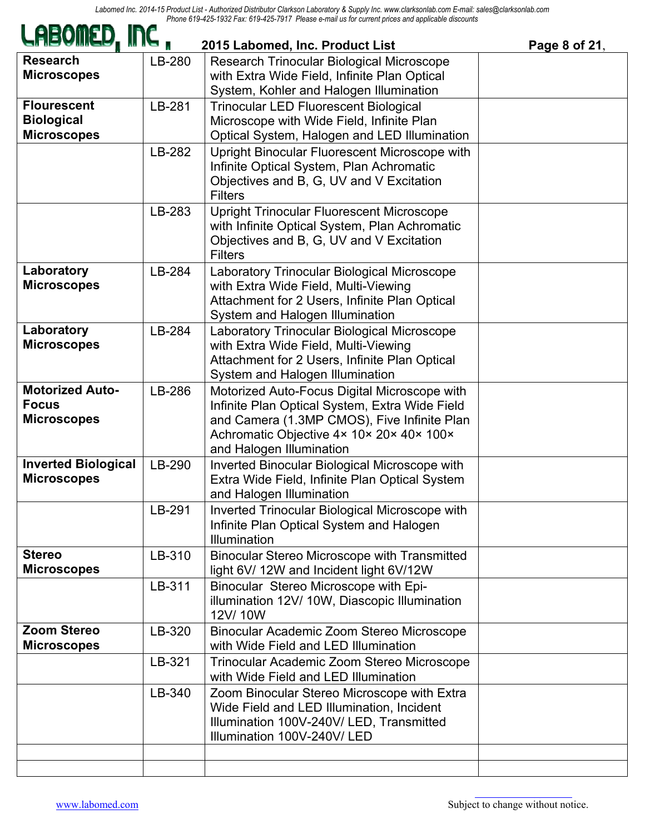| LABOMED, INC,                                                 |        | 2015 Labomed, Inc. Product List                                                                                                                                                                                       | Page 8 of 21, |
|---------------------------------------------------------------|--------|-----------------------------------------------------------------------------------------------------------------------------------------------------------------------------------------------------------------------|---------------|
| <b>Research</b><br><b>Microscopes</b>                         | LB-280 | Research Trinocular Biological Microscope<br>with Extra Wide Field, Infinite Plan Optical<br>System, Kohler and Halogen Illumination                                                                                  |               |
| <b>Flourescent</b><br><b>Biological</b><br><b>Microscopes</b> | LB-281 | <b>Trinocular LED Fluorescent Biological</b><br>Microscope with Wide Field, Infinite Plan<br>Optical System, Halogen and LED Illumination                                                                             |               |
|                                                               | LB-282 | Upright Binocular Fluorescent Microscope with<br>Infinite Optical System, Plan Achromatic<br>Objectives and B, G, UV and V Excitation<br><b>Filters</b>                                                               |               |
|                                                               | LB-283 | <b>Upright Trinocular Fluorescent Microscope</b><br>with Infinite Optical System, Plan Achromatic<br>Objectives and B, G, UV and V Excitation<br><b>Filters</b>                                                       |               |
| Laboratory<br><b>Microscopes</b>                              | LB-284 | Laboratory Trinocular Biological Microscope<br>with Extra Wide Field, Multi-Viewing<br>Attachment for 2 Users, Infinite Plan Optical<br>System and Halogen Illumination                                               |               |
| Laboratory<br><b>Microscopes</b>                              | LB-284 | Laboratory Trinocular Biological Microscope<br>with Extra Wide Field, Multi-Viewing<br>Attachment for 2 Users, Infinite Plan Optical<br>System and Halogen Illumination                                               |               |
| <b>Motorized Auto-</b><br><b>Focus</b><br><b>Microscopes</b>  | LB-286 | Motorized Auto-Focus Digital Microscope with<br>Infinite Plan Optical System, Extra Wide Field<br>and Camera (1.3MP CMOS), Five Infinite Plan<br>Achromatic Objective 4x 10x 20x 40x 100x<br>and Halogen Illumination |               |
| <b>Inverted Biological</b><br><b>Microscopes</b>              | LB-290 | <b>Inverted Binocular Biological Microscope with</b><br>Extra Wide Field, Infinite Plan Optical System<br>and Halogen Illumination                                                                                    |               |
|                                                               | LB-291 | Inverted Trinocular Biological Microscope with<br>Infinite Plan Optical System and Halogen<br>Illumination                                                                                                            |               |
| <b>Stereo</b><br><b>Microscopes</b>                           | LB-310 | Binocular Stereo Microscope with Transmitted<br>light 6V/ 12W and Incident light 6V/12W                                                                                                                               |               |
|                                                               | LB-311 | Binocular Stereo Microscope with Epi-<br>illumination 12V/10W, Diascopic Illumination<br>12V/10W                                                                                                                      |               |
| <b>Zoom Stereo</b><br><b>Microscopes</b>                      | LB-320 | Binocular Academic Zoom Stereo Microscope<br>with Wide Field and LED Illumination                                                                                                                                     |               |
|                                                               | LB-321 | Trinocular Academic Zoom Stereo Microscope<br>with Wide Field and LED Illumination                                                                                                                                    |               |
|                                                               | LB-340 | Zoom Binocular Stereo Microscope with Extra<br>Wide Field and LED Illumination, Incident<br>Illumination 100V-240V/ LED, Transmitted<br>Illumination 100V-240V/ LED                                                   |               |
|                                                               |        |                                                                                                                                                                                                                       |               |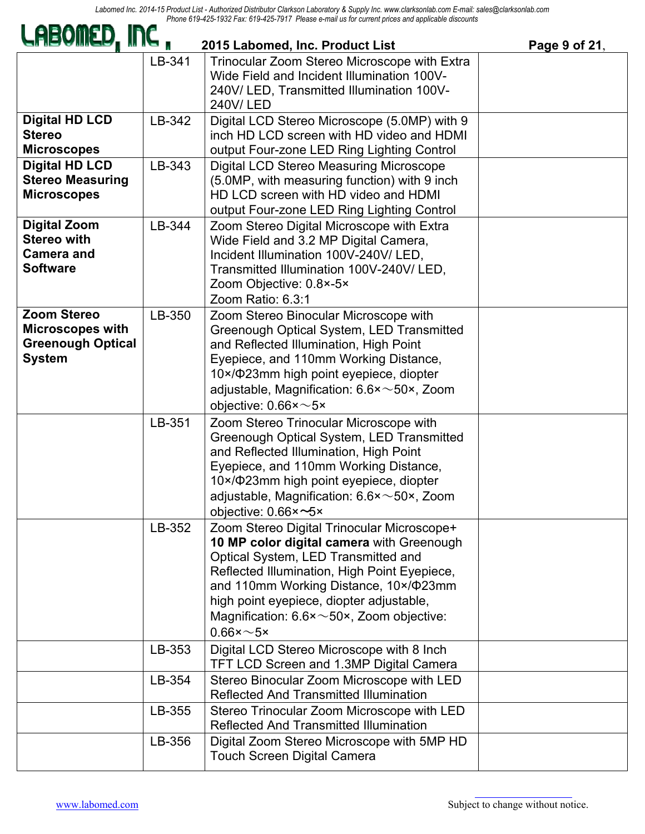| LABOMED, INC,                                                                              |        | 2015 Labomed, Inc. Product List                                                                                                                                                                                                                                                                                                                                    | Page 9 of 21, |
|--------------------------------------------------------------------------------------------|--------|--------------------------------------------------------------------------------------------------------------------------------------------------------------------------------------------------------------------------------------------------------------------------------------------------------------------------------------------------------------------|---------------|
|                                                                                            | LB-341 | Trinocular Zoom Stereo Microscope with Extra<br>Wide Field and Incident Illumination 100V-<br>240V/ LED, Transmitted Illumination 100V-<br>240V/LED                                                                                                                                                                                                                |               |
| <b>Digital HD LCD</b><br><b>Stereo</b><br><b>Microscopes</b>                               | LB-342 | Digital LCD Stereo Microscope (5.0MP) with 9<br>inch HD LCD screen with HD video and HDMI<br>output Four-zone LED Ring Lighting Control                                                                                                                                                                                                                            |               |
| <b>Digital HD LCD</b><br><b>Stereo Measuring</b><br><b>Microscopes</b>                     | LB-343 | Digital LCD Stereo Measuring Microscope<br>(5.0MP, with measuring function) with 9 inch<br>HD LCD screen with HD video and HDMI<br>output Four-zone LED Ring Lighting Control                                                                                                                                                                                      |               |
| <b>Digital Zoom</b><br><b>Stereo with</b><br><b>Camera and</b><br><b>Software</b>          | LB-344 | Zoom Stereo Digital Microscope with Extra<br>Wide Field and 3.2 MP Digital Camera,<br>Incident Illumination 100V-240V/ LED.<br>Transmitted Illumination 100V-240V/ LED,<br>Zoom Objective: 0.8×-5×<br>Zoom Ratio: 6.3:1                                                                                                                                            |               |
| <b>Zoom Stereo</b><br><b>Microscopes with</b><br><b>Greenough Optical</b><br><b>System</b> | LB-350 | Zoom Stereo Binocular Microscope with<br>Greenough Optical System, LED Transmitted<br>and Reflected Illumination, High Point<br>Eyepiece, and 110mm Working Distance,<br>10×/Ф23mm high point eyepiece, diopter<br>adjustable, Magnification: $6.6 \times \sim 50 \times$ , Zoom<br>objective: $0.66 \times \sim 5 \times$                                         |               |
|                                                                                            | LB-351 | Zoom Stereo Trinocular Microscope with<br>Greenough Optical System, LED Transmitted<br>and Reflected Illumination, High Point<br>Eyepiece, and 110mm Working Distance,<br>10×/Ф23mm high point eyepiece, diopter<br>adjustable, Magnification: $6.6 \times \sim 50 \times$ , Zoom<br>objective: $0.66 \times -5 \times$                                            |               |
|                                                                                            | LB-352 | Zoom Stereo Digital Trinocular Microscope+<br>10 MP color digital camera with Greenough<br>Optical System, LED Transmitted and<br>Reflected Illumination, High Point Eyepiece,<br>and 110mm Working Distance, 10×/Φ23mm<br>high point eyepiece, diopter adjustable,<br>Magnification: $6.6 \times \sim 50 \times$ , Zoom objective:<br>$0.66 \times \sim 5 \times$ |               |
|                                                                                            | LB-353 | Digital LCD Stereo Microscope with 8 Inch<br>TFT LCD Screen and 1.3MP Digital Camera                                                                                                                                                                                                                                                                               |               |
|                                                                                            | LB-354 | Stereo Binocular Zoom Microscope with LED<br><b>Reflected And Transmitted Illumination</b>                                                                                                                                                                                                                                                                         |               |
|                                                                                            | LB-355 | Stereo Trinocular Zoom Microscope with LED<br>Reflected And Transmitted Illumination                                                                                                                                                                                                                                                                               |               |
|                                                                                            | LB-356 | Digital Zoom Stereo Microscope with 5MP HD<br><b>Touch Screen Digital Camera</b>                                                                                                                                                                                                                                                                                   |               |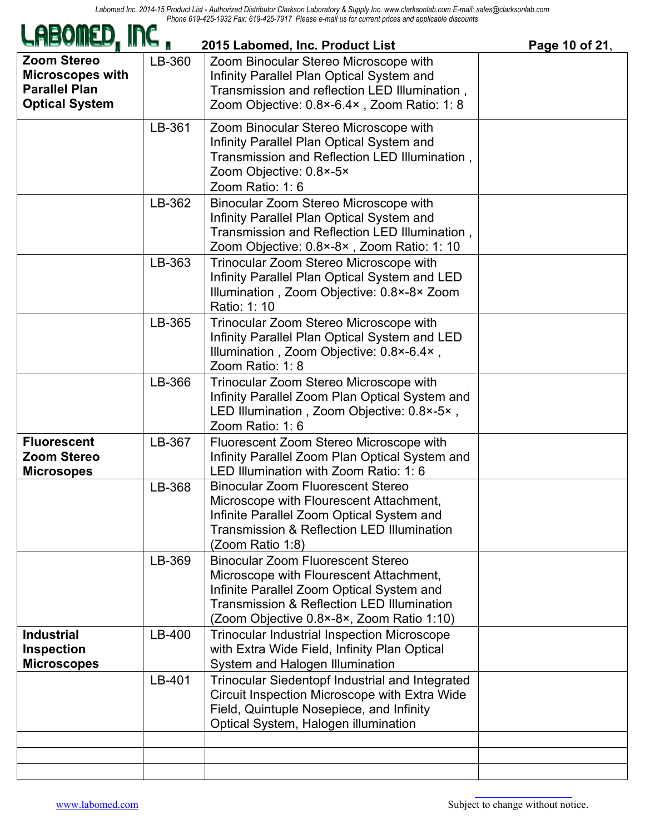| LABOMED, INC,                                                                                  |        | 2015 Labomed, Inc. Product List                                                                                                                                                                                                        | Page 10 of 21, |
|------------------------------------------------------------------------------------------------|--------|----------------------------------------------------------------------------------------------------------------------------------------------------------------------------------------------------------------------------------------|----------------|
| <b>Zoom Stereo</b><br><b>Microscopes with</b><br><b>Parallel Plan</b><br><b>Optical System</b> | LB-360 | Zoom Binocular Stereo Microscope with<br>Infinity Parallel Plan Optical System and<br>Transmission and reflection LED Illumination,<br>Zoom Objective: 0.8×-6.4×, Zoom Ratio: 1:8                                                      |                |
|                                                                                                | LB-361 | Zoom Binocular Stereo Microscope with<br>Infinity Parallel Plan Optical System and<br>Transmission and Reflection LED Illumination,<br>Zoom Objective: 0.8×-5×<br>Zoom Ratio: 1:6                                                      |                |
|                                                                                                | LB-362 | Binocular Zoom Stereo Microscope with<br>Infinity Parallel Plan Optical System and<br>Transmission and Reflection LED Illumination,<br>Zoom Objective: 0.8×-8×, Zoom Ratio: 1: 10                                                      |                |
|                                                                                                | LB-363 | Trinocular Zoom Stereo Microscope with<br>Infinity Parallel Plan Optical System and LED<br>Illumination, Zoom Objective: 0.8×-8× Zoom<br>Ratio: 1: 10                                                                                  |                |
|                                                                                                | LB-365 | Trinocular Zoom Stereo Microscope with<br>Infinity Parallel Plan Optical System and LED<br>Illumination, Zoom Objective: 0.8×-6.4×,<br>Zoom Ratio: 1: 8                                                                                |                |
|                                                                                                | LB-366 | Trinocular Zoom Stereo Microscope with<br>Infinity Parallel Zoom Plan Optical System and<br>LED Illumination, Zoom Objective: 0.8×-5×,<br>Zoom Ratio: 1:6                                                                              |                |
| <b>Fluorescent</b><br><b>Zoom Stereo</b><br><b>Microsopes</b>                                  | LB-367 | Fluorescent Zoom Stereo Microscope with<br>Infinity Parallel Zoom Plan Optical System and<br>LED Illumination with Zoom Ratio: 1: 6                                                                                                    |                |
|                                                                                                | LB-368 | <b>Binocular Zoom Fluorescent Stereo</b><br>Microscope with Flourescent Attachment,<br>Infinite Parallel Zoom Optical System and<br>Transmission & Reflection LED Illumination<br>(Zoom Ratio 1:8)                                     |                |
|                                                                                                | LB-369 | <b>Binocular Zoom Fluorescent Stereo</b><br>Microscope with Flourescent Attachment,<br>Infinite Parallel Zoom Optical System and<br><b>Transmission &amp; Reflection LED Illumination</b><br>(Zoom Objective 0.8×-8×, Zoom Ratio 1:10) |                |
| <b>Industrial</b><br><b>Inspection</b><br><b>Microscopes</b>                                   | LB-400 | <b>Trinocular Industrial Inspection Microscope</b><br>with Extra Wide Field, Infinity Plan Optical<br>System and Halogen Illumination                                                                                                  |                |
|                                                                                                | LB-401 | Trinocular Siedentopf Industrial and Integrated<br>Circuit Inspection Microscope with Extra Wide<br>Field, Quintuple Nosepiece, and Infinity<br>Optical System, Halogen illumination                                                   |                |
|                                                                                                |        |                                                                                                                                                                                                                                        |                |
|                                                                                                |        |                                                                                                                                                                                                                                        |                |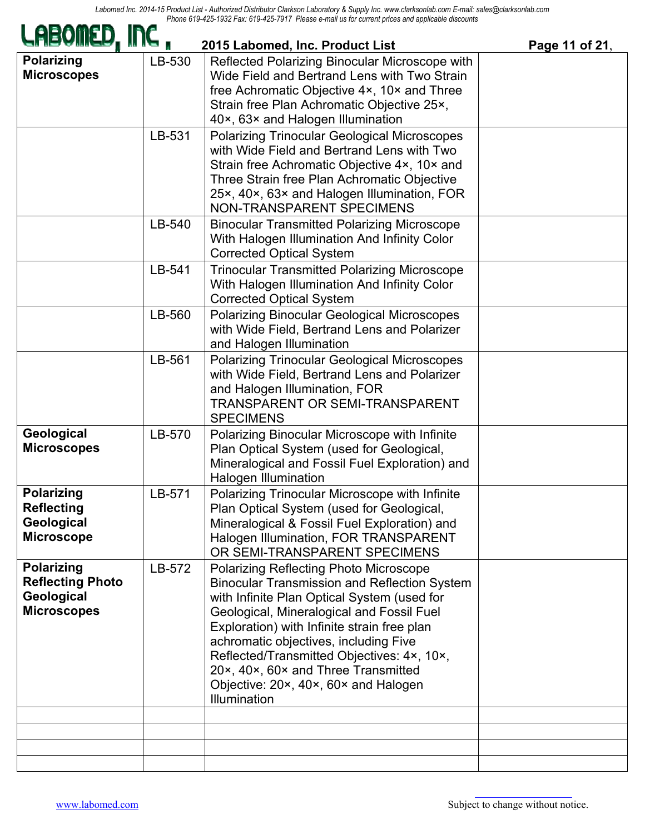| LHBOIILD, INC ,                                                                  |                  | 2015 Labomed, Inc. Product List                                                                                                                                                                                                                                                                                                                                                                                                       | Page 11 of 21, |
|----------------------------------------------------------------------------------|------------------|---------------------------------------------------------------------------------------------------------------------------------------------------------------------------------------------------------------------------------------------------------------------------------------------------------------------------------------------------------------------------------------------------------------------------------------|----------------|
| <b>Polarizing</b><br><b>Microscopes</b>                                          | LB-530<br>LB-531 | Reflected Polarizing Binocular Microscope with<br>Wide Field and Bertrand Lens with Two Strain<br>free Achromatic Objective 4x, 10x and Three<br>Strain free Plan Achromatic Objective 25x,<br>40×, 63× and Halogen Illumination<br><b>Polarizing Trinocular Geological Microscopes</b><br>with Wide Field and Bertrand Lens with Two<br>Strain free Achromatic Objective 4x, 10x and                                                 |                |
|                                                                                  |                  | Three Strain free Plan Achromatic Objective<br>25×, 40×, 63× and Halogen Illumination, FOR<br>NON-TRANSPARENT SPECIMENS                                                                                                                                                                                                                                                                                                               |                |
|                                                                                  | LB-540           | <b>Binocular Transmitted Polarizing Microscope</b><br>With Halogen Illumination And Infinity Color<br><b>Corrected Optical System</b>                                                                                                                                                                                                                                                                                                 |                |
|                                                                                  | LB-541           | <b>Trinocular Transmitted Polarizing Microscope</b><br>With Halogen Illumination And Infinity Color<br><b>Corrected Optical System</b>                                                                                                                                                                                                                                                                                                |                |
|                                                                                  | LB-560           | <b>Polarizing Binocular Geological Microscopes</b><br>with Wide Field, Bertrand Lens and Polarizer<br>and Halogen Illumination                                                                                                                                                                                                                                                                                                        |                |
|                                                                                  | LB-561           | <b>Polarizing Trinocular Geological Microscopes</b><br>with Wide Field, Bertrand Lens and Polarizer<br>and Halogen Illumination, FOR<br>TRANSPARENT OR SEMI-TRANSPARENT<br><b>SPECIMENS</b>                                                                                                                                                                                                                                           |                |
| Geological<br><b>Microscopes</b>                                                 | LB-570           | Polarizing Binocular Microscope with Infinite<br>Plan Optical System (used for Geological,<br>Mineralogical and Fossil Fuel Exploration) and<br><b>Halogen Illumination</b>                                                                                                                                                                                                                                                           |                |
| <b>Polarizing</b><br><b>Reflecting</b><br>Geological<br><b>Microscope</b>        | LB-571           | Polarizing Trinocular Microscope with Infinite<br>Plan Optical System (used for Geological,<br>Mineralogical & Fossil Fuel Exploration) and<br>Halogen Illumination, FOR TRANSPARENT<br>OR SEMI-TRANSPARENT SPECIMENS                                                                                                                                                                                                                 |                |
| <b>Polarizing</b><br><b>Reflecting Photo</b><br>Geological<br><b>Microscopes</b> | LB-572           | <b>Polarizing Reflecting Photo Microscope</b><br><b>Binocular Transmission and Reflection System</b><br>with Infinite Plan Optical System (used for<br>Geological, Mineralogical and Fossil Fuel<br>Exploration) with Infinite strain free plan<br>achromatic objectives, including Five<br>Reflected/Transmitted Objectives: 4x, 10x,<br>20x, 40x, 60x and Three Transmitted<br>Objective: 20x, 40x, 60x and Halogen<br>Illumination |                |
|                                                                                  |                  |                                                                                                                                                                                                                                                                                                                                                                                                                                       |                |
|                                                                                  |                  |                                                                                                                                                                                                                                                                                                                                                                                                                                       |                |
|                                                                                  |                  |                                                                                                                                                                                                                                                                                                                                                                                                                                       |                |

 $\mathbf{u}$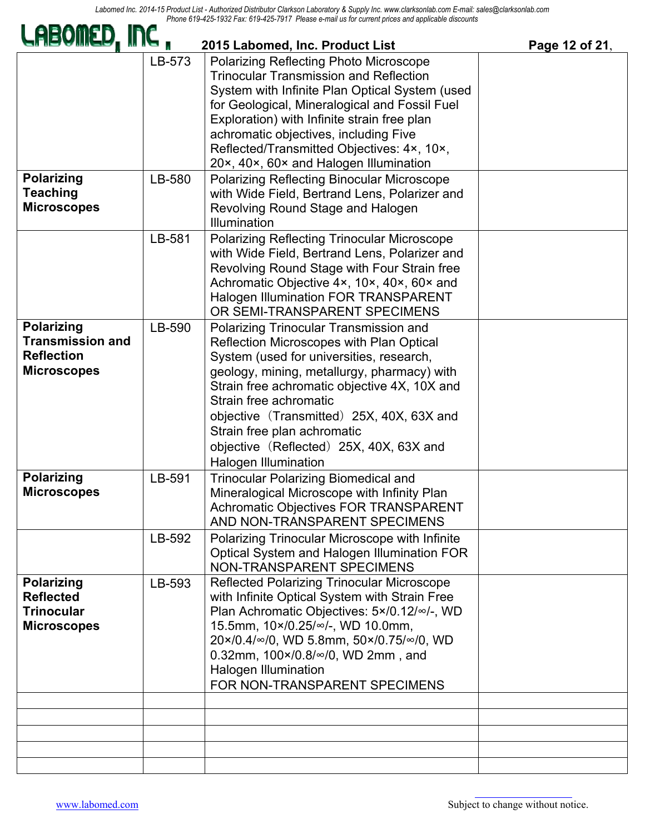*Labomed Inc. 2014-15 Product List - Authorized Distributor Clarkson Laboratory & Supply Inc. www.clarksonlab.com E-mail: sales@clarksonlab.com Phone 619-425-1932 Fax: 619-425-7917 Please e-mail us for current prices and applicable discounts*

| LABOMED, INC ,                                                                          |        | 2015 Labomed, Inc. Product List                                                                                                                                                                                                                                                                                                                                                                               | Page 12 of 21, |
|-----------------------------------------------------------------------------------------|--------|---------------------------------------------------------------------------------------------------------------------------------------------------------------------------------------------------------------------------------------------------------------------------------------------------------------------------------------------------------------------------------------------------------------|----------------|
|                                                                                         | LB-573 | <b>Polarizing Reflecting Photo Microscope</b><br><b>Trinocular Transmission and Reflection</b><br>System with Infinite Plan Optical System (used<br>for Geological, Mineralogical and Fossil Fuel<br>Exploration) with Infinite strain free plan<br>achromatic objectives, including Five<br>Reflected/Transmitted Objectives: 4×, 10×,<br>20×, 40×, 60× and Halogen Illumination                             |                |
| <b>Polarizing</b><br><b>Teaching</b><br><b>Microscopes</b>                              | LB-580 | <b>Polarizing Reflecting Binocular Microscope</b><br>with Wide Field, Bertrand Lens, Polarizer and<br>Revolving Round Stage and Halogen<br>Illumination                                                                                                                                                                                                                                                       |                |
|                                                                                         | LB-581 | <b>Polarizing Reflecting Trinocular Microscope</b><br>with Wide Field, Bertrand Lens, Polarizer and<br>Revolving Round Stage with Four Strain free<br>Achromatic Objective 4x, 10x, 40x, 60x and<br><b>Halogen Illumination FOR TRANSPARENT</b><br>OR SEMI-TRANSPARENT SPECIMENS                                                                                                                              |                |
| <b>Polarizing</b><br><b>Transmission and</b><br><b>Reflection</b><br><b>Microscopes</b> | LB-590 | Polarizing Trinocular Transmission and<br>Reflection Microscopes with Plan Optical<br>System (used for universities, research,<br>geology, mining, metallurgy, pharmacy) with<br>Strain free achromatic objective 4X, 10X and<br>Strain free achromatic<br>objective (Transmitted) 25X, 40X, 63X and<br>Strain free plan achromatic<br>objective (Reflected) 25X, 40X, 63X and<br><b>Halogen Illumination</b> |                |
| <b>Polarizing</b><br><b>Microscopes</b>                                                 | LB-591 | <b>Trinocular Polarizing Biomedical and</b><br>Mineralogical Microscope with Infinity Plan<br><b>Achromatic Objectives FOR TRANSPARENT</b><br>AND NON-TRANSPARENT SPECIMENS                                                                                                                                                                                                                                   |                |
|                                                                                         | LB-592 | Polarizing Trinocular Microscope with Infinite<br>Optical System and Halogen Illumination FOR<br><b>NON-TRANSPARENT SPECIMENS</b>                                                                                                                                                                                                                                                                             |                |
| <b>Polarizing</b><br><b>Reflected</b><br><b>Trinocular</b><br><b>Microscopes</b>        | LB-593 | <b>Reflected Polarizing Trinocular Microscope</b><br>with Infinite Optical System with Strain Free<br>Plan Achromatic Objectives: 5×/0.12/∞/-, WD<br>15.5mm, 10×/0.25/∞/-, WD 10.0mm,<br>20×/0.4/∞/0, WD 5.8mm, 50×/0.75/∞/0, WD<br>0.32mm, 100×/0.8/∞/0, WD 2mm, and<br>Halogen Illumination<br>FOR NON-TRANSPARENT SPECIMENS                                                                                |                |
|                                                                                         |        |                                                                                                                                                                                                                                                                                                                                                                                                               |                |
|                                                                                         |        |                                                                                                                                                                                                                                                                                                                                                                                                               |                |
|                                                                                         |        |                                                                                                                                                                                                                                                                                                                                                                                                               |                |

2728 S. La Cienega Blvd.., Los Angeles, CA 90034 – Tel. (310) 202-0811 Fax (310) 202-7286 – Email: spectro@labomed.com, Website:

 $\sim$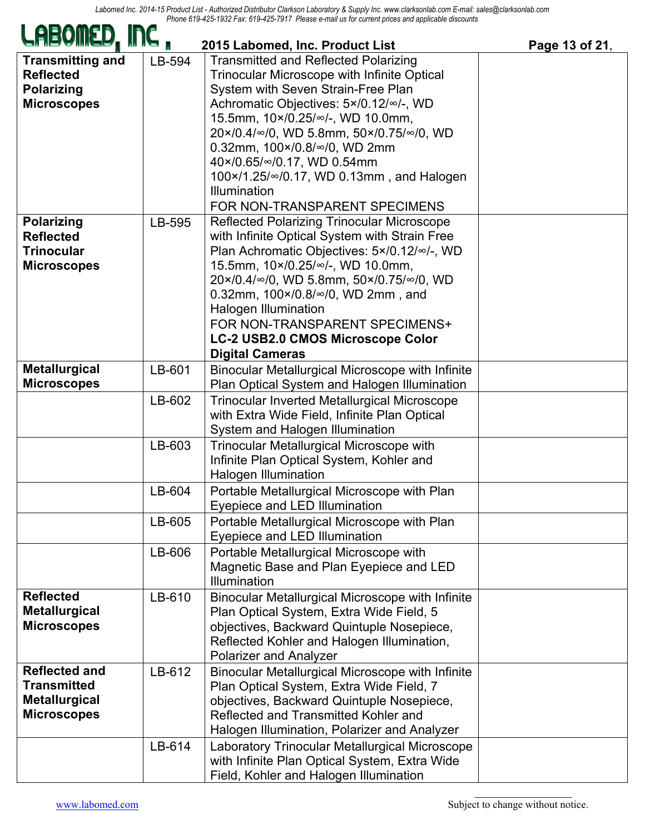| LHBOIILD, INC ,                                                                          |        | 2015 Labomed, Inc. Product List                                                                                                                                                                                                                                                                                                                                                                                             | Page 13 of 21, |
|------------------------------------------------------------------------------------------|--------|-----------------------------------------------------------------------------------------------------------------------------------------------------------------------------------------------------------------------------------------------------------------------------------------------------------------------------------------------------------------------------------------------------------------------------|----------------|
| <b>Transmitting and</b><br><b>Reflected</b><br><b>Polarizing</b><br><b>Microscopes</b>   | LB-594 | <b>Transmitted and Reflected Polarizing</b><br><b>Trinocular Microscope with Infinite Optical</b><br>System with Seven Strain-Free Plan<br>Achromatic Objectives: 5×/0.12/∞/-, WD<br>15.5mm, 10×/0.25/∞/-, WD 10.0mm,<br>20×/0.4/∞/0, WD 5.8mm, 50×/0.75/∞/0, WD<br>0.32mm, 100×/0.8/∞/0, WD 2mm<br>40×/0.65/∞/0.17, WD 0.54mm<br>100×/1.25/∞/0.17, WD 0.13mm, and Halogen<br>Illumination<br>FOR NON-TRANSPARENT SPECIMENS |                |
| <b>Polarizing</b><br><b>Reflected</b><br><b>Trinocular</b><br><b>Microscopes</b>         | LB-595 | <b>Reflected Polarizing Trinocular Microscope</b><br>with Infinite Optical System with Strain Free<br>Plan Achromatic Objectives: 5×/0.12/∞/-, WD<br>15.5mm, 10×/0.25/∞/-, WD 10.0mm,<br>20×/0.4/∞/0, WD 5.8mm, 50×/0.75/∞/0, WD<br>0.32mm, 100×/0.8/∞/0, WD 2mm, and<br><b>Halogen Illumination</b><br>FOR NON-TRANSPARENT SPECIMENS+<br>LC-2 USB2.0 CMOS Microscope Color<br><b>Digital Cameras</b>                       |                |
| <b>Metallurgical</b><br><b>Microscopes</b>                                               | LB-601 | Binocular Metallurgical Microscope with Infinite<br>Plan Optical System and Halogen Illumination                                                                                                                                                                                                                                                                                                                            |                |
|                                                                                          | LB-602 | <b>Trinocular Inverted Metallurgical Microscope</b><br>with Extra Wide Field, Infinite Plan Optical<br>System and Halogen Illumination                                                                                                                                                                                                                                                                                      |                |
|                                                                                          | LB-603 | Trinocular Metallurgical Microscope with<br>Infinite Plan Optical System, Kohler and<br><b>Halogen Illumination</b>                                                                                                                                                                                                                                                                                                         |                |
|                                                                                          | LB-604 | Portable Metallurgical Microscope with Plan<br>Eyepiece and LED Illumination                                                                                                                                                                                                                                                                                                                                                |                |
|                                                                                          | LB-605 | Portable Metallurgical Microscope with Plan<br>Eyepiece and LED Illumination                                                                                                                                                                                                                                                                                                                                                |                |
|                                                                                          | LB-606 | Portable Metallurgical Microscope with<br>Magnetic Base and Plan Eyepiece and LED<br><b>Illumination</b>                                                                                                                                                                                                                                                                                                                    |                |
| <b>Reflected</b><br><b>Metallurgical</b><br><b>Microscopes</b>                           | LB-610 | Binocular Metallurgical Microscope with Infinite<br>Plan Optical System, Extra Wide Field, 5<br>objectives, Backward Quintuple Nosepiece,<br>Reflected Kohler and Halogen Illumination,<br><b>Polarizer and Analyzer</b>                                                                                                                                                                                                    |                |
| <b>Reflected and</b><br><b>Transmitted</b><br><b>Metallurgical</b><br><b>Microscopes</b> | LB-612 | Binocular Metallurgical Microscope with Infinite<br>Plan Optical System, Extra Wide Field, 7<br>objectives, Backward Quintuple Nosepiece,<br>Reflected and Transmitted Kohler and<br>Halogen Illumination, Polarizer and Analyzer                                                                                                                                                                                           |                |
|                                                                                          | LB-614 | Laboratory Trinocular Metallurgical Microscope<br>with Infinite Plan Optical System, Extra Wide<br>Field, Kohler and Halogen Illumination                                                                                                                                                                                                                                                                                   |                |

п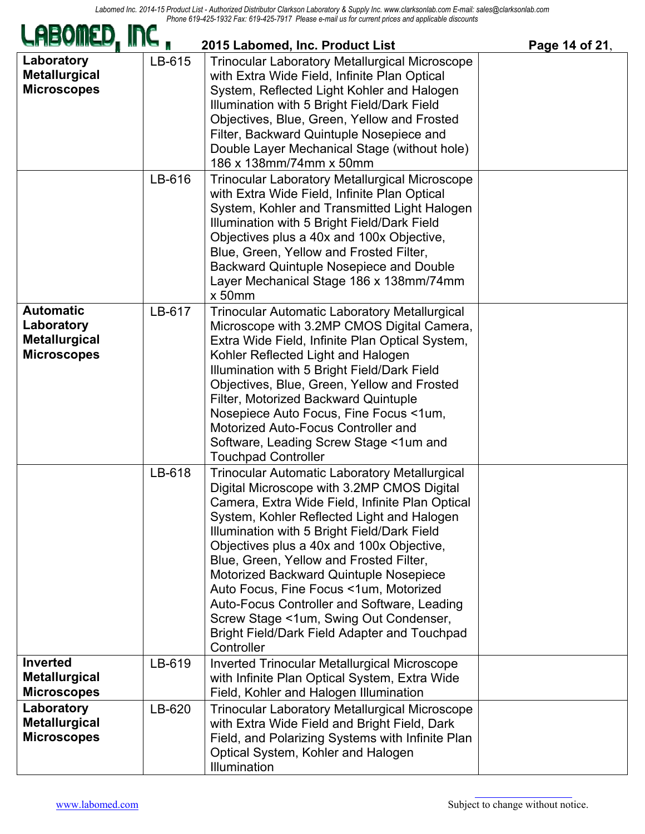|                                                                              | L T an. OTO TLO TOTT TTOGOO O Mail ao for oan ont phoos and apphoable al<br>2015 Labomed, Inc. Product List<br>Page 14 of 21, |                                                                                                                                                                                                                                                                                                                                                                                                                                                                                                                                                                                       |  |  |
|------------------------------------------------------------------------------|-------------------------------------------------------------------------------------------------------------------------------|---------------------------------------------------------------------------------------------------------------------------------------------------------------------------------------------------------------------------------------------------------------------------------------------------------------------------------------------------------------------------------------------------------------------------------------------------------------------------------------------------------------------------------------------------------------------------------------|--|--|
| Laboratory<br><b>Metallurgical</b><br><b>Microscopes</b>                     | LB-615                                                                                                                        | <b>Trinocular Laboratory Metallurgical Microscope</b><br>with Extra Wide Field, Infinite Plan Optical<br>System, Reflected Light Kohler and Halogen<br>Illumination with 5 Bright Field/Dark Field<br>Objectives, Blue, Green, Yellow and Frosted<br>Filter, Backward Quintuple Nosepiece and<br>Double Layer Mechanical Stage (without hole)<br>186 x 138mm/74mm x 50mm                                                                                                                                                                                                              |  |  |
|                                                                              | LB-616                                                                                                                        | <b>Trinocular Laboratory Metallurgical Microscope</b><br>with Extra Wide Field, Infinite Plan Optical<br>System, Kohler and Transmitted Light Halogen<br>Illumination with 5 Bright Field/Dark Field<br>Objectives plus a 40x and 100x Objective,<br>Blue, Green, Yellow and Frosted Filter,<br><b>Backward Quintuple Nosepiece and Double</b><br>Layer Mechanical Stage 186 x 138mm/74mm<br>$x$ 50 $mm$                                                                                                                                                                              |  |  |
| <b>Automatic</b><br>Laboratory<br><b>Metallurgical</b><br><b>Microscopes</b> | LB-617                                                                                                                        | <b>Trinocular Automatic Laboratory Metallurgical</b><br>Microscope with 3.2MP CMOS Digital Camera,<br>Extra Wide Field, Infinite Plan Optical System,<br>Kohler Reflected Light and Halogen<br>Illumination with 5 Bright Field/Dark Field<br>Objectives, Blue, Green, Yellow and Frosted<br>Filter, Motorized Backward Quintuple<br>Nosepiece Auto Focus, Fine Focus <1um,<br>Motorized Auto-Focus Controller and<br>Software, Leading Screw Stage <1um and<br><b>Touchpad Controller</b>                                                                                            |  |  |
|                                                                              | LB-618                                                                                                                        | <b>Trinocular Automatic Laboratory Metallurgical</b><br>Digital Microscope with 3.2MP CMOS Digital<br>Camera, Extra Wide Field, Infinite Plan Optical<br>System, Kohler Reflected Light and Halogen<br>Illumination with 5 Bright Field/Dark Field<br>Objectives plus a 40x and 100x Objective,<br>Blue, Green, Yellow and Frosted Filter,<br>Motorized Backward Quintuple Nosepiece<br>Auto Focus, Fine Focus <1um, Motorized<br>Auto-Focus Controller and Software, Leading<br>Screw Stage <1um, Swing Out Condenser,<br>Bright Field/Dark Field Adapter and Touchpad<br>Controller |  |  |
| <b>Inverted</b><br><b>Metallurgical</b><br><b>Microscopes</b>                | LB-619                                                                                                                        | <b>Inverted Trinocular Metallurgical Microscope</b><br>with Infinite Plan Optical System, Extra Wide<br>Field, Kohler and Halogen Illumination                                                                                                                                                                                                                                                                                                                                                                                                                                        |  |  |
| Laboratory<br><b>Metallurgical</b><br><b>Microscopes</b>                     | LB-620                                                                                                                        | <b>Trinocular Laboratory Metallurgical Microscope</b><br>with Extra Wide Field and Bright Field, Dark<br>Field, and Polarizing Systems with Infinite Plan<br>Optical System, Kohler and Halogen<br><b>Illumination</b>                                                                                                                                                                                                                                                                                                                                                                |  |  |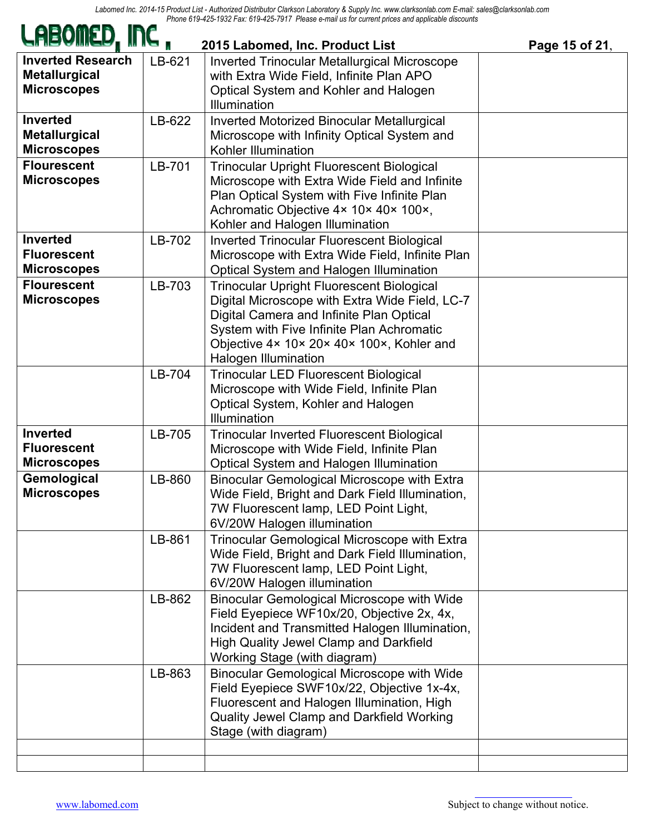| LHBOIILD, INC,                                                         |        | 2015 Labomed, Inc. Product List                                                                                                                                                                                                                                         | Page 15 of 21, |
|------------------------------------------------------------------------|--------|-------------------------------------------------------------------------------------------------------------------------------------------------------------------------------------------------------------------------------------------------------------------------|----------------|
| <b>Inverted Research</b><br><b>Metallurgical</b><br><b>Microscopes</b> | LB-621 | <b>Inverted Trinocular Metallurgical Microscope</b><br>with Extra Wide Field, Infinite Plan APO<br>Optical System and Kohler and Halogen<br><b>Illumination</b>                                                                                                         |                |
| <b>Inverted</b><br><b>Metallurgical</b><br><b>Microscopes</b>          | LB-622 | Inverted Motorized Binocular Metallurgical<br>Microscope with Infinity Optical System and<br>Kohler Illumination                                                                                                                                                        |                |
| <b>Flourescent</b><br><b>Microscopes</b>                               | LB-701 | <b>Trinocular Upright Fluorescent Biological</b><br>Microscope with Extra Wide Field and Infinite<br>Plan Optical System with Five Infinite Plan<br>Achromatic Objective 4× 10× 40× 100×,<br>Kohler and Halogen Illumination                                            |                |
| <b>Inverted</b><br><b>Fluorescent</b><br><b>Microscopes</b>            | LB-702 | <b>Inverted Trinocular Fluorescent Biological</b><br>Microscope with Extra Wide Field, Infinite Plan<br>Optical System and Halogen Illumination                                                                                                                         |                |
| <b>Flourescent</b><br><b>Microscopes</b>                               | LB-703 | <b>Trinocular Upright Fluorescent Biological</b><br>Digital Microscope with Extra Wide Field, LC-7<br>Digital Camera and Infinite Plan Optical<br>System with Five Infinite Plan Achromatic<br>Objective 4x 10x 20x 40x 100x, Kohler and<br><b>Halogen Illumination</b> |                |
|                                                                        | LB-704 | <b>Trinocular LED Fluorescent Biological</b><br>Microscope with Wide Field, Infinite Plan<br>Optical System, Kohler and Halogen<br>Illumination                                                                                                                         |                |
| <b>Inverted</b><br><b>Fluorescent</b><br><b>Microscopes</b>            | LB-705 | <b>Trinocular Inverted Fluorescent Biological</b><br>Microscope with Wide Field, Infinite Plan<br>Optical System and Halogen Illumination                                                                                                                               |                |
| Gemological<br><b>Microscopes</b>                                      | LB-860 | <b>Binocular Gemological Microscope with Extra</b><br>Wide Field, Bright and Dark Field Illumination,<br>7W Fluorescent lamp, LED Point Light,<br>6V/20W Halogen illumination                                                                                           |                |
|                                                                        | LB-861 | Trinocular Gemological Microscope with Extra<br>Wide Field, Bright and Dark Field Illumination,<br>7W Fluorescent lamp, LED Point Light,<br>6V/20W Halogen illumination                                                                                                 |                |
|                                                                        | LB-862 | <b>Binocular Gemological Microscope with Wide</b><br>Field Eyepiece WF10x/20, Objective 2x, 4x,<br>Incident and Transmitted Halogen Illumination,<br><b>High Quality Jewel Clamp and Darkfield</b><br>Working Stage (with diagram)                                      |                |
|                                                                        | LB-863 | <b>Binocular Gemological Microscope with Wide</b><br>Field Eyepiece SWF10x/22, Objective 1x-4x,<br>Fluorescent and Halogen Illumination, High<br>Quality Jewel Clamp and Darkfield Working<br>Stage (with diagram)                                                      |                |
|                                                                        |        |                                                                                                                                                                                                                                                                         |                |

**EAM**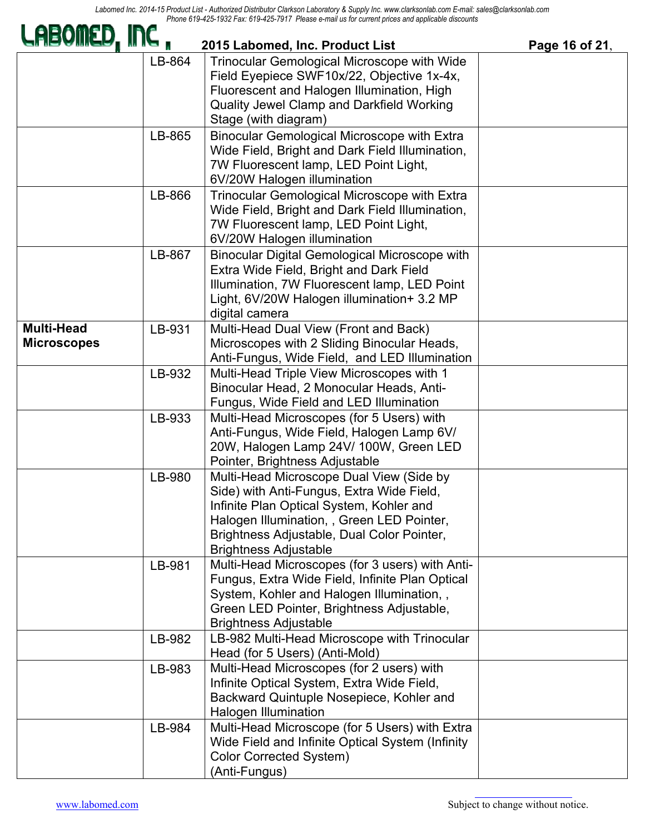| LABOMED, INC ,                          |        | 2015 Labomed, Inc. Product List                                                                                                                                                                                                                               | Page 16 of 21, |
|-----------------------------------------|--------|---------------------------------------------------------------------------------------------------------------------------------------------------------------------------------------------------------------------------------------------------------------|----------------|
|                                         | LB-864 | Trinocular Gemological Microscope with Wide<br>Field Eyepiece SWF10x/22, Objective 1x-4x,<br>Fluorescent and Halogen Illumination, High<br>Quality Jewel Clamp and Darkfield Working<br>Stage (with diagram)                                                  |                |
|                                         | LB-865 | Binocular Gemological Microscope with Extra<br>Wide Field, Bright and Dark Field Illumination,<br>7W Fluorescent lamp, LED Point Light,<br>6V/20W Halogen illumination                                                                                        |                |
|                                         | LB-866 | Trinocular Gemological Microscope with Extra<br>Wide Field, Bright and Dark Field Illumination,<br>7W Fluorescent lamp, LED Point Light,<br>6V/20W Halogen illumination                                                                                       |                |
|                                         | LB-867 | <b>Binocular Digital Gemological Microscope with</b><br>Extra Wide Field, Bright and Dark Field<br>Illumination, 7W Fluorescent lamp, LED Point<br>Light, 6V/20W Halogen illumination+ 3.2 MP<br>digital camera                                               |                |
| <b>Multi-Head</b><br><b>Microscopes</b> | LB-931 | Multi-Head Dual View (Front and Back)<br>Microscopes with 2 Sliding Binocular Heads,<br>Anti-Fungus, Wide Field, and LED Illumination                                                                                                                         |                |
|                                         | LB-932 | Multi-Head Triple View Microscopes with 1<br>Binocular Head, 2 Monocular Heads, Anti-<br>Fungus, Wide Field and LED Illumination                                                                                                                              |                |
|                                         | LB-933 | Multi-Head Microscopes (for 5 Users) with<br>Anti-Fungus, Wide Field, Halogen Lamp 6V/<br>20W, Halogen Lamp 24V/ 100W, Green LED<br>Pointer, Brightness Adjustable                                                                                            |                |
|                                         | LB-980 | Multi-Head Microscope Dual View (Side by<br>Side) with Anti-Fungus, Extra Wide Field,<br>Infinite Plan Optical System, Kohler and<br>Halogen Illumination, , Green LED Pointer,<br>Brightness Adjustable, Dual Color Pointer,<br><b>Brightness Adjustable</b> |                |
|                                         | LB-981 | Multi-Head Microscopes (for 3 users) with Anti-<br>Fungus, Extra Wide Field, Infinite Plan Optical<br>System, Kohler and Halogen Illumination, ,<br>Green LED Pointer, Brightness Adjustable,<br><b>Brightness Adjustable</b>                                 |                |
|                                         | LB-982 | LB-982 Multi-Head Microscope with Trinocular<br>Head (for 5 Users) (Anti-Mold)                                                                                                                                                                                |                |
|                                         | LB-983 | Multi-Head Microscopes (for 2 users) with<br>Infinite Optical System, Extra Wide Field,<br>Backward Quintuple Nosepiece, Kohler and<br><b>Halogen Illumination</b>                                                                                            |                |
|                                         | LB-984 | Multi-Head Microscope (for 5 Users) with Extra<br>Wide Field and Infinite Optical System (Infinity<br>Color Corrected System)<br>(Anti-Fungus)                                                                                                                |                |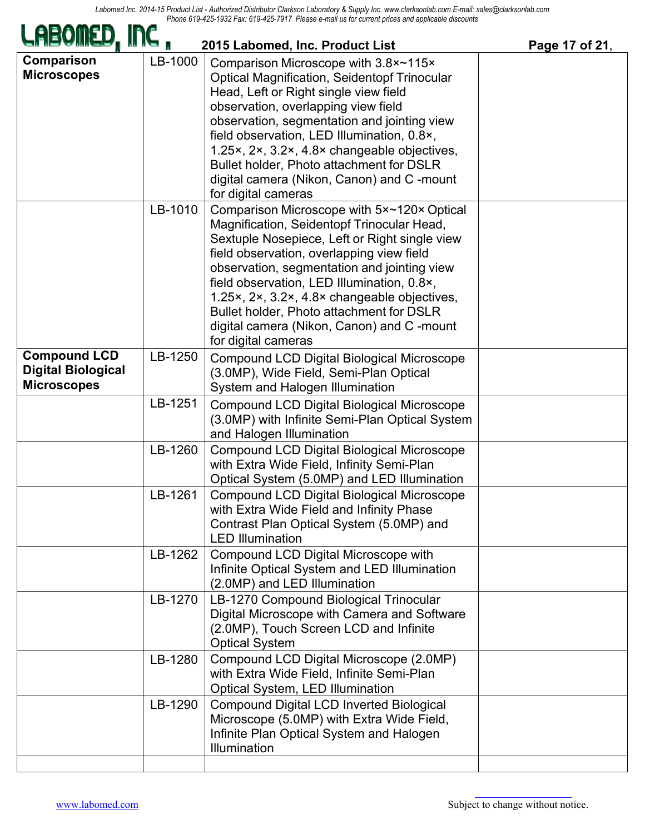| $\epsilon$ 20° 1902 1 a.C. 0 19° + 20° 19 11 1 10asc c•niall us for current prices and applicable discounts<br>2015 Labomed, Inc. Product List<br>Page 17 of 21, |         |                                                                                                                                                                                                                                                                                                                                                                                                                                                     |  |
|------------------------------------------------------------------------------------------------------------------------------------------------------------------|---------|-----------------------------------------------------------------------------------------------------------------------------------------------------------------------------------------------------------------------------------------------------------------------------------------------------------------------------------------------------------------------------------------------------------------------------------------------------|--|
| Comparison<br><b>Microscopes</b>                                                                                                                                 | LB-1000 | Comparison Microscope with 3.8×~115×<br><b>Optical Magnification, Seidentopf Trinocular</b><br>Head, Left or Right single view field<br>observation, overlapping view field<br>observation, segmentation and jointing view<br>field observation, LED Illumination, 0.8×,<br>1.25×, 2×, 3.2×, 4.8× changeable objectives,<br>Bullet holder, Photo attachment for DSLR<br>digital camera (Nikon, Canon) and C-mount<br>for digital cameras            |  |
|                                                                                                                                                                  | LB-1010 | Comparison Microscope with 5x~120x Optical<br>Magnification, Seidentopf Trinocular Head,<br>Sextuple Nosepiece, Left or Right single view<br>field observation, overlapping view field<br>observation, segmentation and jointing view<br>field observation, LED Illumination, 0.8×,<br>1.25x, 2x, 3.2x, 4.8x changeable objectives,<br>Bullet holder, Photo attachment for DSLR<br>digital camera (Nikon, Canon) and C-mount<br>for digital cameras |  |
| <b>Compound LCD</b><br><b>Digital Biological</b><br><b>Microscopes</b>                                                                                           | LB-1250 | Compound LCD Digital Biological Microscope<br>(3.0MP), Wide Field, Semi-Plan Optical<br>System and Halogen Illumination                                                                                                                                                                                                                                                                                                                             |  |
|                                                                                                                                                                  | LB-1251 | Compound LCD Digital Biological Microscope<br>(3.0MP) with Infinite Semi-Plan Optical System<br>and Halogen Illumination                                                                                                                                                                                                                                                                                                                            |  |
|                                                                                                                                                                  | LB-1260 | Compound LCD Digital Biological Microscope<br>with Extra Wide Field, Infinity Semi-Plan<br>Optical System (5.0MP) and LED Illumination                                                                                                                                                                                                                                                                                                              |  |
|                                                                                                                                                                  | LB-1261 | Compound LCD Digital Biological Microscope<br>with Extra Wide Field and Infinity Phase<br>Contrast Plan Optical System (5.0MP) and<br><b>LED Illumination</b>                                                                                                                                                                                                                                                                                       |  |
|                                                                                                                                                                  | LB-1262 | Compound LCD Digital Microscope with<br>Infinite Optical System and LED Illumination<br>(2.0MP) and LED Illumination                                                                                                                                                                                                                                                                                                                                |  |
|                                                                                                                                                                  | LB-1270 | LB-1270 Compound Biological Trinocular<br>Digital Microscope with Camera and Software<br>(2.0MP), Touch Screen LCD and Infinite<br><b>Optical System</b>                                                                                                                                                                                                                                                                                            |  |
|                                                                                                                                                                  | LB-1280 | Compound LCD Digital Microscope (2.0MP)<br>with Extra Wide Field, Infinite Semi-Plan<br>Optical System, LED Illumination                                                                                                                                                                                                                                                                                                                            |  |
|                                                                                                                                                                  | LB-1290 | <b>Compound Digital LCD Inverted Biological</b><br>Microscope (5.0MP) with Extra Wide Field,<br>Infinite Plan Optical System and Halogen<br><b>Illumination</b>                                                                                                                                                                                                                                                                                     |  |
|                                                                                                                                                                  |         |                                                                                                                                                                                                                                                                                                                                                                                                                                                     |  |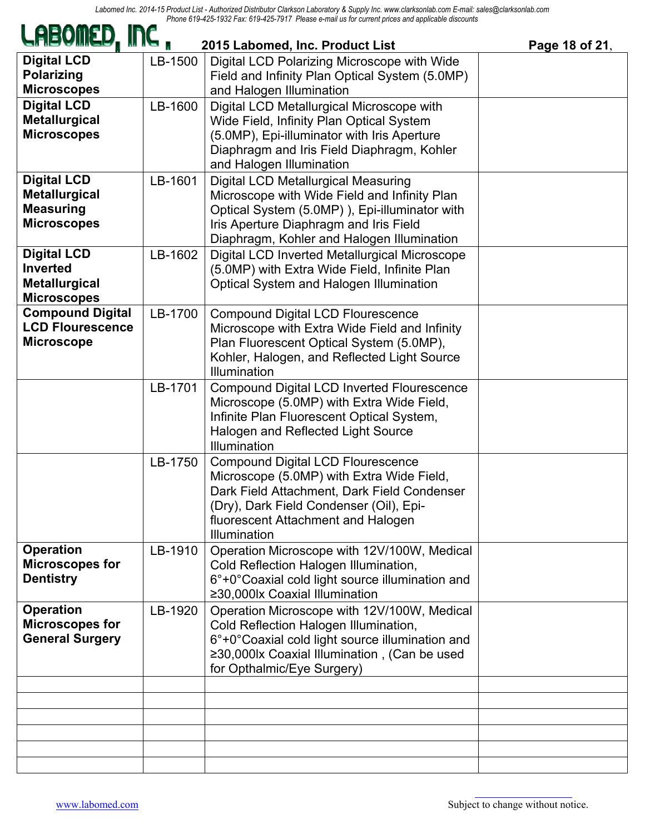| LABOMED, INC ,<br>2015 Labomed, Inc. Product List<br>Page 18 of 21,                  |         |                                                                                                                                                                                                                                       |  |  |
|--------------------------------------------------------------------------------------|---------|---------------------------------------------------------------------------------------------------------------------------------------------------------------------------------------------------------------------------------------|--|--|
| <b>Digital LCD</b><br><b>Polarizing</b><br><b>Microscopes</b>                        | LB-1500 | Digital LCD Polarizing Microscope with Wide<br>Field and Infinity Plan Optical System (5.0MP)<br>and Halogen Illumination                                                                                                             |  |  |
| <b>Digital LCD</b><br><b>Metallurgical</b><br><b>Microscopes</b>                     | LB-1600 | Digital LCD Metallurgical Microscope with<br>Wide Field, Infinity Plan Optical System<br>(5.0MP), Epi-illuminator with Iris Aperture<br>Diaphragm and Iris Field Diaphragm, Kohler<br>and Halogen Illumination                        |  |  |
| <b>Digital LCD</b><br><b>Metallurgical</b><br><b>Measuring</b><br><b>Microscopes</b> | LB-1601 | <b>Digital LCD Metallurgical Measuring</b><br>Microscope with Wide Field and Infinity Plan<br>Optical System (5.0MP)), Epi-illuminator with<br>Iris Aperture Diaphragm and Iris Field<br>Diaphragm, Kohler and Halogen Illumination   |  |  |
| <b>Digital LCD</b><br><b>Inverted</b><br><b>Metallurgical</b><br><b>Microscopes</b>  | LB-1602 | Digital LCD Inverted Metallurgical Microscope<br>(5.0MP) with Extra Wide Field, Infinite Plan<br>Optical System and Halogen Illumination                                                                                              |  |  |
| <b>Compound Digital</b><br><b>LCD Flourescence</b><br><b>Microscope</b>              | LB-1700 | <b>Compound Digital LCD Flourescence</b><br>Microscope with Extra Wide Field and Infinity<br>Plan Fluorescent Optical System (5.0MP),<br>Kohler, Halogen, and Reflected Light Source<br>Illumination                                  |  |  |
|                                                                                      | LB-1701 | Compound Digital LCD Inverted Flourescence<br>Microscope (5.0MP) with Extra Wide Field,<br>Infinite Plan Fluorescent Optical System,<br>Halogen and Reflected Light Source<br>Illumination                                            |  |  |
|                                                                                      | LB-1750 | <b>Compound Digital LCD Flourescence</b><br>Microscope (5.0MP) with Extra Wide Field,<br>Dark Field Attachment, Dark Field Condenser<br>(Dry), Dark Field Condenser (Oil), Epi-<br>fluorescent Attachment and Halogen<br>Illumination |  |  |
| <b>Operation</b><br><b>Microscopes for</b><br><b>Dentistry</b>                       | LB-1910 | Operation Microscope with 12V/100W, Medical<br>Cold Reflection Halogen Illumination,<br>6°+0°Coaxial cold light source illumination and<br>≥30,000lx Coaxial Illumination                                                             |  |  |
| <b>Operation</b><br><b>Microscopes for</b><br><b>General Surgery</b>                 | LB-1920 | Operation Microscope with 12V/100W, Medical<br>Cold Reflection Halogen Illumination,<br>6°+0°Coaxial cold light source illumination and<br>≥30,000lx Coaxial Illumination, (Can be used<br>for Opthalmic/Eye Surgery)                 |  |  |
|                                                                                      |         |                                                                                                                                                                                                                                       |  |  |
|                                                                                      |         |                                                                                                                                                                                                                                       |  |  |
|                                                                                      |         |                                                                                                                                                                                                                                       |  |  |
|                                                                                      |         |                                                                                                                                                                                                                                       |  |  |
|                                                                                      |         |                                                                                                                                                                                                                                       |  |  |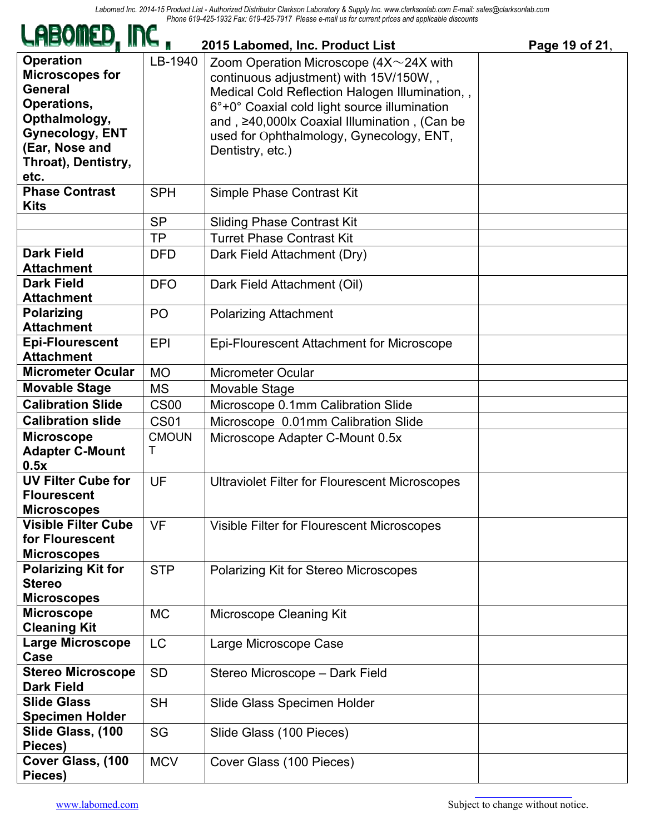| <i>C</i> heailtr' ii ic "                                                                                                                                               |                   | 2015 Labomed, Inc. Product List                                                                                                                                                                                                                                                                             | Page 19 of 21, |
|-------------------------------------------------------------------------------------------------------------------------------------------------------------------------|-------------------|-------------------------------------------------------------------------------------------------------------------------------------------------------------------------------------------------------------------------------------------------------------------------------------------------------------|----------------|
| <b>Operation</b><br><b>Microscopes for</b><br><b>General</b><br>Operations,<br>Opthalmology,<br><b>Gynecology, ENT</b><br>(Ear, Nose and<br>Throat), Dentistry,<br>etc. | LB-1940           | Zoom Operation Microscope $(4X \sim 24X)$ with<br>continuous adjustment) with 15V/150W,,<br>Medical Cold Reflection Halogen Illumination, ,<br>6°+0° Coaxial cold light source illumination<br>and, ≥40,000lx Coaxial Illumination, (Can be<br>used for Ophthalmology, Gynecology, ENT,<br>Dentistry, etc.) |                |
| <b>Phase Contrast</b><br><b>Kits</b>                                                                                                                                    | <b>SPH</b>        | Simple Phase Contrast Kit                                                                                                                                                                                                                                                                                   |                |
|                                                                                                                                                                         | <b>SP</b>         | <b>Sliding Phase Contrast Kit</b>                                                                                                                                                                                                                                                                           |                |
|                                                                                                                                                                         | <b>TP</b>         | <b>Turret Phase Contrast Kit</b>                                                                                                                                                                                                                                                                            |                |
| <b>Dark Field</b><br><b>Attachment</b>                                                                                                                                  | <b>DFD</b>        | Dark Field Attachment (Dry)                                                                                                                                                                                                                                                                                 |                |
| <b>Dark Field</b><br><b>Attachment</b>                                                                                                                                  | <b>DFO</b>        | Dark Field Attachment (Oil)                                                                                                                                                                                                                                                                                 |                |
| <b>Polarizing</b><br><b>Attachment</b>                                                                                                                                  | P <sub>O</sub>    | <b>Polarizing Attachment</b>                                                                                                                                                                                                                                                                                |                |
| <b>Epi-Flourescent</b><br><b>Attachment</b>                                                                                                                             | <b>EPI</b>        | Epi-Flourescent Attachment for Microscope                                                                                                                                                                                                                                                                   |                |
| <b>Micrometer Ocular</b>                                                                                                                                                | <b>MO</b>         | <b>Micrometer Ocular</b>                                                                                                                                                                                                                                                                                    |                |
| <b>Movable Stage</b>                                                                                                                                                    | <b>MS</b>         | Movable Stage                                                                                                                                                                                                                                                                                               |                |
| <b>Calibration Slide</b>                                                                                                                                                | <b>CS00</b>       | Microscope 0.1mm Calibration Slide                                                                                                                                                                                                                                                                          |                |
| <b>Calibration slide</b>                                                                                                                                                | <b>CS01</b>       | Microscope 0.01mm Calibration Slide                                                                                                                                                                                                                                                                         |                |
| <b>Microscope</b><br><b>Adapter C-Mount</b><br>0.5x                                                                                                                     | <b>CMOUN</b><br>Т | Microscope Adapter C-Mount 0.5x                                                                                                                                                                                                                                                                             |                |
| <b>UV Filter Cube for</b><br><b>Flourescent</b><br><b>Microscopes</b>                                                                                                   | UF                | <b>Ultraviolet Filter for Flourescent Microscopes</b>                                                                                                                                                                                                                                                       |                |
| <b>Visible Filter Cube</b><br>for Flourescent<br><b>Microscopes</b>                                                                                                     | <b>VF</b>         | Visible Filter for Flourescent Microscopes                                                                                                                                                                                                                                                                  |                |
| <b>Polarizing Kit for</b><br><b>Stereo</b><br><b>Microscopes</b>                                                                                                        | <b>STP</b>        | Polarizing Kit for Stereo Microscopes                                                                                                                                                                                                                                                                       |                |
| <b>Microscope</b><br><b>Cleaning Kit</b>                                                                                                                                | <b>MC</b>         | Microscope Cleaning Kit                                                                                                                                                                                                                                                                                     |                |
| <b>Large Microscope</b><br>Case                                                                                                                                         | <b>LC</b>         | Large Microscope Case                                                                                                                                                                                                                                                                                       |                |
| <b>Stereo Microscope</b><br><b>Dark Field</b>                                                                                                                           | <b>SD</b>         | Stereo Microscope - Dark Field                                                                                                                                                                                                                                                                              |                |
| <b>Slide Glass</b><br><b>Specimen Holder</b>                                                                                                                            | <b>SH</b>         | Slide Glass Specimen Holder                                                                                                                                                                                                                                                                                 |                |
| Slide Glass, (100<br>Pieces)                                                                                                                                            | SG                | Slide Glass (100 Pieces)                                                                                                                                                                                                                                                                                    |                |
| Cover Glass, (100<br>Pieces)                                                                                                                                            | <b>MCV</b>        | Cover Glass (100 Pieces)                                                                                                                                                                                                                                                                                    |                |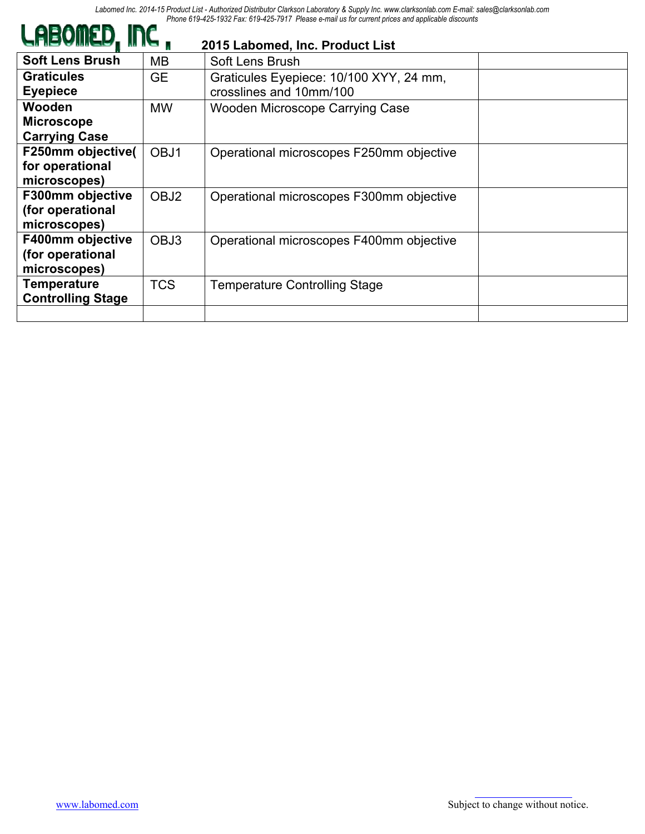| <i>C</i> ubamca'' ii i <i>c</i> " |                  | 2015 Labomed, Inc. Product List          |  |
|-----------------------------------|------------------|------------------------------------------|--|
| <b>Soft Lens Brush</b>            | MВ               | Soft Lens Brush                          |  |
| <b>Graticules</b>                 | <b>GE</b>        | Graticules Eyepiece: 10/100 XYY, 24 mm,  |  |
| <b>Eyepiece</b>                   |                  | crosslines and 10mm/100                  |  |
| <b>Wooden</b>                     | <b>MW</b>        | <b>Wooden Microscope Carrying Case</b>   |  |
| <b>Microscope</b>                 |                  |                                          |  |
| <b>Carrying Case</b>              |                  |                                          |  |
| F250mm objective(                 | OBJ1             | Operational microscopes F250mm objective |  |
| for operational                   |                  |                                          |  |
| microscopes)                      |                  |                                          |  |
| F300mm objective                  | OBJ <sub>2</sub> | Operational microscopes F300mm objective |  |
| (for operational                  |                  |                                          |  |
| microscopes)                      |                  |                                          |  |
| F400mm objective                  | OBJ3             | Operational microscopes F400mm objective |  |
| (for operational                  |                  |                                          |  |
| microscopes)                      |                  |                                          |  |
| <b>Temperature</b>                | <b>TCS</b>       | <b>Temperature Controlling Stage</b>     |  |
| <b>Controlling Stage</b>          |                  |                                          |  |
|                                   |                  |                                          |  |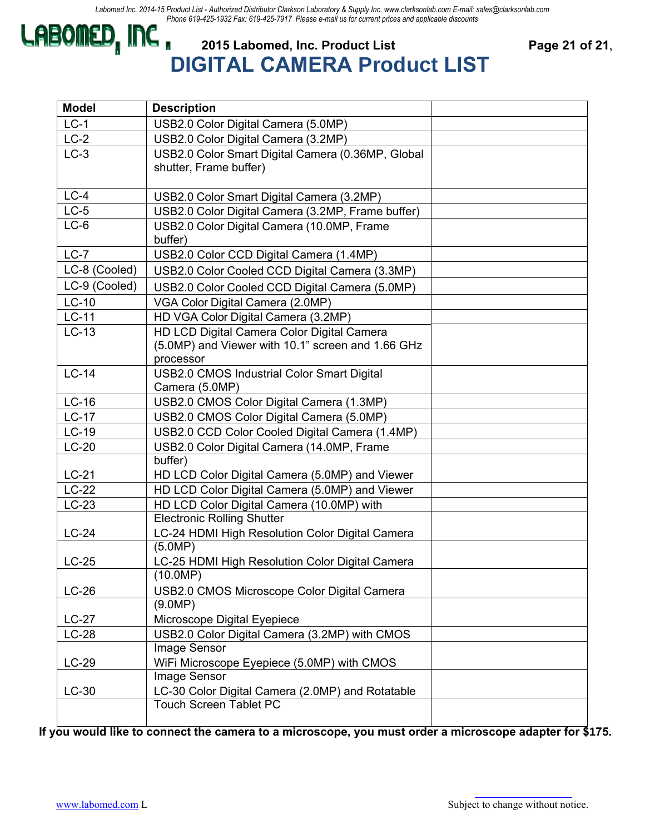## **CABOMED, INC.** 2015 Labomed, Inc. Product List Page 21 of 21, **DIGITAL CAMERA Product LIST**

| <b>Model</b>  | <b>Description</b>                                                                                           |  |
|---------------|--------------------------------------------------------------------------------------------------------------|--|
| $LC-1$        | USB2.0 Color Digital Camera (5.0MP)                                                                          |  |
| $LC-2$        | USB2.0 Color Digital Camera (3.2MP)                                                                          |  |
| $LC-3$        | USB2.0 Color Smart Digital Camera (0.36MP, Global<br>shutter, Frame buffer)                                  |  |
| $LC-4$        | USB2.0 Color Smart Digital Camera (3.2MP)                                                                    |  |
| $LC-5$        | USB2.0 Color Digital Camera (3.2MP, Frame buffer)                                                            |  |
| $LC-6$        | USB2.0 Color Digital Camera (10.0MP, Frame<br>buffer)                                                        |  |
| $LC-7$        | USB2.0 Color CCD Digital Camera (1.4MP)                                                                      |  |
| LC-8 (Cooled) | USB2.0 Color Cooled CCD Digital Camera (3.3MP)                                                               |  |
| LC-9 (Cooled) | USB2.0 Color Cooled CCD Digital Camera (5.0MP)                                                               |  |
| $LC-10$       | VGA Color Digital Camera (2.0MP)                                                                             |  |
| $LC-11$       | HD VGA Color Digital Camera (3.2MP)                                                                          |  |
| $LC-13$       | HD LCD Digital Camera Color Digital Camera<br>(5.0MP) and Viewer with 10.1" screen and 1.66 GHz<br>processor |  |
| $LC-14$       | <b>USB2.0 CMOS Industrial Color Smart Digital</b><br>Camera (5.0MP)                                          |  |
| $LC-16$       | USB2.0 CMOS Color Digital Camera (1.3MP)                                                                     |  |
| $LC-17$       | USB2.0 CMOS Color Digital Camera (5.0MP)                                                                     |  |
| $LC-19$       | USB2.0 CCD Color Cooled Digital Camera (1.4MP)                                                               |  |
| $LC-20$       | USB2.0 Color Digital Camera (14.0MP, Frame                                                                   |  |
|               | buffer)                                                                                                      |  |
| $LC-21$       | HD LCD Color Digital Camera (5.0MP) and Viewer                                                               |  |
| $LC-22$       | HD LCD Color Digital Camera (5.0MP) and Viewer                                                               |  |
| $LC-23$       | HD LCD Color Digital Camera (10.0MP) with                                                                    |  |
|               | <b>Electronic Rolling Shutter</b>                                                                            |  |
| $LC-24$       | LC-24 HDMI High Resolution Color Digital Camera                                                              |  |
|               | (5.0MP)                                                                                                      |  |
| $LC-25$       | LC-25 HDMI High Resolution Color Digital Camera<br>(10.0MP)                                                  |  |
| $LC-26$       | USB2.0 CMOS Microscope Color Digital Camera                                                                  |  |
|               | (9.0MP)                                                                                                      |  |
| $LC-27$       | Microscope Digital Eyepiece                                                                                  |  |
| $LC-28$       | USB2.0 Color Digital Camera (3.2MP) with CMOS                                                                |  |
|               | Image Sensor                                                                                                 |  |
| $LC-29$       | WiFi Microscope Eyepiece (5.0MP) with CMOS                                                                   |  |
|               | Image Sensor                                                                                                 |  |
| $LC-30$       | LC-30 Color Digital Camera (2.0MP) and Rotatable                                                             |  |
|               | <b>Touch Screen Tablet PC</b>                                                                                |  |

**If you would like to connect the camera to a microscope, you must order a microscope adapter for \$175.**